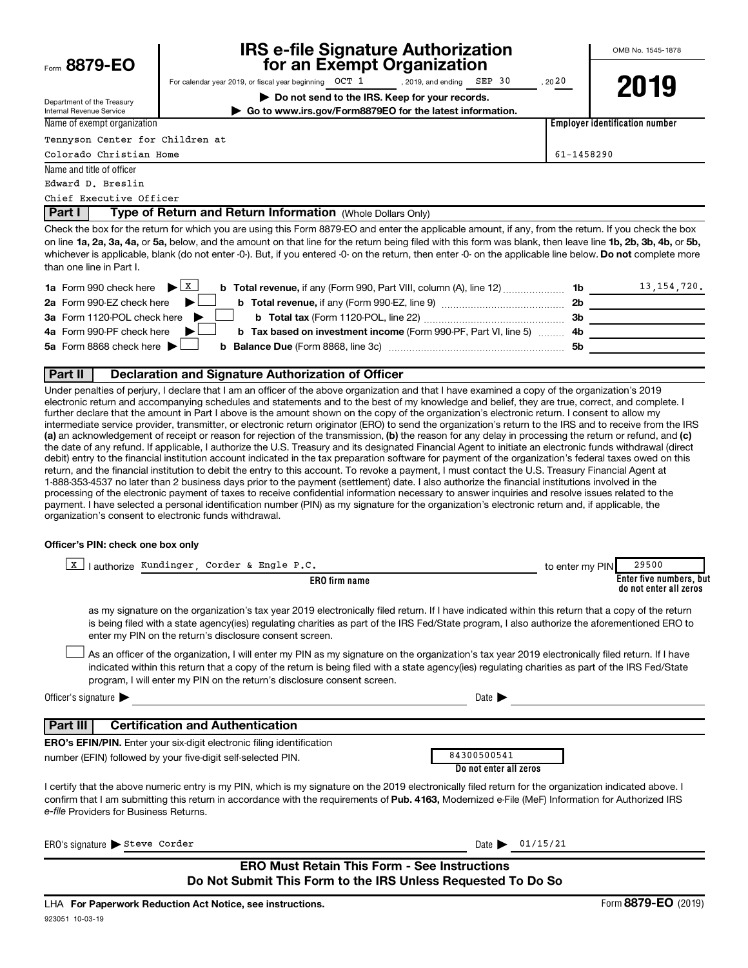| Form 8879-EO                                                                              | IRS e-file Signature Authorization<br>for an Exempt Organization                                                                                                                                                                                                                                                                                                                                                                                                                                                                                                                                                                                                                                                                                                                                                                                                                                                                                                                                                                                                                                                                                                                                                                                                                                                                                                                                                 |            | OMB No. 1545-1878                     |
|-------------------------------------------------------------------------------------------|------------------------------------------------------------------------------------------------------------------------------------------------------------------------------------------------------------------------------------------------------------------------------------------------------------------------------------------------------------------------------------------------------------------------------------------------------------------------------------------------------------------------------------------------------------------------------------------------------------------------------------------------------------------------------------------------------------------------------------------------------------------------------------------------------------------------------------------------------------------------------------------------------------------------------------------------------------------------------------------------------------------------------------------------------------------------------------------------------------------------------------------------------------------------------------------------------------------------------------------------------------------------------------------------------------------------------------------------------------------------------------------------------------------|------------|---------------------------------------|
|                                                                                           | For calendar year 2019, or fiscal year beginning $OCT$ 1, 2019, and ending $SEP$ 30                                                                                                                                                                                                                                                                                                                                                                                                                                                                                                                                                                                                                                                                                                                                                                                                                                                                                                                                                                                                                                                                                                                                                                                                                                                                                                                              | , 2020     |                                       |
|                                                                                           | Do not send to the IRS. Keep for your records.                                                                                                                                                                                                                                                                                                                                                                                                                                                                                                                                                                                                                                                                                                                                                                                                                                                                                                                                                                                                                                                                                                                                                                                                                                                                                                                                                                   |            | 2019                                  |
| Department of the Treasury<br>Internal Revenue Service                                    | Go to www.irs.gov/Form8879EO for the latest information.                                                                                                                                                                                                                                                                                                                                                                                                                                                                                                                                                                                                                                                                                                                                                                                                                                                                                                                                                                                                                                                                                                                                                                                                                                                                                                                                                         |            |                                       |
| Name of exempt organization                                                               |                                                                                                                                                                                                                                                                                                                                                                                                                                                                                                                                                                                                                                                                                                                                                                                                                                                                                                                                                                                                                                                                                                                                                                                                                                                                                                                                                                                                                  |            | <b>Employer identification number</b> |
| Tennyson Center for Children at                                                           |                                                                                                                                                                                                                                                                                                                                                                                                                                                                                                                                                                                                                                                                                                                                                                                                                                                                                                                                                                                                                                                                                                                                                                                                                                                                                                                                                                                                                  |            |                                       |
| Colorado Christian Home                                                                   |                                                                                                                                                                                                                                                                                                                                                                                                                                                                                                                                                                                                                                                                                                                                                                                                                                                                                                                                                                                                                                                                                                                                                                                                                                                                                                                                                                                                                  | 61-1458290 |                                       |
| Name and title of officer                                                                 |                                                                                                                                                                                                                                                                                                                                                                                                                                                                                                                                                                                                                                                                                                                                                                                                                                                                                                                                                                                                                                                                                                                                                                                                                                                                                                                                                                                                                  |            |                                       |
| Edward D. Breslin                                                                         |                                                                                                                                                                                                                                                                                                                                                                                                                                                                                                                                                                                                                                                                                                                                                                                                                                                                                                                                                                                                                                                                                                                                                                                                                                                                                                                                                                                                                  |            |                                       |
| Chief Executive Officer                                                                   |                                                                                                                                                                                                                                                                                                                                                                                                                                                                                                                                                                                                                                                                                                                                                                                                                                                                                                                                                                                                                                                                                                                                                                                                                                                                                                                                                                                                                  |            |                                       |
| l Part I                                                                                  | Type of Return and Return Information (Whole Dollars Only)                                                                                                                                                                                                                                                                                                                                                                                                                                                                                                                                                                                                                                                                                                                                                                                                                                                                                                                                                                                                                                                                                                                                                                                                                                                                                                                                                       |            |                                       |
| than one line in Part I.<br><b>1a</b> Form 990 check here $\blacktriangleright \boxed{X}$ | whichever is applicable, blank (do not enter -0-). But, if you entered -0- on the return, then enter -0- on the applicable line below. Do not complete more                                                                                                                                                                                                                                                                                                                                                                                                                                                                                                                                                                                                                                                                                                                                                                                                                                                                                                                                                                                                                                                                                                                                                                                                                                                      |            | <b>1b</b> $\frac{13,154,720}{.}$      |
| 2a Form 990-EZ check here                                                                 |                                                                                                                                                                                                                                                                                                                                                                                                                                                                                                                                                                                                                                                                                                                                                                                                                                                                                                                                                                                                                                                                                                                                                                                                                                                                                                                                                                                                                  |            |                                       |
| 3a Form 1120-POL check here                                                               |                                                                                                                                                                                                                                                                                                                                                                                                                                                                                                                                                                                                                                                                                                                                                                                                                                                                                                                                                                                                                                                                                                                                                                                                                                                                                                                                                                                                                  |            | 3b                                    |
| 4a Form 990-PF check here                                                                 | b Tax based on investment income (Form 990-PF, Part VI, line 5)                                                                                                                                                                                                                                                                                                                                                                                                                                                                                                                                                                                                                                                                                                                                                                                                                                                                                                                                                                                                                                                                                                                                                                                                                                                                                                                                                  |            |                                       |
| 5a Form 8868 check here                                                                   | b                                                                                                                                                                                                                                                                                                                                                                                                                                                                                                                                                                                                                                                                                                                                                                                                                                                                                                                                                                                                                                                                                                                                                                                                                                                                                                                                                                                                                | 5b         |                                       |
| <b>Part II</b>                                                                            | Declaration and Signature Authorization of Officer                                                                                                                                                                                                                                                                                                                                                                                                                                                                                                                                                                                                                                                                                                                                                                                                                                                                                                                                                                                                                                                                                                                                                                                                                                                                                                                                                               |            |                                       |
|                                                                                           | Under penalties of perjury, I declare that I am an officer of the above organization and that I have examined a copy of the organization's 2019<br>electronic return and accompanying schedules and statements and to the best of my knowledge and belief, they are true, correct, and complete. I<br>further declare that the amount in Part I above is the amount shown on the copy of the organization's electronic return. I consent to allow my<br>intermediate service provider, transmitter, or electronic return originator (ERO) to send the organization's return to the IRS and to receive from the IRS<br>(a) an acknowledgement of receipt or reason for rejection of the transmission, (b) the reason for any delay in processing the return or refund, and (c)<br>the date of any refund. If applicable, I authorize the U.S. Treasury and its designated Financial Agent to initiate an electronic funds withdrawal (direct<br>debit) entry to the financial institution account indicated in the tax preparation software for payment of the organization's federal taxes owed on this<br>return, and the financial institution to debit the entry to this account. To revoke a payment, I must contact the U.S. Treasury Financial Agent at<br>1.888.353.4537 no later than 2 business days prior to the nayment (settlement) date I also authorize the financial institutions involved in the |            |                                       |

1-888-353-4537 no later than 2 business days prior to the payment (settlement) date. I also authorize the financial institutions involved in the processing of the electronic payment of taxes to receive confidential information necessary to answer inquiries and resolve issues related to the payment. I have selected a personal identification number (PIN) as my signature for the organization's electronic return and, if applicable, the organization's consent to electronic funds withdrawal.

#### **Officer's PIN: check one box only**

| lauthorize Kundinger, Corder & Engle P.C.<br>X                                                                                                                                                                                                                                                                                                                                   | to enter my PIN | 29500                                             |
|----------------------------------------------------------------------------------------------------------------------------------------------------------------------------------------------------------------------------------------------------------------------------------------------------------------------------------------------------------------------------------|-----------------|---------------------------------------------------|
| <b>ERO</b> firm name                                                                                                                                                                                                                                                                                                                                                             |                 | Enter five numbers, but<br>do not enter all zeros |
| as my signature on the organization's tax year 2019 electronically filed return. If I have indicated within this return that a copy of the return<br>is being filed with a state agency(ies) regulating charities as part of the IRS Fed/State program, I also authorize the aforementioned ERO to<br>enter my PIN on the return's disclosure consent screen.                    |                 |                                                   |
| As an officer of the organization, I will enter my PIN as my signature on the organization's tax year 2019 electronically filed return. If I have<br>indicated within this return that a copy of the return is being filed with a state agency(ies) regulating charities as part of the IRS Fed/State<br>program, I will enter my PIN on the return's disclosure consent screen. |                 |                                                   |
| Officer's signature<br>Date l                                                                                                                                                                                                                                                                                                                                                    |                 |                                                   |
| <b>Certification and Authentication</b><br>Part III                                                                                                                                                                                                                                                                                                                              |                 |                                                   |
| <b>ERO's EFIN/PIN.</b> Enter your six-digit electronic filing identification                                                                                                                                                                                                                                                                                                     |                 |                                                   |
| 84300500541<br>number (EFIN) followed by your five-digit self-selected PIN.<br>Do not enter all zeros                                                                                                                                                                                                                                                                            |                 |                                                   |
| I certify that the above numeric entry is my PIN, which is my signature on the 2019 electronically filed return for the organization indicated above. I<br>confirm that I am submitting this return in accordance with the requirements of Pub. 4163, Modernized e-File (MeF) Information for Authorized IRS<br>e-file Providers for Business Returns.                           |                 |                                                   |
| $ERO's signature \rightarrow Steve Corder$<br>Date $\blacktriangleright$                                                                                                                                                                                                                                                                                                         | 01/15/21        |                                                   |
| <b>ERO Must Retain This Form - See Instructions</b><br>Do Not Submit This Form to the IRS Unless Requested To Do So                                                                                                                                                                                                                                                              |                 |                                                   |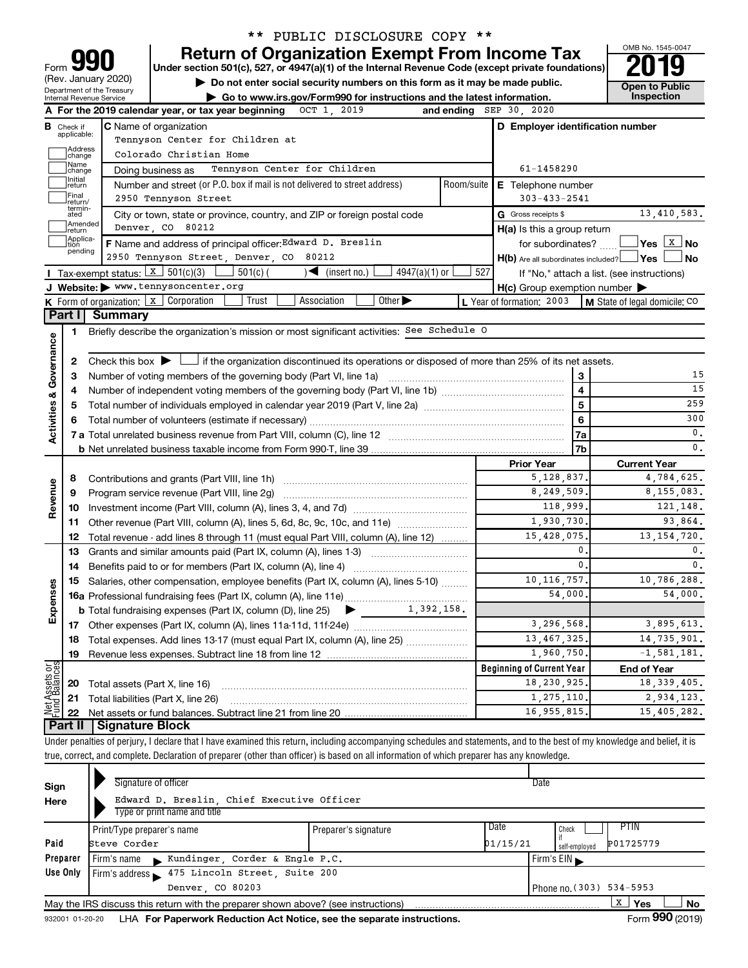|                         |                                  |                                                   | ** PUBLIC DISCLOSURE COPY **                                                                                                                                               |     |                                                     |                |                                            |  |
|-------------------------|----------------------------------|---------------------------------------------------|----------------------------------------------------------------------------------------------------------------------------------------------------------------------------|-----|-----------------------------------------------------|----------------|--------------------------------------------|--|
|                         |                                  |                                                   | <b>Return of Organization Exempt From Income Tax</b>                                                                                                                       |     |                                                     |                | OMB No. 1545-0047                          |  |
| Form                    |                                  |                                                   | Under section 501(c), 527, or 4947(a)(1) of the Internal Revenue Code (except private foundations)                                                                         |     |                                                     |                |                                            |  |
|                         |                                  | (Rev. January 2020)<br>Department of the Treasury | Do not enter social security numbers on this form as it may be made public.                                                                                                |     |                                                     |                | <b>Open to Public</b>                      |  |
|                         |                                  | Internal Revenue Service                          | Go to www.irs.gov/Form990 for instructions and the latest information.                                                                                                     |     |                                                     |                | Inspection                                 |  |
|                         |                                  |                                                   | A For the 2019 calendar year, or tax year beginning OCT 1, 2019<br>and ending                                                                                              |     | SEP 30, 2020                                        |                |                                            |  |
|                         | <b>B</b> Check if<br>applicable: |                                                   | <b>C</b> Name of organization                                                                                                                                              |     | D Employer identification number                    |                |                                            |  |
|                         | Address                          |                                                   | Tennyson Center for Children at                                                                                                                                            |     |                                                     |                |                                            |  |
|                         | change<br>Name                   |                                                   | Colorado Christian Home                                                                                                                                                    |     |                                                     |                |                                            |  |
|                         | change<br>Initial                |                                                   | Tennyson Center for Children<br>Doing business as                                                                                                                          |     | 61-1458290                                          |                |                                            |  |
|                         | ∣return<br>Final                 |                                                   | Number and street (or P.O. box if mail is not delivered to street address)<br>Room/suite                                                                                   |     | <b>E</b> Telephone number                           |                |                                            |  |
|                         | return/<br>termin-               |                                                   | 2950 Tennyson Street                                                                                                                                                       |     | $303 - 433 - 2541$                                  |                |                                            |  |
|                         | ated<br>Amended                  |                                                   | City or town, state or province, country, and ZIP or foreign postal code                                                                                                   |     | G Gross receipts \$                                 |                | 13,410,583.                                |  |
|                         | Ireturn<br>Applica-<br>Ition     |                                                   | Denver, CO 80212                                                                                                                                                           |     | H(a) Is this a group return                         |                |                                            |  |
|                         | pending                          |                                                   | F Name and address of principal officer: Edward D. Breslin<br>2950 Tennyson Street, Denver, CO 80212                                                                       |     | for subordinates?                                   |                |                                            |  |
|                         |                                  | <b>I</b> Tax-exempt status: $X \mid 501(c)(3)$    | $501(c)$ (<br>$\blacktriangleleft$ (insert no.)<br>$4947(a)(1)$ or                                                                                                         | 527 | $H(b)$ Are all subordinates included? $\Box$ Yes    |                | No                                         |  |
|                         |                                  |                                                   | J Website: > www.tennysoncenter.org                                                                                                                                        |     | $H(c)$ Group exemption number $\blacktriangleright$ |                | If "No," attach a list. (see instructions) |  |
|                         |                                  |                                                   | <b>K</b> Form of organization: $\boxed{x}$ Corporation<br>Trust<br>Association<br>Other $\blacktriangleright$                                                              |     | L Year of formation: 2003                           |                | M State of legal domicile: CO              |  |
|                         | Part I                           | <b>Summary</b>                                    |                                                                                                                                                                            |     |                                                     |                |                                            |  |
|                         | 1                                |                                                   | Briefly describe the organization's mission or most significant activities: See Schedule O                                                                                 |     |                                                     |                |                                            |  |
| Governance              |                                  |                                                   |                                                                                                                                                                            |     |                                                     |                |                                            |  |
|                         | 2                                |                                                   | Check this box $\blacktriangleright$ $\Box$ if the organization discontinued its operations or disposed of more than 25% of its net assets.                                |     |                                                     |                |                                            |  |
|                         | З                                |                                                   |                                                                                                                                                                            |     |                                                     | З              | 15                                         |  |
|                         | 4                                |                                                   |                                                                                                                                                                            |     |                                                     | $\overline{4}$ | 15                                         |  |
|                         | 5                                | 5                                                 |                                                                                                                                                                            |     |                                                     |                |                                            |  |
| <b>Activities &amp;</b> |                                  |                                                   |                                                                                                                                                                            |     |                                                     | 6              | 300                                        |  |
|                         |                                  |                                                   |                                                                                                                                                                            |     |                                                     | 7a             | 0.                                         |  |
|                         |                                  |                                                   |                                                                                                                                                                            |     |                                                     | 7b             | $\mathbf{0}$ .                             |  |
|                         |                                  |                                                   |                                                                                                                                                                            |     | <b>Prior Year</b>                                   |                | <b>Current Year</b>                        |  |
|                         | 8                                |                                                   |                                                                                                                                                                            |     | 5,128,837.                                          |                | 4,784,625.                                 |  |
| Revenue                 | 9                                |                                                   | Program service revenue (Part VIII, line 2g)                                                                                                                               |     | 8,249,509                                           |                | 8,155,083.                                 |  |
|                         | 10                               |                                                   |                                                                                                                                                                            |     | 118,999                                             |                | 121,148.                                   |  |
|                         | 11                               |                                                   | Other revenue (Part VIII, column (A), lines 5, 6d, 8c, 9c, 10c, and 11e)                                                                                                   |     | 1,930,730                                           |                | 93,864.                                    |  |
|                         | 12                               |                                                   | Total revenue - add lines 8 through 11 (must equal Part VIII, column (A), line 12)                                                                                         |     | 15,428,075                                          |                | 13, 154, 720.                              |  |
|                         | 13                               |                                                   | Grants and similar amounts paid (Part IX, column (A), lines 1-3)                                                                                                           |     |                                                     | 0              | 0.                                         |  |
|                         | 14                               |                                                   |                                                                                                                                                                            |     |                                                     | $\mathbf{0}$   | 0.                                         |  |
|                         |                                  |                                                   | 15 Salaries, other compensation, employee benefits (Part IX, column (A), lines 5-10)                                                                                       |     | 10, 116, 757.                                       | 10,786,288.    |                                            |  |
|                         |                                  |                                                   |                                                                                                                                                                            |     | 54,000                                              |                | 54,000.                                    |  |
| Expenses                |                                  |                                                   | 1,392,158.<br><b>b</b> Total fundraising expenses (Part IX, column (D), line 25)<br>▸                                                                                      |     |                                                     |                |                                            |  |
|                         |                                  |                                                   |                                                                                                                                                                            |     | 3,296,568                                           |                | 3,895,613.                                 |  |
|                         | 18                               |                                                   | Total expenses. Add lines 13-17 (must equal Part IX, column (A), line 25)                                                                                                  |     | 13, 467, 325                                        |                | 14,735,901.                                |  |
|                         | 19                               |                                                   |                                                                                                                                                                            |     | 1,960,750                                           |                | $-1, 581, 181.$                            |  |
| Net Assets or           |                                  |                                                   |                                                                                                                                                                            |     | <b>Beginning of Current Year</b>                    |                | <b>End of Year</b>                         |  |
|                         | 20                               | Total assets (Part X, line 16)                    |                                                                                                                                                                            |     | 18,230,925<br>1,275,110                             |                | 18, 339, 405.<br>2,934,123.                |  |
|                         | 21<br>22                         |                                                   | Total liabilities (Part X, line 26)                                                                                                                                        |     | 16,955,815                                          |                | 15,405,282.                                |  |
|                         | Part II                          | <b>Signature Block</b>                            |                                                                                                                                                                            |     |                                                     |                |                                            |  |
|                         |                                  |                                                   | Under penalties of perjury, I declare that I have examined this return, including accompanying schedules and statements, and to the best of my knowledge and belief, it is |     |                                                     |                |                                            |  |
|                         |                                  |                                                   | true, correct, and complete. Declaration of preparer (other than officer) is based on all information of which preparer has any knowledge.                                 |     |                                                     |                |                                            |  |
|                         |                                  |                                                   |                                                                                                                                                                            |     |                                                     |                |                                            |  |

|          |                                                                            | Signature of officer                                                              |                      |      |                          |                       |  |  |  |
|----------|----------------------------------------------------------------------------|-----------------------------------------------------------------------------------|----------------------|------|--------------------------|-----------------------|--|--|--|
| Sign     |                                                                            |                                                                                   |                      |      | Date                     |                       |  |  |  |
| Here     | Edward D. Breslin, Chief Executive Officer<br>Type or print name and title |                                                                                   |                      |      |                          |                       |  |  |  |
|          |                                                                            | Print/Type preparer's name                                                        | Preparer's signature | Date | Check                    | PTIN                  |  |  |  |
| Paid     | 01/15/21<br>Steve Corder<br>self-employed                                  |                                                                                   |                      |      |                          | P01725779             |  |  |  |
| Preparer | Kundinger, Corder & Engle P.C.<br>Firm's $EIN$<br>Firm's name              |                                                                                   |                      |      |                          |                       |  |  |  |
| Use Only |                                                                            | Firm's address 175 Lincoln Street, Suite 200                                      |                      |      |                          |                       |  |  |  |
|          |                                                                            | Denver, CO 80203                                                                  |                      |      | Phone no. (303) 534-5953 |                       |  |  |  |
|          |                                                                            | May the IRS discuss this return with the preparer shown above? (see instructions) |                      |      |                          | X<br>Yes<br><b>No</b> |  |  |  |
|          |                                                                            |                                                                                   |                      |      |                          | $\cdots$              |  |  |  |

932001 01-20-20 **For Paperwork Reduction Act Notice, see the separate instructions.** LHA Form (2019)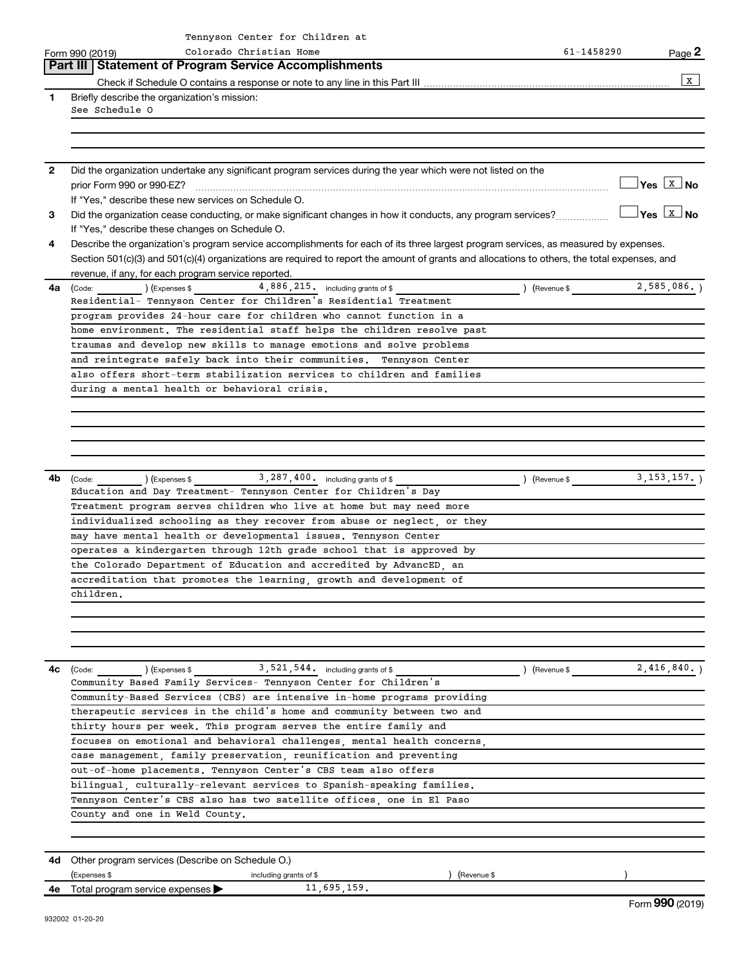|    | Tennyson Center for Children at                                                                                                              |                     |                                     |
|----|----------------------------------------------------------------------------------------------------------------------------------------------|---------------------|-------------------------------------|
|    | Colorado Christian Home<br>Form 990 (2019)                                                                                                   | 61-1458290          | Page 2                              |
|    | <b>Statement of Program Service Accomplishments</b><br>Part III                                                                              |                     |                                     |
|    |                                                                                                                                              |                     | X                                   |
| 1  | Briefly describe the organization's mission:<br>See Schedule O                                                                               |                     |                                     |
|    |                                                                                                                                              |                     |                                     |
|    |                                                                                                                                              |                     |                                     |
|    |                                                                                                                                              |                     |                                     |
| 2  | Did the organization undertake any significant program services during the year which were not listed on the                                 |                     |                                     |
|    | prior Form 990 or 990-EZ?                                                                                                                    |                     | $\sqrt{}$ Yes $\boxed{\text{x}}$ No |
|    | If "Yes," describe these new services on Schedule O.                                                                                         |                     |                                     |
| 3  | Did the organization cease conducting, or make significant changes in how it conducts, any program services?                                 |                     | $\Box$ Yes $\boxed{\text{x}}$ No    |
|    | If "Yes," describe these changes on Schedule O.                                                                                              |                     |                                     |
| 4  | Describe the organization's program service accomplishments for each of its three largest program services, as measured by expenses.         |                     |                                     |
|    | Section 501(c)(3) and 501(c)(4) organizations are required to report the amount of grants and allocations to others, the total expenses, and |                     |                                     |
|    | revenue, if any, for each program service reported.                                                                                          |                     |                                     |
| 4a |                                                                                                                                              |                     |                                     |
|    | Residential- Tennyson Center for Children's Residential Treatment                                                                            |                     |                                     |
|    | program provides 24-hour care for children who cannot function in a                                                                          |                     |                                     |
|    | home environment. The residential staff helps the children resolve past                                                                      |                     |                                     |
|    | traumas and develop new skills to manage emotions and solve problems<br>and reintegrate safely back into their communities. Tennyson Center  |                     |                                     |
|    | also offers short-term stabilization services to children and families                                                                       |                     |                                     |
|    | during a mental health or behavioral crisis.                                                                                                 |                     |                                     |
|    |                                                                                                                                              |                     |                                     |
|    |                                                                                                                                              |                     |                                     |
|    |                                                                                                                                              |                     |                                     |
|    |                                                                                                                                              |                     |                                     |
|    |                                                                                                                                              |                     |                                     |
| 4b |                                                                                                                                              | $\left($ Revenue \$ | $3, 153, 157.$ )                    |
|    | Education and Day Treatment- Tennyson Center for Children's Day                                                                              |                     |                                     |
|    | Treatment program serves children who live at home but may need more                                                                         |                     |                                     |
|    | individualized schooling as they recover from abuse or neglect, or they                                                                      |                     |                                     |
|    | may have mental health or developmental issues. Tennyson Center                                                                              |                     |                                     |
|    | operates a kindergarten through 12th grade school that is approved by                                                                        |                     |                                     |
|    | the Colorado Department of Education and accredited by AdvancED, an                                                                          |                     |                                     |
|    | accreditation that promotes the learning, growth and development of                                                                          |                     |                                     |
|    | children.                                                                                                                                    |                     |                                     |
|    |                                                                                                                                              |                     |                                     |
|    |                                                                                                                                              |                     |                                     |
|    |                                                                                                                                              |                     |                                     |
| 4c | $(1.521, 544.$ including grants of \$<br>(Code:                                                                                              | ) (Revenue \$       | $2,416,840.$ )                      |
|    | Community Based Family Services- Tennyson Center for Children's                                                                              |                     |                                     |
|    | Community-Based Services (CBS) are intensive in-home programs providing                                                                      |                     |                                     |
|    | therapeutic services in the child's home and community between two and                                                                       |                     |                                     |
|    | thirty hours per week. This program serves the entire family and                                                                             |                     |                                     |
|    | focuses on emotional and behavioral challenges, mental health concerns,                                                                      |                     |                                     |
|    | case management, family preservation, reunification and preventing                                                                           |                     |                                     |
|    | out-of-home placements. Tennyson Center's CBS team also offers                                                                               |                     |                                     |
|    | bilingual, culturally-relevant services to Spanish-speaking families.                                                                        |                     |                                     |
|    | Tennyson Center's CBS also has two satellite offices, one in El Paso                                                                         |                     |                                     |
|    | County and one in Weld County.                                                                                                               |                     |                                     |
|    |                                                                                                                                              |                     |                                     |
|    |                                                                                                                                              |                     |                                     |
|    | <b>4d</b> Other program services (Describe on Schedule O.)                                                                                   |                     |                                     |
|    | (Expenses \$<br>including grants of \$<br>(Revenue \$                                                                                        |                     |                                     |
|    | 11,695,159.<br><b>4e</b> Total program service expenses $\blacktriangleright$                                                                |                     | Form 990 (2019)                     |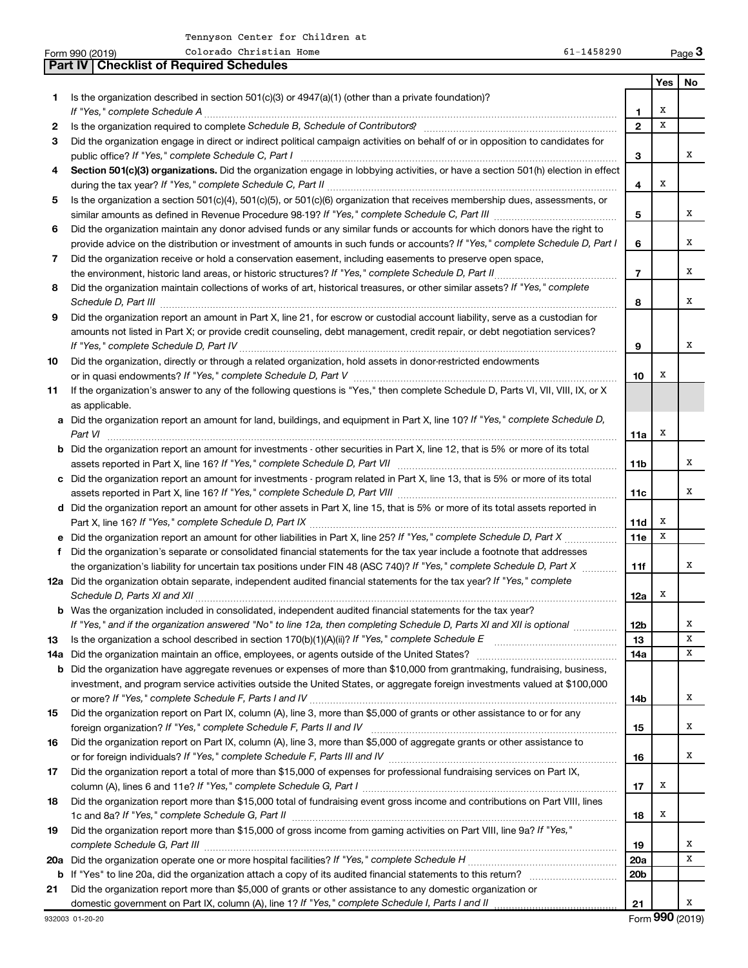|    | Colorado Christian Home<br>61-1458290<br>Form 990 (2019)                                                                              |                 |     | Page 3 |
|----|---------------------------------------------------------------------------------------------------------------------------------------|-----------------|-----|--------|
|    | <b>Checklist of Required Schedules</b><br>Part IV                                                                                     |                 |     |        |
|    |                                                                                                                                       |                 | Yes | No     |
| 1. | Is the organization described in section 501(c)(3) or $4947(a)(1)$ (other than a private foundation)?                                 |                 |     |        |
|    | If "Yes," complete Schedule A                                                                                                         | 1               | х   |        |
| 2  |                                                                                                                                       | $\overline{2}$  | X   |        |
| З  | Did the organization engage in direct or indirect political campaign activities on behalf of or in opposition to candidates for       |                 |     |        |
|    |                                                                                                                                       | 3               |     | x      |
| 4  | Section 501(c)(3) organizations. Did the organization engage in lobbying activities, or have a section 501(h) election in effect      |                 |     |        |
|    |                                                                                                                                       | 4               | X   |        |
| 5  | Is the organization a section 501(c)(4), 501(c)(5), or 501(c)(6) organization that receives membership dues, assessments, or          |                 |     |        |
|    |                                                                                                                                       | 5               |     | x      |
| 6  | Did the organization maintain any donor advised funds or any similar funds or accounts for which donors have the right to             |                 |     |        |
|    | provide advice on the distribution or investment of amounts in such funds or accounts? If "Yes," complete Schedule D, Part I          | 6               |     | х      |
| 7  | Did the organization receive or hold a conservation easement, including easements to preserve open space,                             |                 |     |        |
|    | the environment, historic land areas, or historic structures? If "Yes," complete Schedule D, Part II                                  | $\overline{7}$  |     | х      |
| 8  | Did the organization maintain collections of works of art, historical treasures, or other similar assets? If "Yes," complete          |                 |     |        |
|    |                                                                                                                                       | 8               |     | х      |
| 9  | Did the organization report an amount in Part X, line 21, for escrow or custodial account liability, serve as a custodian for         |                 |     |        |
|    | amounts not listed in Part X; or provide credit counseling, debt management, credit repair, or debt negotiation services?             |                 |     |        |
|    |                                                                                                                                       | 9               |     | х      |
| 10 | Did the organization, directly or through a related organization, hold assets in donor-restricted endowments                          |                 |     |        |
|    |                                                                                                                                       | 10              | х   |        |
| 11 | If the organization's answer to any of the following questions is "Yes," then complete Schedule D, Parts VI, VII, VIII, IX, or X      |                 |     |        |
|    | as applicable.                                                                                                                        |                 |     |        |
|    | a Did the organization report an amount for land, buildings, and equipment in Part X, line 10? If "Yes," complete Schedule D,         |                 |     |        |
|    | Part VI                                                                                                                               | 11a             | X   |        |
|    | <b>b</b> Did the organization report an amount for investments - other securities in Part X, line 12, that is 5% or more of its total |                 |     |        |
|    |                                                                                                                                       | 11b             |     | х      |
|    | c Did the organization report an amount for investments - program related in Part X, line 13, that is 5% or more of its total         |                 |     |        |
|    |                                                                                                                                       | 11c             |     | х      |
|    | d Did the organization report an amount for other assets in Part X, line 15, that is 5% or more of its total assets reported in       |                 |     |        |
|    |                                                                                                                                       | 11d             | х   |        |
|    |                                                                                                                                       | 11e             | X   |        |
| f  | Did the organization's separate or consolidated financial statements for the tax year include a footnote that addresses               |                 |     |        |
|    | the organization's liability for uncertain tax positions under FIN 48 (ASC 740)? If "Yes," complete Schedule D, Part X                | 11f             |     | х      |
|    | 12a Did the organization obtain separate, independent audited financial statements for the tax year? If "Yes," complete               |                 |     |        |
|    |                                                                                                                                       | 12a             |     |        |
|    | <b>b</b> Was the organization included in consolidated, independent audited financial statements for the tax year?                    |                 |     |        |
|    | If "Yes," and if the organization answered "No" to line 12a, then completing Schedule D, Parts XI and XII is optional <i>manum</i>    | 12b             |     | х      |
| 13 |                                                                                                                                       | 13              |     | X      |
|    | 14a Did the organization maintain an office, employees, or agents outside of the United States?                                       | 14a             |     | x      |
|    | <b>b</b> Did the organization have aggregate revenues or expenses of more than \$10,000 from grantmaking, fundraising, business,      |                 |     |        |
|    | investment, and program service activities outside the United States, or aggregate foreign investments valued at \$100,000            |                 |     |        |
|    |                                                                                                                                       | 14b             |     | х      |
| 15 | Did the organization report on Part IX, column (A), line 3, more than \$5,000 of grants or other assistance to or for any             |                 |     |        |
|    |                                                                                                                                       | 15              |     | x      |
| 16 | Did the organization report on Part IX, column (A), line 3, more than \$5,000 of aggregate grants or other assistance to              |                 |     |        |
|    |                                                                                                                                       | 16              |     | x      |
| 17 | Did the organization report a total of more than \$15,000 of expenses for professional fundraising services on Part IX,               |                 |     |        |
|    |                                                                                                                                       | 17              | х   |        |
| 18 | Did the organization report more than \$15,000 total of fundraising event gross income and contributions on Part VIII, lines          |                 |     |        |
|    |                                                                                                                                       | 18              | x   |        |
| 19 | Did the organization report more than \$15,000 of gross income from gaming activities on Part VIII, line 9a? If "Yes,"                |                 |     |        |
|    | complete Schedule G, Part III                                                                                                         | 19              |     | х      |
|    |                                                                                                                                       | 20a             |     | x      |
|    |                                                                                                                                       | 20 <sub>b</sub> |     |        |
| 21 | Did the organization report more than \$5,000 of grants or other assistance to any domestic organization or                           |                 |     |        |
|    |                                                                                                                                       | 21              |     | x      |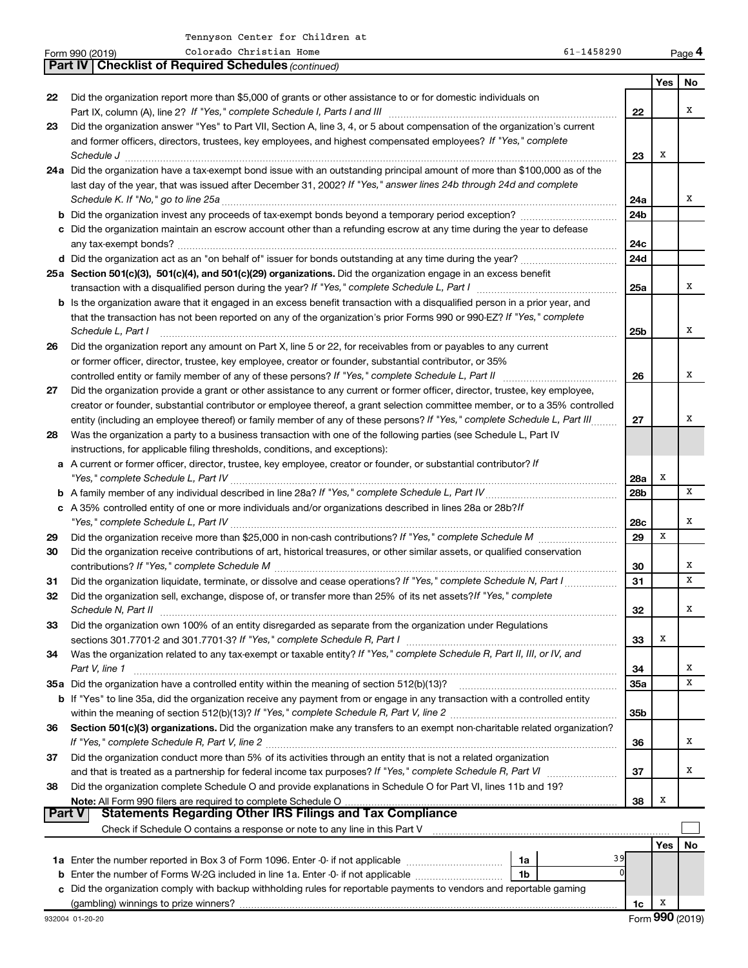|               | Colorado Christian Home<br>61-1458290<br>Form 990 (2019)                                                                                                                                                                                              |                        |     | Page 4          |
|---------------|-------------------------------------------------------------------------------------------------------------------------------------------------------------------------------------------------------------------------------------------------------|------------------------|-----|-----------------|
|               | <b>Part IV   Checklist of Required Schedules (continued)</b>                                                                                                                                                                                          |                        |     |                 |
|               |                                                                                                                                                                                                                                                       |                        | Yes | No              |
| 22            | Did the organization report more than \$5,000 of grants or other assistance to or for domestic individuals on                                                                                                                                         |                        |     | Χ               |
| 23            | Did the organization answer "Yes" to Part VII, Section A, line 3, 4, or 5 about compensation of the organization's current                                                                                                                            | 22                     |     |                 |
|               | and former officers, directors, trustees, key employees, and highest compensated employees? If "Yes," complete                                                                                                                                        |                        |     |                 |
|               | Schedule J <b>Martin Martin Communication Communication</b> Contract of Technical Communication Communication Communication                                                                                                                           | 23                     | х   |                 |
|               | 24a Did the organization have a tax-exempt bond issue with an outstanding principal amount of more than \$100,000 as of the                                                                                                                           |                        |     |                 |
|               | last day of the year, that was issued after December 31, 2002? If "Yes," answer lines 24b through 24d and complete                                                                                                                                    |                        |     |                 |
|               |                                                                                                                                                                                                                                                       | 24a                    |     | х               |
|               |                                                                                                                                                                                                                                                       | 24 <sub>b</sub>        |     |                 |
|               | c Did the organization maintain an escrow account other than a refunding escrow at any time during the year to defease                                                                                                                                |                        |     |                 |
|               |                                                                                                                                                                                                                                                       | 24c                    |     |                 |
|               |                                                                                                                                                                                                                                                       | 24d                    |     |                 |
|               | 25a Section 501(c)(3), 501(c)(4), and 501(c)(29) organizations. Did the organization engage in an excess benefit                                                                                                                                      |                        |     |                 |
|               |                                                                                                                                                                                                                                                       | 25a                    |     | Χ               |
|               | b Is the organization aware that it engaged in an excess benefit transaction with a disqualified person in a prior year, and<br>that the transaction has not been reported on any of the organization's prior Forms 990 or 990-EZ? If "Yes," complete |                        |     |                 |
|               | Schedule L, Part I                                                                                                                                                                                                                                    | 25 <sub>b</sub>        |     | Χ               |
| 26            | Did the organization report any amount on Part X, line 5 or 22, for receivables from or payables to any current                                                                                                                                       |                        |     |                 |
|               | or former officer, director, trustee, key employee, creator or founder, substantial contributor, or 35%                                                                                                                                               |                        |     |                 |
|               | controlled entity or family member of any of these persons? If "Yes," complete Schedule L, Part II                                                                                                                                                    | 26                     |     | Χ               |
| 27            | Did the organization provide a grant or other assistance to any current or former officer, director, trustee, key employee,                                                                                                                           |                        |     |                 |
|               | creator or founder, substantial contributor or employee thereof, a grant selection committee member, or to a 35% controlled                                                                                                                           |                        |     |                 |
|               | entity (including an employee thereof) or family member of any of these persons? If "Yes," complete Schedule L, Part III                                                                                                                              | 27                     |     | X               |
| 28            | Was the organization a party to a business transaction with one of the following parties (see Schedule L, Part IV                                                                                                                                     |                        |     |                 |
|               | instructions, for applicable filing thresholds, conditions, and exceptions):                                                                                                                                                                          |                        |     |                 |
|               | a A current or former officer, director, trustee, key employee, creator or founder, or substantial contributor? If                                                                                                                                    |                        |     |                 |
|               |                                                                                                                                                                                                                                                       | 28a<br>28 <sub>b</sub> | Х   | X               |
|               | c A 35% controlled entity of one or more individuals and/or organizations described in lines 28a or 28b?/f                                                                                                                                            |                        |     |                 |
|               |                                                                                                                                                                                                                                                       | 28c                    |     | х               |
| 29            |                                                                                                                                                                                                                                                       | 29                     | X   |                 |
| 30            | Did the organization receive contributions of art, historical treasures, or other similar assets, or qualified conservation                                                                                                                           |                        |     |                 |
|               |                                                                                                                                                                                                                                                       | 30                     |     | х               |
| 31            | Did the organization liquidate, terminate, or dissolve and cease operations? If "Yes," complete Schedule N, Part I                                                                                                                                    | 31                     |     | X               |
| 32            | Did the organization sell, exchange, dispose of, or transfer more than 25% of its net assets? If "Yes," complete                                                                                                                                      |                        |     |                 |
|               | Schedule N, Part II                                                                                                                                                                                                                                   | 32                     |     | х               |
| 33            | Did the organization own 100% of an entity disregarded as separate from the organization under Regulations                                                                                                                                            |                        |     |                 |
|               |                                                                                                                                                                                                                                                       | 33                     | х   |                 |
| 34            | Was the organization related to any tax-exempt or taxable entity? If "Yes," complete Schedule R, Part II, III, or IV, and                                                                                                                             |                        |     | х               |
|               | Part V, line 1                                                                                                                                                                                                                                        | 34<br>35a              |     | X               |
|               | b If "Yes" to line 35a, did the organization receive any payment from or engage in any transaction with a controlled entity                                                                                                                           |                        |     |                 |
|               |                                                                                                                                                                                                                                                       | 35b                    |     |                 |
| 36            | Section 501(c)(3) organizations. Did the organization make any transfers to an exempt non-charitable related organization?                                                                                                                            |                        |     |                 |
|               |                                                                                                                                                                                                                                                       | 36                     |     | х               |
| 37            | Did the organization conduct more than 5% of its activities through an entity that is not a related organization                                                                                                                                      |                        |     |                 |
|               |                                                                                                                                                                                                                                                       | 37                     |     | х               |
| 38            | Did the organization complete Schedule O and provide explanations in Schedule O for Part VI, lines 11b and 19?                                                                                                                                        |                        |     |                 |
| <b>Part V</b> | Note: All Form 990 filers are required to complete Schedule O                                                                                                                                                                                         | 38                     | х   |                 |
|               |                                                                                                                                                                                                                                                       |                        |     |                 |
|               |                                                                                                                                                                                                                                                       |                        | Yes | No              |
|               | 39<br>1a                                                                                                                                                                                                                                              |                        |     |                 |
| b             | Enter the number of Forms W-2G included in line 1a. Enter -0- if not applicable<br>1b                                                                                                                                                                 |                        |     |                 |
|               | c Did the organization comply with backup withholding rules for reportable payments to vendors and reportable gaming                                                                                                                                  |                        |     |                 |
|               | (gambling) winnings to prize winners?                                                                                                                                                                                                                 | 1c                     | х   |                 |
|               | 932004 01-20-20                                                                                                                                                                                                                                       |                        |     | Form 990 (2019) |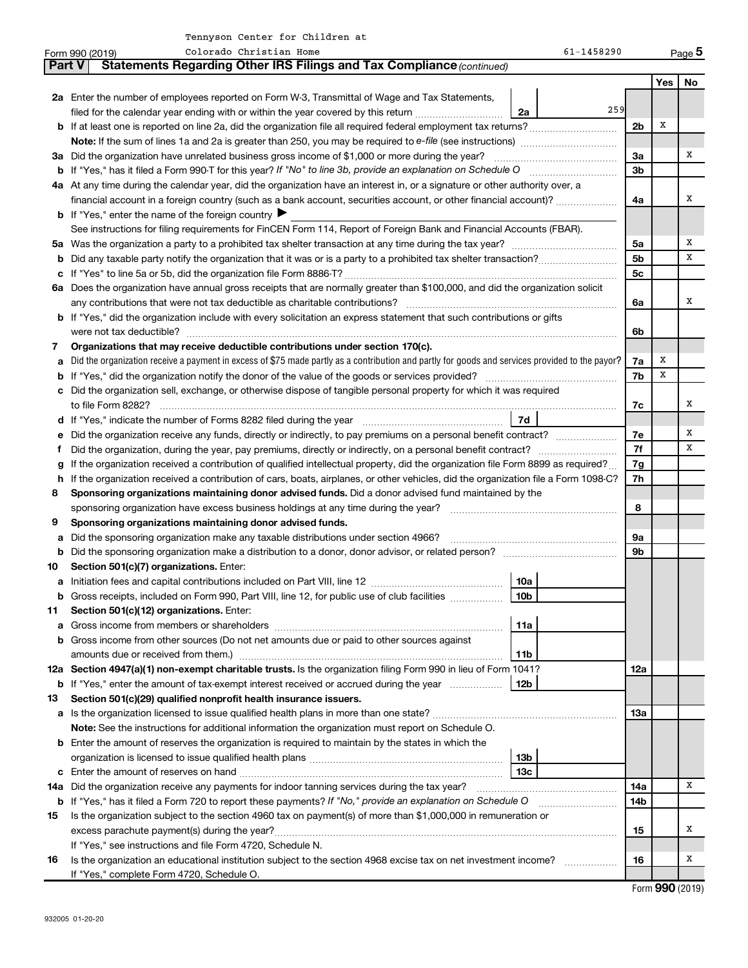|         | Colorado Christian Home<br>61-1458290<br>Form 990 (2019)                                                                                        |                |                       | Page 5 |  |  |  |
|---------|-------------------------------------------------------------------------------------------------------------------------------------------------|----------------|-----------------------|--------|--|--|--|
|         | Statements Regarding Other IRS Filings and Tax Compliance (continued)<br>Part V                                                                 |                |                       |        |  |  |  |
|         |                                                                                                                                                 |                | Yes                   | No     |  |  |  |
|         | 2a Enter the number of employees reported on Form W-3, Transmittal of Wage and Tax Statements,                                                  |                |                       |        |  |  |  |
|         | 259<br>filed for the calendar year ending with or within the year covered by this return<br>2a                                                  |                |                       |        |  |  |  |
|         |                                                                                                                                                 | 2b             | х                     |        |  |  |  |
|         |                                                                                                                                                 |                |                       |        |  |  |  |
|         | 3a Did the organization have unrelated business gross income of \$1,000 or more during the year?                                                | За             |                       | х      |  |  |  |
|         |                                                                                                                                                 | 3b             |                       |        |  |  |  |
|         | 4a At any time during the calendar year, did the organization have an interest in, or a signature or other authority over, a                    |                |                       |        |  |  |  |
|         | financial account in a foreign country (such as a bank account, securities account, or other financial account)?                                | 4a             |                       | х      |  |  |  |
|         | <b>b</b> If "Yes," enter the name of the foreign country $\blacktriangleright$                                                                  |                |                       |        |  |  |  |
|         | See instructions for filing requirements for FinCEN Form 114, Report of Foreign Bank and Financial Accounts (FBAR).                             |                |                       |        |  |  |  |
|         |                                                                                                                                                 | 5a             |                       | Х      |  |  |  |
|         |                                                                                                                                                 | 5b             |                       | x      |  |  |  |
|         |                                                                                                                                                 | 5 <sub>c</sub> |                       |        |  |  |  |
|         | 6a Does the organization have annual gross receipts that are normally greater than \$100,000, and did the organization solicit                  |                |                       |        |  |  |  |
|         |                                                                                                                                                 | 6a             |                       | x      |  |  |  |
|         | <b>b</b> If "Yes," did the organization include with every solicitation an express statement that such contributions or gifts                   |                |                       |        |  |  |  |
|         | were not tax deductible?                                                                                                                        | 6b             |                       |        |  |  |  |
| 7       | Organizations that may receive deductible contributions under section 170(c).                                                                   |                |                       |        |  |  |  |
|         | Did the organization receive a payment in excess of \$75 made partly as a contribution and partly for goods and services provided to the payor? | 7a             | х                     |        |  |  |  |
|         |                                                                                                                                                 | 7b             | х                     |        |  |  |  |
|         | c Did the organization sell, exchange, or otherwise dispose of tangible personal property for which it was required                             |                |                       |        |  |  |  |
|         |                                                                                                                                                 | 7c             |                       | x      |  |  |  |
|         | 7d                                                                                                                                              |                |                       |        |  |  |  |
|         |                                                                                                                                                 | 7е<br>7f       |                       | х<br>х |  |  |  |
| f.      |                                                                                                                                                 |                |                       |        |  |  |  |
|         | If the organization received a contribution of qualified intellectual property, did the organization file Form 8899 as required?                |                |                       |        |  |  |  |
|         | h If the organization received a contribution of cars, boats, airplanes, or other vehicles, did the organization file a Form 1098-C?            |                |                       |        |  |  |  |
| 8       | Sponsoring organizations maintaining donor advised funds. Did a donor advised fund maintained by the                                            |                |                       |        |  |  |  |
|         |                                                                                                                                                 | 8              |                       |        |  |  |  |
| 9       | Sponsoring organizations maintaining donor advised funds.                                                                                       |                |                       |        |  |  |  |
| а       |                                                                                                                                                 | 9а<br>9b       |                       |        |  |  |  |
| b<br>10 | Section 501(c)(7) organizations. Enter:                                                                                                         |                |                       |        |  |  |  |
|         | 10a                                                                                                                                             |                |                       |        |  |  |  |
|         | b Gross receipts, included on Form 990, Part VIII, line 12, for public use of club facilities<br>  10b                                          |                |                       |        |  |  |  |
| 11      | Section 501(c)(12) organizations. Enter:                                                                                                        |                |                       |        |  |  |  |
| а       | 11a                                                                                                                                             |                |                       |        |  |  |  |
|         | <b>b</b> Gross income from other sources (Do not net amounts due or paid to other sources against                                               |                |                       |        |  |  |  |
|         | amounts due or received from them.)<br>11b                                                                                                      |                |                       |        |  |  |  |
|         | 12a Section 4947(a)(1) non-exempt charitable trusts. Is the organization filing Form 990 in lieu of Form 1041?                                  | 12a            |                       |        |  |  |  |
|         | 12b<br><b>b</b> If "Yes," enter the amount of tax-exempt interest received or accrued during the year                                           |                |                       |        |  |  |  |
| 13      | Section 501(c)(29) qualified nonprofit health insurance issuers.                                                                                |                |                       |        |  |  |  |
|         |                                                                                                                                                 | 1За            |                       |        |  |  |  |
|         | Note: See the instructions for additional information the organization must report on Schedule O.                                               |                |                       |        |  |  |  |
|         | <b>b</b> Enter the amount of reserves the organization is required to maintain by the states in which the                                       |                |                       |        |  |  |  |
|         | 13b                                                                                                                                             |                |                       |        |  |  |  |
| c       | 13с                                                                                                                                             |                |                       |        |  |  |  |
|         | 14a Did the organization receive any payments for indoor tanning services during the tax year?                                                  | 14a            |                       | х      |  |  |  |
|         | <b>b</b> If "Yes," has it filed a Form 720 to report these payments? If "No," provide an explanation on Schedule O                              | 14b            |                       |        |  |  |  |
| 15      | Is the organization subject to the section 4960 tax on payment(s) of more than \$1,000,000 in remuneration or                                   |                |                       |        |  |  |  |
|         |                                                                                                                                                 | 15             |                       | х      |  |  |  |
|         | If "Yes," see instructions and file Form 4720, Schedule N.                                                                                      |                |                       |        |  |  |  |
| 16      | Is the organization an educational institution subject to the section 4968 excise tax on net investment income?                                 | 16             |                       | х      |  |  |  |
|         | If "Yes," complete Form 4720, Schedule O.                                                                                                       |                |                       |        |  |  |  |
|         |                                                                                                                                                 |                | Enrm $QQ \cap (2010)$ |        |  |  |  |

Form (2019) **990**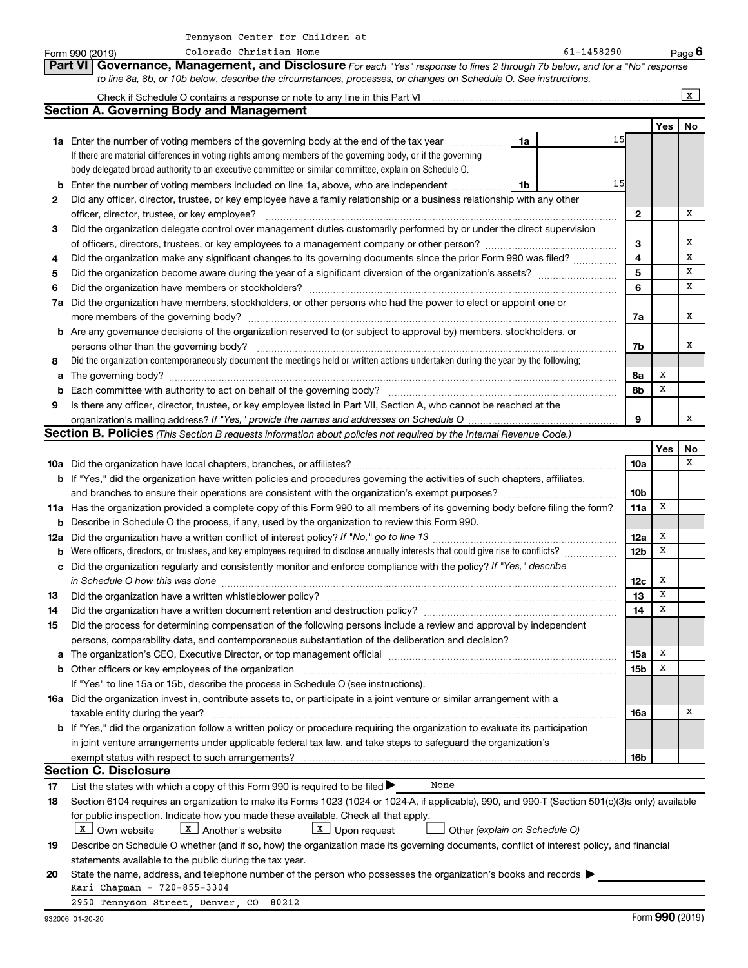|    | Colorado Christian Home<br>Form 990 (2019)                                                                                                                                                                                    |    | 61-1458290 |                 |             | Page 6       |
|----|-------------------------------------------------------------------------------------------------------------------------------------------------------------------------------------------------------------------------------|----|------------|-----------------|-------------|--------------|
|    | Governance, Management, and Disclosure For each "Yes" response to lines 2 through 7b below, and for a "No" response<br><b>Part VI</b>                                                                                         |    |            |                 |             |              |
|    | to line 8a, 8b, or 10b below, describe the circumstances, processes, or changes on Schedule O. See instructions.                                                                                                              |    |            |                 |             |              |
|    |                                                                                                                                                                                                                               |    |            |                 |             | $\mathbf{x}$ |
|    | <b>Section A. Governing Body and Management</b>                                                                                                                                                                               |    |            |                 |             |              |
|    |                                                                                                                                                                                                                               |    |            |                 | Yes         | No           |
|    | <b>1a</b> Enter the number of voting members of the governing body at the end of the tax year                                                                                                                                 | 1a | 15         |                 |             |              |
|    | If there are material differences in voting rights among members of the governing body, or if the governing                                                                                                                   |    |            |                 |             |              |
|    | body delegated broad authority to an executive committee or similar committee, explain on Schedule O.                                                                                                                         |    |            |                 |             |              |
| b  | Enter the number of voting members included on line 1a, above, who are independent                                                                                                                                            | 1b | 15         |                 |             |              |
| 2  | Did any officer, director, trustee, or key employee have a family relationship or a business relationship with any other                                                                                                      |    |            |                 |             |              |
|    | officer, director, trustee, or key employee?                                                                                                                                                                                  |    |            | 2               |             | х            |
| 3  | Did the organization delegate control over management duties customarily performed by or under the direct supervision                                                                                                         |    |            |                 |             |              |
|    |                                                                                                                                                                                                                               |    |            | З               |             | х            |
|    |                                                                                                                                                                                                                               |    |            | 4               |             | x            |
| 4  | Did the organization make any significant changes to its governing documents since the prior Form 990 was filed?                                                                                                              |    |            | 5               |             | x            |
| 5  |                                                                                                                                                                                                                               |    |            | 6               |             | х            |
| 6  | Did the organization have members or stockholders?                                                                                                                                                                            |    |            |                 |             |              |
|    | 7a Did the organization have members, stockholders, or other persons who had the power to elect or appoint one or                                                                                                             |    |            |                 |             |              |
|    | more members of the governing body?                                                                                                                                                                                           |    |            | 7a              |             | x            |
|    | b Are any governance decisions of the organization reserved to (or subject to approval by) members, stockholders, or                                                                                                          |    |            |                 |             |              |
|    | persons other than the governing body?                                                                                                                                                                                        |    |            | 7b              |             | х            |
| 8  | Did the organization contemporaneously document the meetings held or written actions undertaken during the year by the following:                                                                                             |    |            |                 |             |              |
| a  |                                                                                                                                                                                                                               |    |            | 8а              | X           |              |
| b  | Each committee with authority to act on behalf of the governing body?                                                                                                                                                         |    |            | 8b              | х           |              |
| 9  | Is there any officer, director, trustee, or key employee listed in Part VII, Section A, who cannot be reached at the                                                                                                          |    |            |                 |             |              |
|    |                                                                                                                                                                                                                               |    |            | 9               |             | x            |
|    | Section B. Policies (This Section B requests information about policies not required by the Internal Revenue Code.)                                                                                                           |    |            |                 |             |              |
|    |                                                                                                                                                                                                                               |    |            |                 | Yes         | No           |
|    |                                                                                                                                                                                                                               |    |            | <b>10a</b>      |             | x            |
|    | b If "Yes," did the organization have written policies and procedures governing the activities of such chapters, affiliates,                                                                                                  |    |            |                 |             |              |
|    | and branches to ensure their operations are consistent with the organization's exempt purposes?                                                                                                                               |    |            | 10 <sub>b</sub> |             |              |
|    | 11a Has the organization provided a complete copy of this Form 990 to all members of its governing body before filing the form?                                                                                               |    |            | 11a             | x           |              |
|    | <b>b</b> Describe in Schedule O the process, if any, used by the organization to review this Form 990.                                                                                                                        |    |            |                 |             |              |
|    |                                                                                                                                                                                                                               |    |            | 12a             | х           |              |
| b  | Were officers, directors, or trustees, and key employees required to disclose annually interests that could give rise to conflicts?                                                                                           |    |            | 12 <sub>b</sub> | х           |              |
|    | c Did the organization regularly and consistently monitor and enforce compliance with the policy? If "Yes," describe                                                                                                          |    |            |                 |             |              |
|    | in Schedule O how this was done manufactured and continuum and contact the was done manufactured and contact t                                                                                                                |    |            | 12c             | x           |              |
| 13 | Did the organization have a written whistleblower policy?                                                                                                                                                                     |    |            | 13              | $\mathbf X$ |              |
| 14 | Did the organization have a written document retention and destruction policy? [11] manufaction in the organization have a written document retention and destruction policy?                                                 |    |            | 14              | х           |              |
| 15 | Did the process for determining compensation of the following persons include a review and approval by independent                                                                                                            |    |            |                 |             |              |
|    | persons, comparability data, and contemporaneous substantiation of the deliberation and decision?                                                                                                                             |    |            |                 |             |              |
| а  | The organization's CEO, Executive Director, or top management official manufactured content content of the organization's CEO, Executive Director, or top management official manufactured content of the original content of |    |            | 15a             | Х           |              |
|    |                                                                                                                                                                                                                               |    |            | 15 <sub>b</sub> | X           |              |
|    | If "Yes" to line 15a or 15b, describe the process in Schedule O (see instructions).                                                                                                                                           |    |            |                 |             |              |
|    | 16a Did the organization invest in, contribute assets to, or participate in a joint venture or similar arrangement with a                                                                                                     |    |            |                 |             |              |
|    | taxable entity during the year?                                                                                                                                                                                               |    |            | 16a             |             | х            |
|    | b If "Yes," did the organization follow a written policy or procedure requiring the organization to evaluate its participation                                                                                                |    |            |                 |             |              |
|    | in joint venture arrangements under applicable federal tax law, and take steps to safeguard the organization's                                                                                                                |    |            |                 |             |              |
|    | exempt status with respect to such arrangements?                                                                                                                                                                              |    |            | 16b             |             |              |
|    | <b>Section C. Disclosure</b>                                                                                                                                                                                                  |    |            |                 |             |              |
| 17 | List the states with which a copy of this Form 990 is required to be filed $\blacktriangleright$<br>None                                                                                                                      |    |            |                 |             |              |
| 18 | Section 6104 requires an organization to make its Forms 1023 (1024 or 1024-A, if applicable), 990, and 990-T (Section 501(c)(3)s only) available                                                                              |    |            |                 |             |              |
|    | for public inspection. Indicate how you made these available. Check all that apply.                                                                                                                                           |    |            |                 |             |              |
|    | $\boxed{\texttt{X}}$ Upon request<br>  X   Own website<br>$X$ Another's website<br>Other (explain on Schedule O)                                                                                                              |    |            |                 |             |              |
| 19 | Describe on Schedule O whether (and if so, how) the organization made its governing documents, conflict of interest policy, and financial                                                                                     |    |            |                 |             |              |
|    | statements available to the public during the tax year.                                                                                                                                                                       |    |            |                 |             |              |
| 20 | State the name, address, and telephone number of the person who possesses the organization's books and records                                                                                                                |    |            |                 |             |              |
|    | Kari Chapman - 720-855-3304                                                                                                                                                                                                   |    |            |                 |             |              |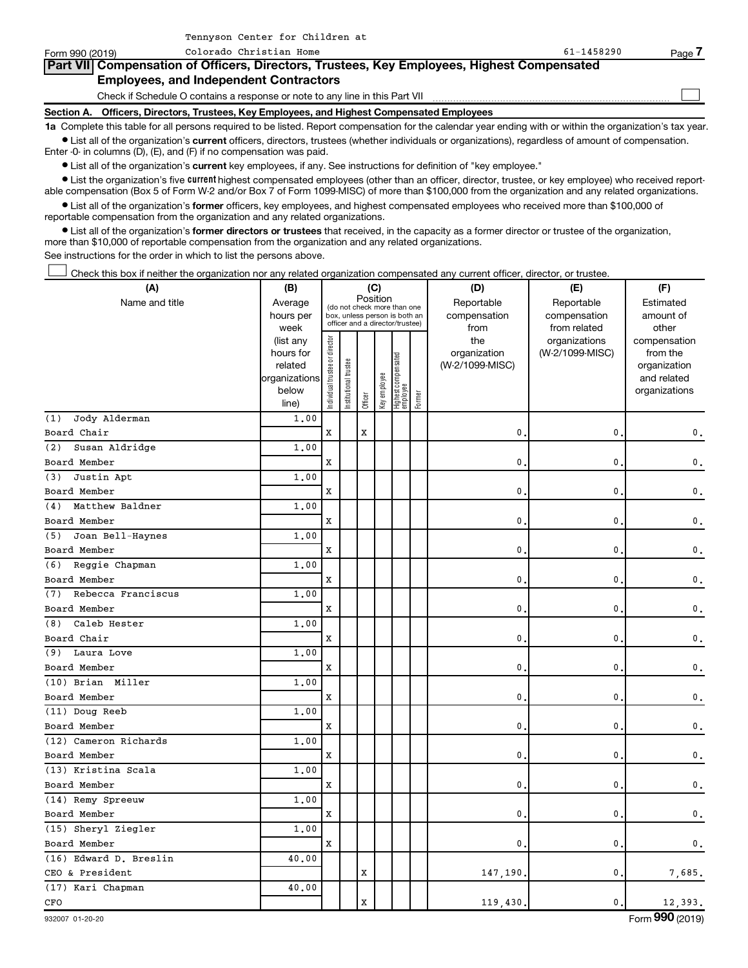| Form 990 (2019)   | Colorado Christian Home                                                                    | $61 - 1458290$ | Page . |  |  |  |  |  |
|-------------------|--------------------------------------------------------------------------------------------|----------------|--------|--|--|--|--|--|
|                   | Part VII Compensation of Officers, Directors, Trustees, Key Employees, Highest Compensated |                |        |  |  |  |  |  |
|                   | <b>Employees, and Independent Contractors</b>                                              |                |        |  |  |  |  |  |
|                   | Check if Schedule O contains a response or note to any line in this Part VII               |                |        |  |  |  |  |  |
| <b>Section A.</b> | Officers, Directors, Trustees, Key Employees, and Highest Compensated Employees            |                |        |  |  |  |  |  |
|                   | .                                                                                          |                |        |  |  |  |  |  |

**1a**  Complete this table for all persons required to be listed. Report compensation for the calendar year ending with or within the organization's tax year.  $\bullet$  List all of the organization's current officers, directors, trustees (whether individuals or organizations), regardless of amount of compensation.

Enter -0- in columns (D), (E), and (F) if no compensation was paid.

**•** List all of the organization's current key employees, if any. See instructions for definition of "key employee."

Tennyson Center for Children at

• List the organization's five *current* highest compensated employees (other than an officer, director, trustee, or key employee) who received reportable compensation (Box 5 of Form W-2 and/or Box 7 of Form 1099-MISC) of more than \$100,000 from the organization and any related organizations.

 $\bullet$  List all of the organization's former officers, key employees, and highest compensated employees who received more than \$100,000 of reportable compensation from the organization and any related organizations.

**•** List all of the organization's former directors or trustees that received, in the capacity as a former director or trustee of the organization, more than \$10,000 of reportable compensation from the organization and any related organizations.

See instructions for the order in which to list the persons above.

Check this box if neither the organization nor any related organization compensated any current officer, director, or trustee. †

| Position<br>Name and title<br>Average<br>Reportable<br>Reportable<br>Estimated<br>(do not check more than one<br>hours per<br>compensation<br>compensation<br>amount of<br>box, unless person is both an<br>officer and a director/trustee)<br>from related<br>other<br>week<br>from<br>Individual trustee or director<br>organizations<br>(list any<br>the<br>compensation<br>hours for<br>organization<br>(W-2/1099-MISC)<br>from the<br>Highest compensated<br>employee<br>Institutional trustee<br>related<br>(W-2/1099-MISC)<br>organization<br>Key employee<br>organizations<br>and related<br>below<br>organizations<br>Former<br>Officer<br>line)<br>Jody Alderman<br>1,00<br>(1)<br>$\mathbf x$<br>Board Chair<br>X<br>0<br>0<br>$\mathbf{0}$ .<br>(2)<br>Susan Aldridge<br>1.00<br>X<br>0<br>$\mathbf{0}$ .<br>Board Member<br>0<br>Justin Apt<br>1.00<br>(3)<br>Board Member<br>X<br>0<br>0<br>$\mathfrak o$ .<br>1.00<br>Matthew Baldner<br>(4)<br>Board Member<br>X<br>0<br>0<br>$\mathbf{0}$ .<br>Joan Bell-Haynes<br>1.00<br>(5)<br>X<br>$\mathbf{0}$ .<br>0<br>$\mathbf{0}$ .<br>Board Member<br>1.00<br>(6)<br>Reggie Chapman<br>X<br>0<br>0<br>$\mathbf{0}$ .<br>Board Member<br>Rebecca Franciscus<br>1.00<br>(7)<br>Board Member<br>X<br>0<br>0<br>$\mathbf{0}$ .<br>Caleb Hester<br>1.00<br>(8)<br>Board Chair<br>X<br>0<br>0<br>$\mathsf{0}\,.$<br>Laura Love<br>1.00<br>(9)<br>X<br>$\mathbf{0}$ .<br>0<br>$\mathsf{0}\,.$<br>Board Member<br>(10) Brian Miller<br>1,00<br>Board Member<br>X<br>0<br>0<br>$\mathsf{0}\,.$<br>(11) Doug Reeb<br>1,00<br>0<br>0<br>Board Member<br>X<br>$\mathbf 0$ .<br>(12) Cameron Richards<br>1,00<br>$\mathbf x$<br>Board Member<br>0<br>0<br>$\mathbf{0}$ .<br>(13) Kristina Scala<br>1,00<br>$\mathbf x$<br>0<br>Board Member<br>0<br>$\mathbf{0}$ .<br>(14) Remy Spreeuw<br>1,00<br>X<br>Board Member<br>0<br>0<br>$\mathbf{0}$ .<br>(15) Sheryl Ziegler<br>1.00<br>X<br>0<br>0<br>Board Member<br>$\mathbf{0}$ .<br>(16) Edward D. Breslin<br>40.00<br>CEO & President<br>X<br>147,190.<br>0<br>7,685.<br>(17) Kari Chapman<br>40.00<br>CFO<br>X<br>$\mathbf{0}$<br>119,430<br>12,393. | (A) | (B) |  | (C) |  | (D) | (E) | (F) |
|------------------------------------------------------------------------------------------------------------------------------------------------------------------------------------------------------------------------------------------------------------------------------------------------------------------------------------------------------------------------------------------------------------------------------------------------------------------------------------------------------------------------------------------------------------------------------------------------------------------------------------------------------------------------------------------------------------------------------------------------------------------------------------------------------------------------------------------------------------------------------------------------------------------------------------------------------------------------------------------------------------------------------------------------------------------------------------------------------------------------------------------------------------------------------------------------------------------------------------------------------------------------------------------------------------------------------------------------------------------------------------------------------------------------------------------------------------------------------------------------------------------------------------------------------------------------------------------------------------------------------------------------------------------------------------------------------------------------------------------------------------------------------------------------------------------------------------------------------------------------------------------------------------------------------------------------------------------------------------------------------------------------------------------------------------------------------------------------------------------------------------------------------|-----|-----|--|-----|--|-----|-----|-----|
|                                                                                                                                                                                                                                                                                                                                                                                                                                                                                                                                                                                                                                                                                                                                                                                                                                                                                                                                                                                                                                                                                                                                                                                                                                                                                                                                                                                                                                                                                                                                                                                                                                                                                                                                                                                                                                                                                                                                                                                                                                                                                                                                                      |     |     |  |     |  |     |     |     |
|                                                                                                                                                                                                                                                                                                                                                                                                                                                                                                                                                                                                                                                                                                                                                                                                                                                                                                                                                                                                                                                                                                                                                                                                                                                                                                                                                                                                                                                                                                                                                                                                                                                                                                                                                                                                                                                                                                                                                                                                                                                                                                                                                      |     |     |  |     |  |     |     |     |
|                                                                                                                                                                                                                                                                                                                                                                                                                                                                                                                                                                                                                                                                                                                                                                                                                                                                                                                                                                                                                                                                                                                                                                                                                                                                                                                                                                                                                                                                                                                                                                                                                                                                                                                                                                                                                                                                                                                                                                                                                                                                                                                                                      |     |     |  |     |  |     |     |     |
|                                                                                                                                                                                                                                                                                                                                                                                                                                                                                                                                                                                                                                                                                                                                                                                                                                                                                                                                                                                                                                                                                                                                                                                                                                                                                                                                                                                                                                                                                                                                                                                                                                                                                                                                                                                                                                                                                                                                                                                                                                                                                                                                                      |     |     |  |     |  |     |     |     |
|                                                                                                                                                                                                                                                                                                                                                                                                                                                                                                                                                                                                                                                                                                                                                                                                                                                                                                                                                                                                                                                                                                                                                                                                                                                                                                                                                                                                                                                                                                                                                                                                                                                                                                                                                                                                                                                                                                                                                                                                                                                                                                                                                      |     |     |  |     |  |     |     |     |
|                                                                                                                                                                                                                                                                                                                                                                                                                                                                                                                                                                                                                                                                                                                                                                                                                                                                                                                                                                                                                                                                                                                                                                                                                                                                                                                                                                                                                                                                                                                                                                                                                                                                                                                                                                                                                                                                                                                                                                                                                                                                                                                                                      |     |     |  |     |  |     |     |     |
|                                                                                                                                                                                                                                                                                                                                                                                                                                                                                                                                                                                                                                                                                                                                                                                                                                                                                                                                                                                                                                                                                                                                                                                                                                                                                                                                                                                                                                                                                                                                                                                                                                                                                                                                                                                                                                                                                                                                                                                                                                                                                                                                                      |     |     |  |     |  |     |     |     |
|                                                                                                                                                                                                                                                                                                                                                                                                                                                                                                                                                                                                                                                                                                                                                                                                                                                                                                                                                                                                                                                                                                                                                                                                                                                                                                                                                                                                                                                                                                                                                                                                                                                                                                                                                                                                                                                                                                                                                                                                                                                                                                                                                      |     |     |  |     |  |     |     |     |
|                                                                                                                                                                                                                                                                                                                                                                                                                                                                                                                                                                                                                                                                                                                                                                                                                                                                                                                                                                                                                                                                                                                                                                                                                                                                                                                                                                                                                                                                                                                                                                                                                                                                                                                                                                                                                                                                                                                                                                                                                                                                                                                                                      |     |     |  |     |  |     |     |     |
|                                                                                                                                                                                                                                                                                                                                                                                                                                                                                                                                                                                                                                                                                                                                                                                                                                                                                                                                                                                                                                                                                                                                                                                                                                                                                                                                                                                                                                                                                                                                                                                                                                                                                                                                                                                                                                                                                                                                                                                                                                                                                                                                                      |     |     |  |     |  |     |     |     |
|                                                                                                                                                                                                                                                                                                                                                                                                                                                                                                                                                                                                                                                                                                                                                                                                                                                                                                                                                                                                                                                                                                                                                                                                                                                                                                                                                                                                                                                                                                                                                                                                                                                                                                                                                                                                                                                                                                                                                                                                                                                                                                                                                      |     |     |  |     |  |     |     |     |
|                                                                                                                                                                                                                                                                                                                                                                                                                                                                                                                                                                                                                                                                                                                                                                                                                                                                                                                                                                                                                                                                                                                                                                                                                                                                                                                                                                                                                                                                                                                                                                                                                                                                                                                                                                                                                                                                                                                                                                                                                                                                                                                                                      |     |     |  |     |  |     |     |     |
|                                                                                                                                                                                                                                                                                                                                                                                                                                                                                                                                                                                                                                                                                                                                                                                                                                                                                                                                                                                                                                                                                                                                                                                                                                                                                                                                                                                                                                                                                                                                                                                                                                                                                                                                                                                                                                                                                                                                                                                                                                                                                                                                                      |     |     |  |     |  |     |     |     |
|                                                                                                                                                                                                                                                                                                                                                                                                                                                                                                                                                                                                                                                                                                                                                                                                                                                                                                                                                                                                                                                                                                                                                                                                                                                                                                                                                                                                                                                                                                                                                                                                                                                                                                                                                                                                                                                                                                                                                                                                                                                                                                                                                      |     |     |  |     |  |     |     |     |
|                                                                                                                                                                                                                                                                                                                                                                                                                                                                                                                                                                                                                                                                                                                                                                                                                                                                                                                                                                                                                                                                                                                                                                                                                                                                                                                                                                                                                                                                                                                                                                                                                                                                                                                                                                                                                                                                                                                                                                                                                                                                                                                                                      |     |     |  |     |  |     |     |     |
|                                                                                                                                                                                                                                                                                                                                                                                                                                                                                                                                                                                                                                                                                                                                                                                                                                                                                                                                                                                                                                                                                                                                                                                                                                                                                                                                                                                                                                                                                                                                                                                                                                                                                                                                                                                                                                                                                                                                                                                                                                                                                                                                                      |     |     |  |     |  |     |     |     |
|                                                                                                                                                                                                                                                                                                                                                                                                                                                                                                                                                                                                                                                                                                                                                                                                                                                                                                                                                                                                                                                                                                                                                                                                                                                                                                                                                                                                                                                                                                                                                                                                                                                                                                                                                                                                                                                                                                                                                                                                                                                                                                                                                      |     |     |  |     |  |     |     |     |
|                                                                                                                                                                                                                                                                                                                                                                                                                                                                                                                                                                                                                                                                                                                                                                                                                                                                                                                                                                                                                                                                                                                                                                                                                                                                                                                                                                                                                                                                                                                                                                                                                                                                                                                                                                                                                                                                                                                                                                                                                                                                                                                                                      |     |     |  |     |  |     |     |     |
|                                                                                                                                                                                                                                                                                                                                                                                                                                                                                                                                                                                                                                                                                                                                                                                                                                                                                                                                                                                                                                                                                                                                                                                                                                                                                                                                                                                                                                                                                                                                                                                                                                                                                                                                                                                                                                                                                                                                                                                                                                                                                                                                                      |     |     |  |     |  |     |     |     |
|                                                                                                                                                                                                                                                                                                                                                                                                                                                                                                                                                                                                                                                                                                                                                                                                                                                                                                                                                                                                                                                                                                                                                                                                                                                                                                                                                                                                                                                                                                                                                                                                                                                                                                                                                                                                                                                                                                                                                                                                                                                                                                                                                      |     |     |  |     |  |     |     |     |
|                                                                                                                                                                                                                                                                                                                                                                                                                                                                                                                                                                                                                                                                                                                                                                                                                                                                                                                                                                                                                                                                                                                                                                                                                                                                                                                                                                                                                                                                                                                                                                                                                                                                                                                                                                                                                                                                                                                                                                                                                                                                                                                                                      |     |     |  |     |  |     |     |     |
|                                                                                                                                                                                                                                                                                                                                                                                                                                                                                                                                                                                                                                                                                                                                                                                                                                                                                                                                                                                                                                                                                                                                                                                                                                                                                                                                                                                                                                                                                                                                                                                                                                                                                                                                                                                                                                                                                                                                                                                                                                                                                                                                                      |     |     |  |     |  |     |     |     |
|                                                                                                                                                                                                                                                                                                                                                                                                                                                                                                                                                                                                                                                                                                                                                                                                                                                                                                                                                                                                                                                                                                                                                                                                                                                                                                                                                                                                                                                                                                                                                                                                                                                                                                                                                                                                                                                                                                                                                                                                                                                                                                                                                      |     |     |  |     |  |     |     |     |
|                                                                                                                                                                                                                                                                                                                                                                                                                                                                                                                                                                                                                                                                                                                                                                                                                                                                                                                                                                                                                                                                                                                                                                                                                                                                                                                                                                                                                                                                                                                                                                                                                                                                                                                                                                                                                                                                                                                                                                                                                                                                                                                                                      |     |     |  |     |  |     |     |     |
|                                                                                                                                                                                                                                                                                                                                                                                                                                                                                                                                                                                                                                                                                                                                                                                                                                                                                                                                                                                                                                                                                                                                                                                                                                                                                                                                                                                                                                                                                                                                                                                                                                                                                                                                                                                                                                                                                                                                                                                                                                                                                                                                                      |     |     |  |     |  |     |     |     |
|                                                                                                                                                                                                                                                                                                                                                                                                                                                                                                                                                                                                                                                                                                                                                                                                                                                                                                                                                                                                                                                                                                                                                                                                                                                                                                                                                                                                                                                                                                                                                                                                                                                                                                                                                                                                                                                                                                                                                                                                                                                                                                                                                      |     |     |  |     |  |     |     |     |
|                                                                                                                                                                                                                                                                                                                                                                                                                                                                                                                                                                                                                                                                                                                                                                                                                                                                                                                                                                                                                                                                                                                                                                                                                                                                                                                                                                                                                                                                                                                                                                                                                                                                                                                                                                                                                                                                                                                                                                                                                                                                                                                                                      |     |     |  |     |  |     |     |     |
|                                                                                                                                                                                                                                                                                                                                                                                                                                                                                                                                                                                                                                                                                                                                                                                                                                                                                                                                                                                                                                                                                                                                                                                                                                                                                                                                                                                                                                                                                                                                                                                                                                                                                                                                                                                                                                                                                                                                                                                                                                                                                                                                                      |     |     |  |     |  |     |     |     |
|                                                                                                                                                                                                                                                                                                                                                                                                                                                                                                                                                                                                                                                                                                                                                                                                                                                                                                                                                                                                                                                                                                                                                                                                                                                                                                                                                                                                                                                                                                                                                                                                                                                                                                                                                                                                                                                                                                                                                                                                                                                                                                                                                      |     |     |  |     |  |     |     |     |
|                                                                                                                                                                                                                                                                                                                                                                                                                                                                                                                                                                                                                                                                                                                                                                                                                                                                                                                                                                                                                                                                                                                                                                                                                                                                                                                                                                                                                                                                                                                                                                                                                                                                                                                                                                                                                                                                                                                                                                                                                                                                                                                                                      |     |     |  |     |  |     |     |     |
|                                                                                                                                                                                                                                                                                                                                                                                                                                                                                                                                                                                                                                                                                                                                                                                                                                                                                                                                                                                                                                                                                                                                                                                                                                                                                                                                                                                                                                                                                                                                                                                                                                                                                                                                                                                                                                                                                                                                                                                                                                                                                                                                                      |     |     |  |     |  |     |     |     |
|                                                                                                                                                                                                                                                                                                                                                                                                                                                                                                                                                                                                                                                                                                                                                                                                                                                                                                                                                                                                                                                                                                                                                                                                                                                                                                                                                                                                                                                                                                                                                                                                                                                                                                                                                                                                                                                                                                                                                                                                                                                                                                                                                      |     |     |  |     |  |     |     |     |
|                                                                                                                                                                                                                                                                                                                                                                                                                                                                                                                                                                                                                                                                                                                                                                                                                                                                                                                                                                                                                                                                                                                                                                                                                                                                                                                                                                                                                                                                                                                                                                                                                                                                                                                                                                                                                                                                                                                                                                                                                                                                                                                                                      |     |     |  |     |  |     |     |     |
|                                                                                                                                                                                                                                                                                                                                                                                                                                                                                                                                                                                                                                                                                                                                                                                                                                                                                                                                                                                                                                                                                                                                                                                                                                                                                                                                                                                                                                                                                                                                                                                                                                                                                                                                                                                                                                                                                                                                                                                                                                                                                                                                                      |     |     |  |     |  |     |     |     |
|                                                                                                                                                                                                                                                                                                                                                                                                                                                                                                                                                                                                                                                                                                                                                                                                                                                                                                                                                                                                                                                                                                                                                                                                                                                                                                                                                                                                                                                                                                                                                                                                                                                                                                                                                                                                                                                                                                                                                                                                                                                                                                                                                      |     |     |  |     |  |     |     |     |
|                                                                                                                                                                                                                                                                                                                                                                                                                                                                                                                                                                                                                                                                                                                                                                                                                                                                                                                                                                                                                                                                                                                                                                                                                                                                                                                                                                                                                                                                                                                                                                                                                                                                                                                                                                                                                                                                                                                                                                                                                                                                                                                                                      |     |     |  |     |  |     |     |     |
|                                                                                                                                                                                                                                                                                                                                                                                                                                                                                                                                                                                                                                                                                                                                                                                                                                                                                                                                                                                                                                                                                                                                                                                                                                                                                                                                                                                                                                                                                                                                                                                                                                                                                                                                                                                                                                                                                                                                                                                                                                                                                                                                                      |     |     |  |     |  |     |     |     |
|                                                                                                                                                                                                                                                                                                                                                                                                                                                                                                                                                                                                                                                                                                                                                                                                                                                                                                                                                                                                                                                                                                                                                                                                                                                                                                                                                                                                                                                                                                                                                                                                                                                                                                                                                                                                                                                                                                                                                                                                                                                                                                                                                      |     |     |  |     |  |     |     |     |
|                                                                                                                                                                                                                                                                                                                                                                                                                                                                                                                                                                                                                                                                                                                                                                                                                                                                                                                                                                                                                                                                                                                                                                                                                                                                                                                                                                                                                                                                                                                                                                                                                                                                                                                                                                                                                                                                                                                                                                                                                                                                                                                                                      |     |     |  |     |  |     |     |     |
|                                                                                                                                                                                                                                                                                                                                                                                                                                                                                                                                                                                                                                                                                                                                                                                                                                                                                                                                                                                                                                                                                                                                                                                                                                                                                                                                                                                                                                                                                                                                                                                                                                                                                                                                                                                                                                                                                                                                                                                                                                                                                                                                                      |     |     |  |     |  |     |     |     |
|                                                                                                                                                                                                                                                                                                                                                                                                                                                                                                                                                                                                                                                                                                                                                                                                                                                                                                                                                                                                                                                                                                                                                                                                                                                                                                                                                                                                                                                                                                                                                                                                                                                                                                                                                                                                                                                                                                                                                                                                                                                                                                                                                      |     |     |  |     |  |     |     |     |
|                                                                                                                                                                                                                                                                                                                                                                                                                                                                                                                                                                                                                                                                                                                                                                                                                                                                                                                                                                                                                                                                                                                                                                                                                                                                                                                                                                                                                                                                                                                                                                                                                                                                                                                                                                                                                                                                                                                                                                                                                                                                                                                                                      |     |     |  |     |  |     |     |     |

932007 01-20-20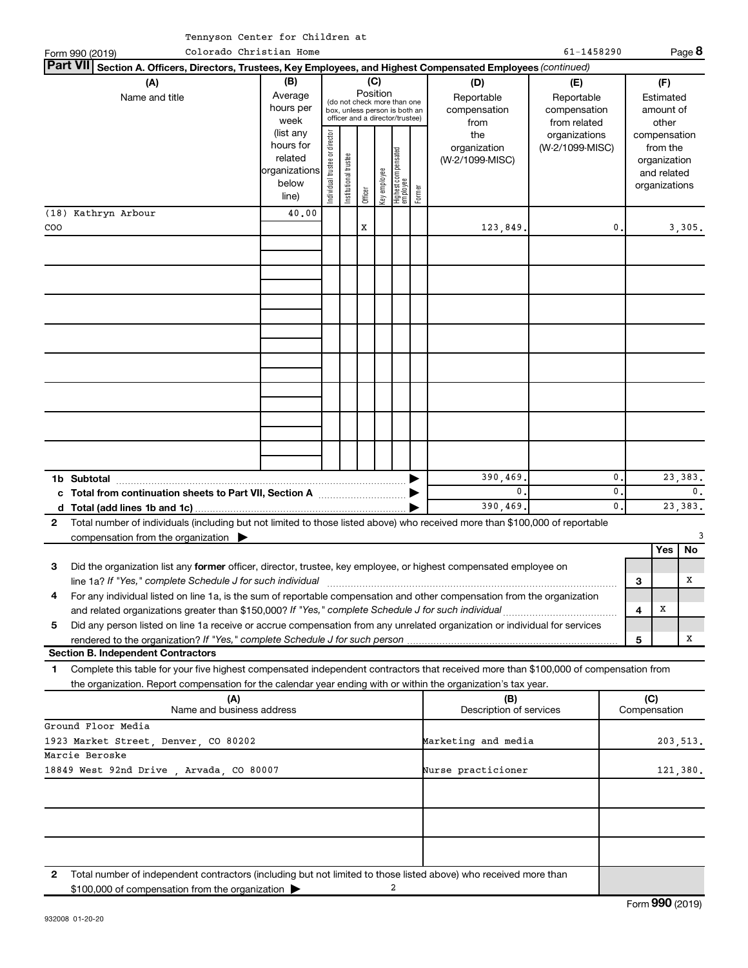|  | Tennyson Center for Children at |  |
|--|---------------------------------|--|
|  |                                 |  |

|                                                                                                                                                                                                                                                             | rennyson center for children at                         |                                |                       |          |              |                                                                                                 |        |                                                  |                                                                    |                |              |                                                          |                |
|-------------------------------------------------------------------------------------------------------------------------------------------------------------------------------------------------------------------------------------------------------------|---------------------------------------------------------|--------------------------------|-----------------------|----------|--------------|-------------------------------------------------------------------------------------------------|--------|--------------------------------------------------|--------------------------------------------------------------------|----------------|--------------|----------------------------------------------------------|----------------|
| Form 990 (2019)                                                                                                                                                                                                                                             | Colorado Christian Home                                 |                                |                       |          |              |                                                                                                 |        |                                                  | 61-1458290                                                         |                |              |                                                          | Page 8         |
| Part VII <br>Section A. Officers, Directors, Trustees, Key Employees, and Highest Compensated Employees (continued)                                                                                                                                         |                                                         |                                |                       |          |              |                                                                                                 |        |                                                  |                                                                    |                |              |                                                          |                |
| (A)<br>Name and title                                                                                                                                                                                                                                       | (B)<br>Average<br>hours per<br>week<br>(list any        |                                |                       | Position | (C)          | (do not check more than one<br>box, unless person is both an<br>officer and a director/trustee) |        | (D)<br>Reportable<br>compensation<br>from<br>the | (E)<br>Reportable<br>compensation<br>from related<br>organizations |                |              | (F)<br>Estimated<br>amount of<br>other<br>compensation   |                |
|                                                                                                                                                                                                                                                             | hours for<br>related<br>organizations<br>below<br>line) | Individual trustee or director | Institutional trustee | Officer  | Key employee | Highest compensated<br>  employee                                                               | Former | organization<br>(W-2/1099-MISC)                  | (W-2/1099-MISC)                                                    |                |              | from the<br>organization<br>and related<br>organizations |                |
| (18) Kathryn Arbour                                                                                                                                                                                                                                         | 40.00                                                   |                                |                       |          |              |                                                                                                 |        |                                                  |                                                                    |                |              |                                                          |                |
| COO                                                                                                                                                                                                                                                         |                                                         |                                |                       | X        |              |                                                                                                 |        | 123,849.                                         |                                                                    | 0.             |              |                                                          | 3,305.         |
|                                                                                                                                                                                                                                                             |                                                         |                                |                       |          |              |                                                                                                 |        |                                                  |                                                                    |                |              |                                                          |                |
|                                                                                                                                                                                                                                                             |                                                         |                                |                       |          |              |                                                                                                 |        |                                                  |                                                                    |                |              |                                                          |                |
|                                                                                                                                                                                                                                                             |                                                         |                                |                       |          |              |                                                                                                 |        |                                                  |                                                                    |                |              |                                                          |                |
|                                                                                                                                                                                                                                                             |                                                         |                                |                       |          |              |                                                                                                 |        |                                                  |                                                                    |                |              |                                                          |                |
|                                                                                                                                                                                                                                                             |                                                         |                                |                       |          |              |                                                                                                 |        | 390,469.                                         |                                                                    | $\mathbf{0}$ . |              |                                                          | 23, 383.       |
| c Total from continuation sheets to Part VII, Section A manufactured by                                                                                                                                                                                     |                                                         |                                |                       |          |              |                                                                                                 |        | 0.                                               |                                                                    | $\mathbf{0}$   |              |                                                          | $\mathbf{0}$ . |
|                                                                                                                                                                                                                                                             |                                                         |                                |                       |          |              |                                                                                                 |        | 390,469.                                         |                                                                    | $\mathbf{0}$   |              |                                                          | 23, 383.       |
| Total number of individuals (including but not limited to those listed above) who received more than \$100,000 of reportable<br>$\mathbf{2}$                                                                                                                |                                                         |                                |                       |          |              |                                                                                                 |        |                                                  |                                                                    |                |              |                                                          |                |
| compensation from the organization $\blacktriangleright$                                                                                                                                                                                                    |                                                         |                                |                       |          |              |                                                                                                 |        |                                                  |                                                                    |                |              | Yes                                                      | No             |
| Did the organization list any former officer, director, trustee, key employee, or highest compensated employee on<br>З                                                                                                                                      |                                                         |                                |                       |          |              |                                                                                                 |        |                                                  |                                                                    |                |              |                                                          |                |
| line 1a? If "Yes," complete Schedule J for such individual                                                                                                                                                                                                  |                                                         |                                |                       |          |              |                                                                                                 |        |                                                  |                                                                    |                | З            |                                                          | х              |
| For any individual listed on line 1a, is the sum of reportable compensation and other compensation from the organization<br>4                                                                                                                               |                                                         |                                |                       |          |              |                                                                                                 |        |                                                  |                                                                    |                |              |                                                          |                |
| and related organizations greater than \$150,000? If "Yes," complete Schedule J for such individual                                                                                                                                                         |                                                         |                                |                       |          |              |                                                                                                 |        |                                                  |                                                                    |                | 4            | X                                                        |                |
| Did any person listed on line 1a receive or accrue compensation from any unrelated organization or individual for services<br>5                                                                                                                             |                                                         |                                |                       |          |              |                                                                                                 |        |                                                  |                                                                    |                |              |                                                          |                |
| <b>Section B. Independent Contractors</b>                                                                                                                                                                                                                   |                                                         |                                |                       |          |              |                                                                                                 |        |                                                  |                                                                    |                | 5            |                                                          | x              |
|                                                                                                                                                                                                                                                             |                                                         |                                |                       |          |              |                                                                                                 |        |                                                  |                                                                    |                |              |                                                          |                |
| Complete this table for your five highest compensated independent contractors that received more than \$100,000 of compensation from<br>1<br>the organization. Report compensation for the calendar year ending with or within the organization's tax year. |                                                         |                                |                       |          |              |                                                                                                 |        |                                                  |                                                                    |                |              |                                                          |                |
| (A)                                                                                                                                                                                                                                                         |                                                         |                                |                       |          |              |                                                                                                 |        | (B)                                              |                                                                    |                | (C)          |                                                          |                |
| Name and business address                                                                                                                                                                                                                                   |                                                         |                                |                       |          |              |                                                                                                 |        | Description of services                          |                                                                    |                | Compensation |                                                          |                |
| Ground Floor Media                                                                                                                                                                                                                                          |                                                         |                                |                       |          |              |                                                                                                 |        |                                                  |                                                                    |                |              |                                                          |                |
| 1923 Market Street, Denver, CO 80202<br>Marcie Beroske                                                                                                                                                                                                      |                                                         |                                |                       |          |              |                                                                                                 |        | Marketing and media                              |                                                                    |                |              |                                                          | 203,513.       |
| 18849 West 92nd Drive, Arvada, CO 80007                                                                                                                                                                                                                     |                                                         |                                |                       |          |              |                                                                                                 |        | Nurse practicioner                               |                                                                    |                |              |                                                          | 121,380.       |
|                                                                                                                                                                                                                                                             |                                                         |                                |                       |          |              |                                                                                                 |        |                                                  |                                                                    |                |              |                                                          |                |
|                                                                                                                                                                                                                                                             |                                                         |                                |                       |          |              |                                                                                                 |        |                                                  |                                                                    |                |              |                                                          |                |

**2** Total number of independent contractors (including but not limited to those listed above) who received more than \$100,000 of compensation from the organization 2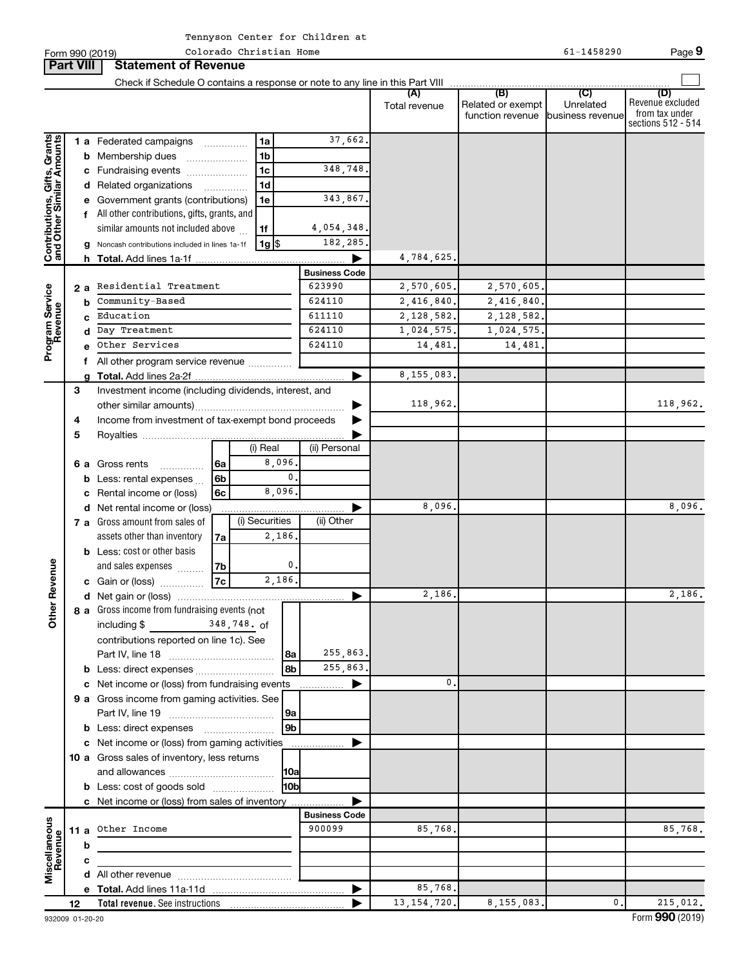|                                                           |    |    | Form 990 (2019)                                                               |      | Colorado Christian Home |                      |                      |                      |                                              | 61-1458290                                      | Page 9                                                          |
|-----------------------------------------------------------|----|----|-------------------------------------------------------------------------------|------|-------------------------|----------------------|----------------------|----------------------|----------------------------------------------|-------------------------------------------------|-----------------------------------------------------------------|
| <b>Part VIII</b>                                          |    |    | <b>Statement of Revenue</b>                                                   |      |                         |                      |                      |                      |                                              |                                                 |                                                                 |
|                                                           |    |    | Check if Schedule O contains a response or note to any line in this Part VIII |      |                         |                      |                      |                      |                                              |                                                 |                                                                 |
|                                                           |    |    |                                                                               |      |                         |                      |                      | (A)<br>Total revenue | (B)<br>Related or exempt<br>function revenue | $\overline{C}$<br>Unrelated<br>business revenue | (D)<br>Revenue excluded<br>from tax under<br>sections 512 - 514 |
|                                                           |    |    | 1 a Federated campaigns                                                       |      | 1a                      |                      | 37,662.              |                      |                                              |                                                 |                                                                 |
| Contributions, Gifts, Grants<br>and Other Similar Amounts |    |    | <b>b</b> Membership dues                                                      |      | 1 <sub>b</sub>          |                      |                      |                      |                                              |                                                 |                                                                 |
|                                                           |    |    | c Fundraising events                                                          |      | 1 <sub>c</sub>          |                      | 348,748.             |                      |                                              |                                                 |                                                                 |
|                                                           |    |    | d Related organizations                                                       |      | 1 <sub>d</sub>          |                      |                      |                      |                                              |                                                 |                                                                 |
|                                                           |    |    | e Government grants (contributions)                                           |      | 1e                      |                      | 343,867.             |                      |                                              |                                                 |                                                                 |
|                                                           |    |    | All other contributions, gifts, grants, and                                   |      |                         |                      |                      |                      |                                              |                                                 |                                                                 |
|                                                           |    |    | similar amounts not included above                                            |      | 1f                      |                      | 4,054,348.           |                      |                                              |                                                 |                                                                 |
|                                                           |    |    | Noncash contributions included in lines 1a-1f                                 |      | $1g$ \$                 |                      | 182,285.             |                      |                                              |                                                 |                                                                 |
|                                                           |    |    |                                                                               |      |                         |                      |                      | 4,784,625.           |                                              |                                                 |                                                                 |
|                                                           |    |    |                                                                               |      |                         |                      | <b>Business Code</b> |                      |                                              |                                                 |                                                                 |
|                                                           |    | 2a | Residential Treatment                                                         |      |                         |                      | 623990               | 2,570,605.           | 2,570,605.                                   |                                                 |                                                                 |
|                                                           |    | b  | Community-Based                                                               |      |                         |                      | 624110               | 2,416,840.           | 2,416,840.                                   |                                                 |                                                                 |
|                                                           |    |    | Education                                                                     |      |                         |                      | 611110               | 2,128,582.           | 2,128,582.                                   |                                                 |                                                                 |
|                                                           |    | d  | Day Treatment                                                                 |      |                         |                      | 624110               | 1,024,575.           | 1,024,575.                                   |                                                 |                                                                 |
| Program Service<br>Revenue                                |    |    | Other Services                                                                |      |                         |                      | 624110               | 14,481.              | 14,481.                                      |                                                 |                                                                 |
|                                                           |    |    | All other program service revenue                                             |      |                         |                      |                      |                      |                                              |                                                 |                                                                 |
|                                                           |    | a  |                                                                               |      |                         |                      |                      | 8, 155, 083.         |                                              |                                                 |                                                                 |
|                                                           | 3  |    | Investment income (including dividends, interest, and                         |      |                         |                      |                      |                      |                                              |                                                 |                                                                 |
|                                                           |    |    |                                                                               |      |                         |                      |                      | 118,962.             |                                              |                                                 | 118,962.                                                        |
|                                                           | 4  |    | Income from investment of tax-exempt bond proceeds                            |      |                         |                      |                      |                      |                                              |                                                 |                                                                 |
|                                                           | 5  |    |                                                                               |      |                         |                      |                      |                      |                                              |                                                 |                                                                 |
|                                                           |    |    |                                                                               |      | (i) Real                |                      | (ii) Personal        |                      |                                              |                                                 |                                                                 |
|                                                           |    | 6а | Gross rents<br>.                                                              | l 6a |                         | 8,096                |                      |                      |                                              |                                                 |                                                                 |
|                                                           |    |    | <b>b</b> Less: rental expenses                                                | 6b   |                         | $\mathbf{0}$ .       |                      |                      |                                              |                                                 |                                                                 |
|                                                           |    |    | Rental income or (loss)                                                       | 6c   |                         | 8,096                |                      |                      |                                              |                                                 |                                                                 |
|                                                           |    |    | d Net rental income or (loss)                                                 |      |                         |                      |                      | 8,096                |                                              |                                                 | 8,096.                                                          |
|                                                           |    |    | 7 a Gross amount from sales of                                                |      | (i) Securities          |                      | (ii) Other           |                      |                                              |                                                 |                                                                 |
|                                                           |    |    | assets other than inventory                                                   | 7a   |                         | 2,186                |                      |                      |                                              |                                                 |                                                                 |
|                                                           |    |    | <b>b</b> Less: cost or other basis                                            |      |                         |                      |                      |                      |                                              |                                                 |                                                                 |
| evenue                                                    |    |    | and sales expenses                                                            | 7b   |                         | $\mathbf 0$          |                      |                      |                                              |                                                 |                                                                 |
|                                                           |    |    | c Gain or (loss)                                                              | 7c   |                         | 2,186.               |                      |                      |                                              |                                                 |                                                                 |
|                                                           |    |    |                                                                               |      |                         |                      |                      | 2,186.               |                                              |                                                 | 2,186.                                                          |
| Other P                                                   |    |    | 8 a Gross income from fundraising events (not                                 |      |                         |                      |                      |                      |                                              |                                                 |                                                                 |
|                                                           |    |    | including \$ 348, 748. of                                                     |      |                         |                      |                      |                      |                                              |                                                 |                                                                 |
|                                                           |    |    | contributions reported on line 1c). See                                       |      |                         |                      |                      |                      |                                              |                                                 |                                                                 |
|                                                           |    |    |                                                                               |      |                         | 8a                   | 255,863.             |                      |                                              |                                                 |                                                                 |
|                                                           |    |    | <b>b</b> Less: direct expenses <i></i>                                        |      |                         | 8b                   | 255,863.             |                      |                                              |                                                 |                                                                 |
|                                                           |    |    |                                                                               |      |                         |                      |                      | 0.                   |                                              |                                                 |                                                                 |
|                                                           |    |    | 9 a Gross income from gaming activities. See                                  |      |                         |                      |                      |                      |                                              |                                                 |                                                                 |
|                                                           |    |    |                                                                               |      |                         | 9a<br>9 <sub>b</sub> |                      |                      |                                              |                                                 |                                                                 |
|                                                           |    |    | c Net income or (loss) from gaming activities                                 |      |                         |                      |                      |                      |                                              |                                                 |                                                                 |
|                                                           |    |    |                                                                               |      |                         |                      | ▶                    |                      |                                              |                                                 |                                                                 |
|                                                           |    |    | 10 a Gross sales of inventory, less returns                                   |      |                         |                      |                      |                      |                                              |                                                 |                                                                 |
|                                                           |    |    |                                                                               |      |                         | H <sub>0b</sub>      |                      |                      |                                              |                                                 |                                                                 |
|                                                           |    |    | <b>b</b> Less: cost of goods sold                                             |      |                         |                      | ▶                    |                      |                                              |                                                 |                                                                 |
|                                                           |    |    | c Net income or (loss) from sales of inventory                                |      |                         |                      | <b>Business Code</b> |                      |                                              |                                                 |                                                                 |
|                                                           |    |    | 11 a Other Income                                                             |      |                         |                      | 900099               | 85,768.              |                                              |                                                 | 85,768.                                                         |
| Miscellaneous<br>Revenue                                  |    | b  |                                                                               |      |                         |                      |                      |                      |                                              |                                                 |                                                                 |
|                                                           |    | с  |                                                                               |      |                         |                      |                      |                      |                                              |                                                 |                                                                 |
|                                                           |    |    |                                                                               |      |                         |                      |                      |                      |                                              |                                                 |                                                                 |
|                                                           |    |    |                                                                               |      |                         |                      |                      | 85,768.              |                                              |                                                 |                                                                 |
|                                                           | 12 |    |                                                                               |      |                         |                      |                      | 13, 154, 720.        | 8,155,083.                                   | $\mathbf{0}$ .                                  | 215,012.                                                        |
|                                                           |    |    |                                                                               |      |                         |                      |                      |                      |                                              |                                                 |                                                                 |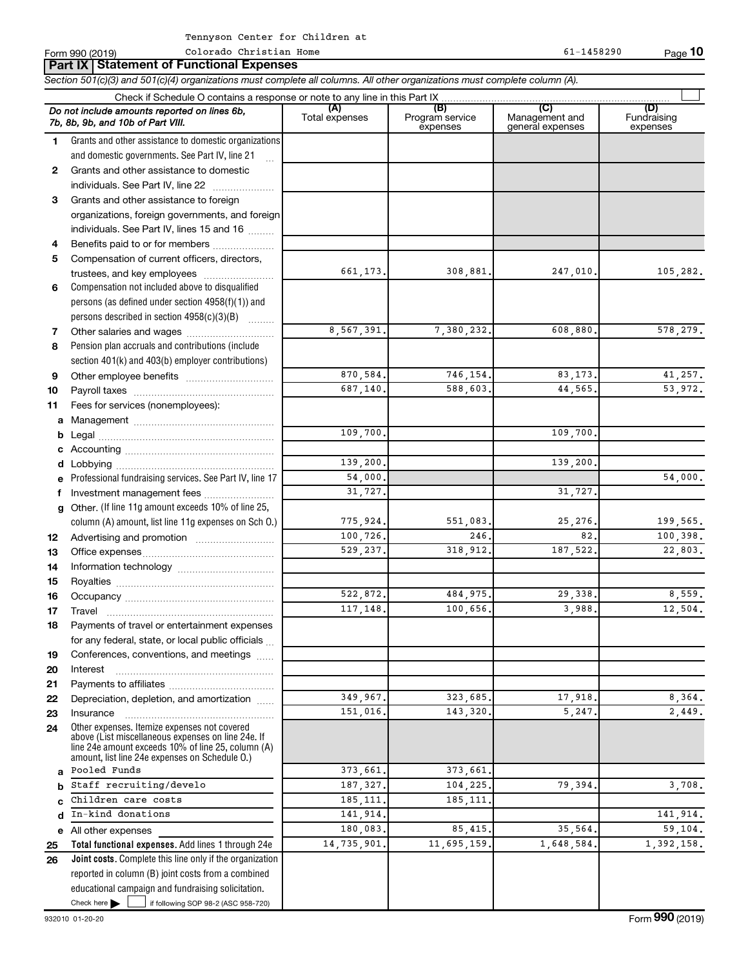|              | Do not include amounts reported on lines 6b,<br>7b, 8b, 9b, and 10b of Part VIII.                                                                                                                          | (A)<br>Total expenses  | (B)<br>Program service<br>expenses | (C)<br>Management and<br>general expenses | (D)<br>Fundraising<br>expenses |
|--------------|------------------------------------------------------------------------------------------------------------------------------------------------------------------------------------------------------------|------------------------|------------------------------------|-------------------------------------------|--------------------------------|
| 1.           | Grants and other assistance to domestic organizations                                                                                                                                                      |                        |                                    |                                           |                                |
|              | and domestic governments. See Part IV, line 21                                                                                                                                                             |                        |                                    |                                           |                                |
| $\mathbf{2}$ | Grants and other assistance to domestic                                                                                                                                                                    |                        |                                    |                                           |                                |
|              | individuals. See Part IV, line 22                                                                                                                                                                          |                        |                                    |                                           |                                |
| 3            | Grants and other assistance to foreign                                                                                                                                                                     |                        |                                    |                                           |                                |
|              | organizations, foreign governments, and foreign                                                                                                                                                            |                        |                                    |                                           |                                |
|              | individuals. See Part IV, lines 15 and 16                                                                                                                                                                  |                        |                                    |                                           |                                |
| 4            | Benefits paid to or for members                                                                                                                                                                            |                        |                                    |                                           |                                |
| 5            | Compensation of current officers, directors,                                                                                                                                                               |                        |                                    |                                           |                                |
|              | trustees, and key employees                                                                                                                                                                                | 661,173.               | 308,881.                           | 247,010.                                  | 105,282.                       |
| 6            | Compensation not included above to disqualified                                                                                                                                                            |                        |                                    |                                           |                                |
|              | persons (as defined under section 4958(f)(1)) and                                                                                                                                                          |                        |                                    |                                           |                                |
|              | persons described in section 4958(c)(3)(B)                                                                                                                                                                 |                        |                                    |                                           |                                |
| 7            |                                                                                                                                                                                                            | 8,567,391.             | 7,380,232.                         | 608,880.                                  | 578,279.                       |
| 8            | Pension plan accruals and contributions (include                                                                                                                                                           |                        |                                    |                                           |                                |
|              | section 401(k) and 403(b) employer contributions)                                                                                                                                                          |                        |                                    |                                           |                                |
| 9            |                                                                                                                                                                                                            | 870,584.               | 746,154                            | 83, 173.                                  | 41,257.                        |
| 10           |                                                                                                                                                                                                            | 687,140.               | 588,603                            | 44,565                                    | 53,972.                        |
| 11           | Fees for services (nonemployees):                                                                                                                                                                          |                        |                                    |                                           |                                |
| a            |                                                                                                                                                                                                            |                        |                                    |                                           |                                |
| b            |                                                                                                                                                                                                            | 109,700.               |                                    | 109,700.                                  |                                |
|              |                                                                                                                                                                                                            |                        |                                    |                                           |                                |
|              |                                                                                                                                                                                                            | 139,200.               |                                    | 139,200                                   |                                |
| е            | Professional fundraising services. See Part IV, line 17                                                                                                                                                    | 54,000.                |                                    |                                           | 54,000.                        |
| f            | Investment management fees                                                                                                                                                                                 | 31,727.                |                                    | 31,727                                    |                                |
| g            | Other. (If line 11g amount exceeds 10% of line 25,                                                                                                                                                         |                        |                                    |                                           |                                |
|              | column (A) amount, list line 11g expenses on Sch O.)                                                                                                                                                       | 775,924.               | 551,083.                           | 25,276.                                   | 199,565.                       |
| 12           |                                                                                                                                                                                                            | 100,726.               | 246                                | 82.                                       | 100,398.                       |
| 13           |                                                                                                                                                                                                            | 529,237.               | 318,912.                           | 187,522.                                  | 22,803.                        |
| 14           |                                                                                                                                                                                                            |                        |                                    |                                           |                                |
| 15           |                                                                                                                                                                                                            |                        |                                    |                                           |                                |
| 16           |                                                                                                                                                                                                            | 522,872.               | 484,975.                           | 29,338.                                   | 8,559.                         |
| 17           |                                                                                                                                                                                                            | 117,148.               | 100,656.                           | 3,988.                                    | 12,504.                        |
| 18           | Payments of travel or entertainment expenses                                                                                                                                                               |                        |                                    |                                           |                                |
|              | for any federal, state, or local public officials                                                                                                                                                          |                        |                                    |                                           |                                |
| 19           | Conferences, conventions, and meetings                                                                                                                                                                     |                        |                                    |                                           |                                |
| 20           | Interest                                                                                                                                                                                                   |                        |                                    |                                           |                                |
| 21           |                                                                                                                                                                                                            |                        |                                    |                                           |                                |
| 22           | Depreciation, depletion, and amortization                                                                                                                                                                  | $\overline{349,967}$ . | 323,685.                           | 17,918.                                   | 8,364.                         |
| 23           | Insurance                                                                                                                                                                                                  | 151.016.               | 143,320                            | 5,247                                     | 2,449.                         |
| 24           | Other expenses. Itemize expenses not covered<br>above (List miscellaneous expenses on line 24e. If<br>line 24e amount exceeds 10% of line 25, column (A)<br>amount, list line 24e expenses on Schedule O.) |                        |                                    |                                           |                                |
| a            | Pooled Funds                                                                                                                                                                                               | 373,661                | 373,661                            |                                           |                                |
| b            | Staff recruiting/develo                                                                                                                                                                                    | 187, 327.              | 104,225.                           | 79,394                                    | 3,708.                         |
| C            | Children care costs                                                                                                                                                                                        | 185,111                | 185,111                            |                                           |                                |
| d            | In-kind donations                                                                                                                                                                                          | 141,914.               |                                    |                                           | 141,914.                       |
|              | e All other expenses                                                                                                                                                                                       | 180,083.               | 85, 415.                           | 35,564                                    | 59,104.                        |
| 25           | Total functional expenses. Add lines 1 through 24e                                                                                                                                                         | 14,735,901             | 11,695,159.                        | 1,648,584                                 | 1,392,158.                     |
| 26           | <b>Joint costs.</b> Complete this line only if the organization                                                                                                                                            |                        |                                    |                                           |                                |
|              | reported in column (B) joint costs from a combined                                                                                                                                                         |                        |                                    |                                           |                                |
|              | educational campaign and fundraising solicitation.                                                                                                                                                         |                        |                                    |                                           |                                |

Check here

Check here  $\begin{array}{c} \begin{array}{|c} \hline \end{array} \end{array}$  if following SOP 98-2 (ASC 958-720)

**Part IX Statement of Functional Expenses**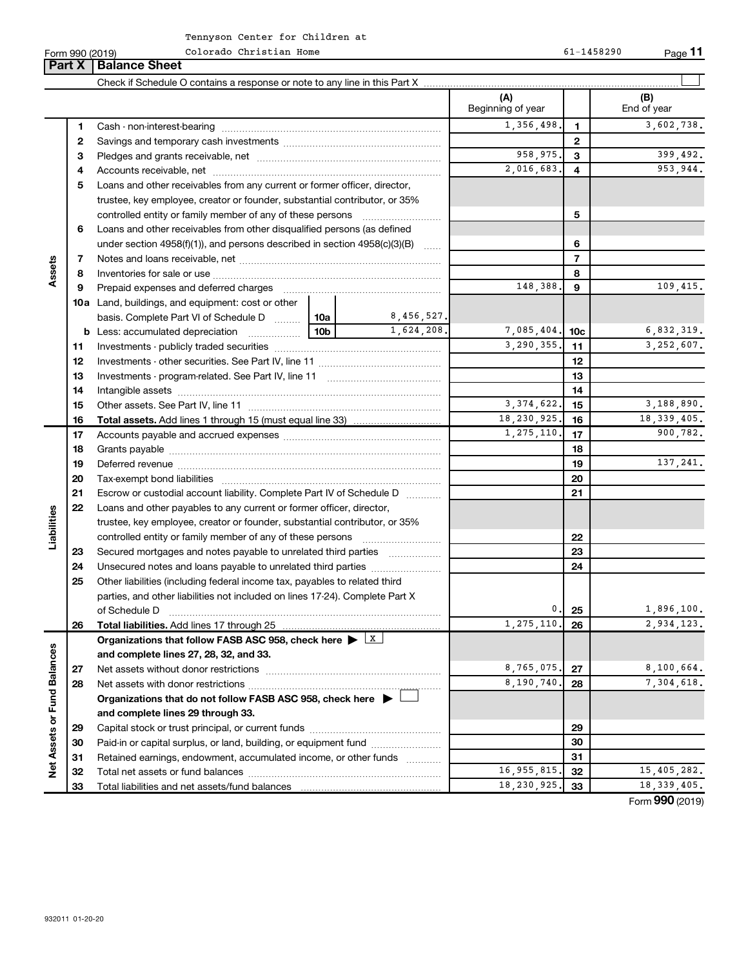Colorado Christian Home 61-1458290

Form 990 (2019) Colorado Christian Home 61-1458290 Page

**11**

|                             | Part X       | <b>Balance Sheet</b>                                                                        |     |             |                          |                |                    |
|-----------------------------|--------------|---------------------------------------------------------------------------------------------|-----|-------------|--------------------------|----------------|--------------------|
|                             |              |                                                                                             |     |             |                          |                |                    |
|                             |              |                                                                                             |     |             | (A)<br>Beginning of year |                | (B)<br>End of year |
|                             | 1            |                                                                                             |     |             | 1,356,498.               | 1              | 3,602,738.         |
|                             | $\mathbf{2}$ |                                                                                             |     |             |                          | 2              |                    |
|                             | 3            |                                                                                             |     |             | 958,975.                 | 3              | 399,492.           |
|                             | 4            |                                                                                             |     |             | 2,016,683.               | 4              | 953,944.           |
|                             | 5            | Loans and other receivables from any current or former officer, director,                   |     |             |                          |                |                    |
|                             |              | trustee, key employee, creator or founder, substantial contributor, or 35%                  |     |             |                          |                |                    |
|                             |              | controlled entity or family member of any of these persons                                  |     |             |                          | 5              |                    |
|                             | 6            | Loans and other receivables from other disqualified persons (as defined                     |     |             |                          |                |                    |
|                             |              | under section $4958(f)(1)$ , and persons described in section $4958(c)(3)(B)$               |     | <b>Same</b> |                          | 6              |                    |
|                             | 7            |                                                                                             |     |             |                          | $\overline{7}$ |                    |
| Assets                      | 8            |                                                                                             |     |             |                          | 8              |                    |
|                             | 9            | Prepaid expenses and deferred charges                                                       |     |             | 148,388.                 | 9              | 109,415.           |
|                             |              | <b>10a</b> Land, buildings, and equipment: cost or other                                    |     |             |                          |                |                    |
|                             |              | basis. Complete Part VI of Schedule D    10a                                                |     | 8,456,527.  |                          |                |                    |
|                             |              | <b>b</b> Less: accumulated depreciation                                                     | 10b | 1,624,208.  | 7,085,404.               | 10c            | 6,832,319.         |
|                             | 11           |                                                                                             |     |             | 3,290,355.               | 11             | 3,252,607.         |
|                             | 12           |                                                                                             |     | 12          |                          |                |                    |
|                             | 13           |                                                                                             |     | 13          |                          |                |                    |
|                             | 14           |                                                                                             |     |             |                          | 14             |                    |
|                             | 15           |                                                                                             |     |             | 3, 374, 622.             | 15             | 3,188,890.         |
|                             | 16           |                                                                                             |     |             | 18,230,925.              | 16             | 18, 339, 405.      |
|                             | 17           |                                                                                             |     |             | 1,275,110.               | 17             | 900,782.           |
|                             | 18           |                                                                                             |     |             | 18                       |                |                    |
|                             | 19           |                                                                                             |     | 19          | 137,241.                 |                |                    |
|                             | 20           |                                                                                             |     |             |                          | 20             |                    |
|                             | 21           | Escrow or custodial account liability. Complete Part IV of Schedule D                       |     |             | 21                       |                |                    |
|                             | 22           | Loans and other payables to any current or former officer, director,                        |     |             |                          |                |                    |
| Liabilities                 |              | trustee, key employee, creator or founder, substantial contributor, or 35%                  |     |             |                          |                |                    |
|                             |              |                                                                                             |     |             |                          | 22             |                    |
|                             | 23           | Secured mortgages and notes payable to unrelated third parties                              |     |             |                          | 23             |                    |
|                             | 24           | Unsecured notes and loans payable to unrelated third parties                                |     |             |                          | 24             |                    |
|                             | 25           | Other liabilities (including federal income tax, payables to related third                  |     |             |                          |                |                    |
|                             |              | parties, and other liabilities not included on lines 17-24). Complete Part X                |     |             |                          |                |                    |
|                             |              | of Schedule D                                                                               |     |             | $\mathfrak o$ .          | 25             | 1,896,100.         |
|                             | 26           | Total liabilities. Add lines 17 through 25                                                  |     |             | 1,275,110.               | 26             | 2,934,123.         |
|                             |              | Organizations that follow FASB ASC 958, check here $\blacktriangleright$ $\boxed{\text{X}}$ |     |             |                          |                |                    |
|                             |              | and complete lines 27, 28, 32, and 33.                                                      |     |             |                          |                |                    |
|                             | 27           |                                                                                             |     |             | 8,765,075.               | 27             | 8,100,664.         |
|                             | 28           |                                                                                             |     |             | 8,190,740.               | 28             | 7,304,618.         |
|                             |              | Organizations that do not follow FASB ASC 958, check here $\blacktriangleright$             |     |             |                          |                |                    |
|                             |              | and complete lines 29 through 33.                                                           |     |             |                          |                |                    |
|                             | 29           |                                                                                             |     |             |                          | 29             |                    |
|                             | 30           | Paid-in or capital surplus, or land, building, or equipment fund                            |     |             |                          | 30             |                    |
| Net Assets or Fund Balances | 31           | Retained earnings, endowment, accumulated income, or other funds                            |     |             |                          | 31             |                    |
|                             | 32           |                                                                                             |     |             | 16, 955, 815.            | 32             | 15,405,282.        |
|                             | 33           |                                                                                             |     |             | 18,230,925.              | 33             | 18, 339, 405.      |

Form (2019) **990**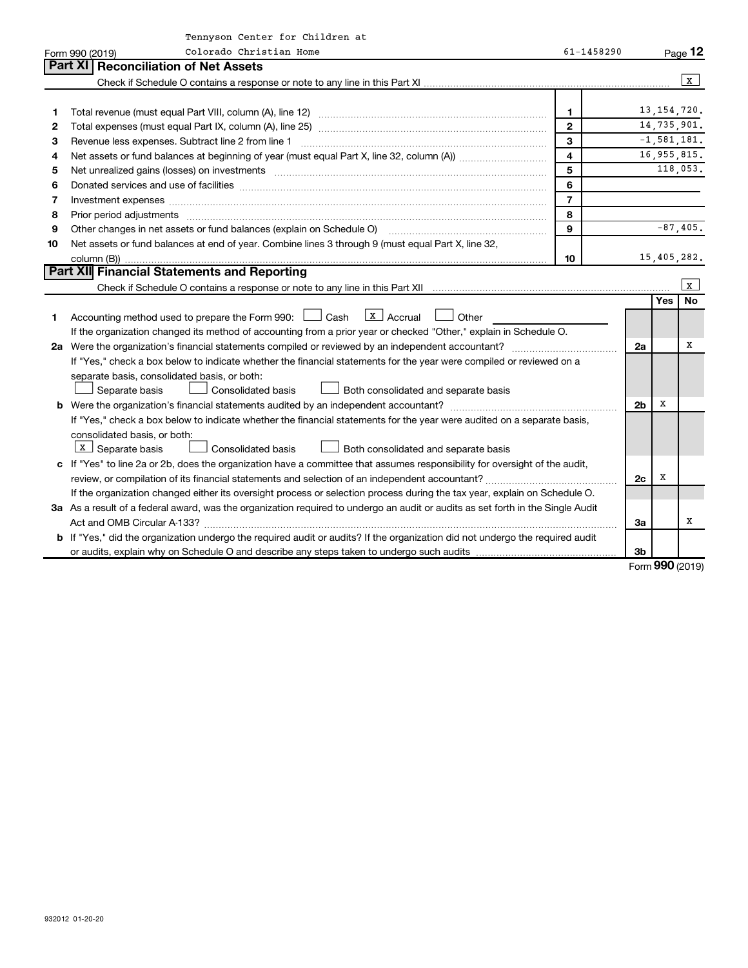|    | Tennyson Center for Children at                                                                                                                                                                                                |                |                |            |                 |
|----|--------------------------------------------------------------------------------------------------------------------------------------------------------------------------------------------------------------------------------|----------------|----------------|------------|-----------------|
|    | Colorado Christian Home<br>Form 990 (2019)                                                                                                                                                                                     | 61-1458290     |                |            | Page 12         |
|    | Part XI<br><b>Reconciliation of Net Assets</b>                                                                                                                                                                                 |                |                |            |                 |
|    |                                                                                                                                                                                                                                |                |                |            | X               |
|    |                                                                                                                                                                                                                                |                |                |            |                 |
| 1  |                                                                                                                                                                                                                                | $\mathbf{1}$   |                |            | 13, 154, 720.   |
| 2  |                                                                                                                                                                                                                                | $\mathbf{2}$   |                |            | 14,735,901.     |
| З  | Revenue less expenses. Subtract line 2 from line 1                                                                                                                                                                             | 3              |                |            | $-1, 581, 181.$ |
| 4  |                                                                                                                                                                                                                                | 4              |                |            | 16,955,815.     |
| 5  | Net unrealized gains (losses) on investments [11] matter than the control of the control of the control of the                                                                                                                 | 5              |                |            | 118,053.        |
| 6  |                                                                                                                                                                                                                                | 6              |                |            |                 |
| 7  | Investment expenses www.communication.communication.com/interaction.com/interaction.com/interaction.com/interaction.com/interaction.com/interaction.com/interaction.com/interaction.com/interaction.com/interaction.com/intera | $\overline{7}$ |                |            |                 |
| 8  |                                                                                                                                                                                                                                | 8              |                |            |                 |
| 9  | Other changes in net assets or fund balances (explain on Schedule O)                                                                                                                                                           | 9              |                |            | $-87,405.$      |
| 10 | Net assets or fund balances at end of year. Combine lines 3 through 9 (must equal Part X, line 32,                                                                                                                             |                |                |            |                 |
|    |                                                                                                                                                                                                                                | 10             |                |            | 15,405,282.     |
|    | Part XII Financial Statements and Reporting                                                                                                                                                                                    |                |                |            |                 |
|    |                                                                                                                                                                                                                                |                |                |            | $\mathbf{x}$    |
|    |                                                                                                                                                                                                                                |                |                | <b>Yes</b> | <b>No</b>       |
| 1  | $X$ Accrual<br>Accounting method used to prepare the Form 990: [130] Cash<br>Other                                                                                                                                             |                |                |            |                 |
|    | If the organization changed its method of accounting from a prior year or checked "Other," explain in Schedule O.                                                                                                              |                |                |            |                 |
|    |                                                                                                                                                                                                                                |                | 2a             |            | х               |
|    | If "Yes," check a box below to indicate whether the financial statements for the year were compiled or reviewed on a                                                                                                           |                |                |            |                 |
|    | separate basis, consolidated basis, or both:                                                                                                                                                                                   |                |                |            |                 |
|    | Separate basis<br><b>Consolidated basis</b><br>Both consolidated and separate basis                                                                                                                                            |                |                |            |                 |
|    | b Were the organization's financial statements audited by an independent accountant?                                                                                                                                           |                | 2 <sub>b</sub> | x          |                 |
|    | If "Yes," check a box below to indicate whether the financial statements for the year were audited on a separate basis,                                                                                                        |                |                |            |                 |
|    | consolidated basis, or both:                                                                                                                                                                                                   |                |                |            |                 |
|    | $X$ Separate basis<br>Consolidated basis<br>Both consolidated and separate basis                                                                                                                                               |                |                |            |                 |
|    | c If "Yes" to line 2a or 2b, does the organization have a committee that assumes responsibility for oversight of the audit,                                                                                                    |                |                |            |                 |
|    |                                                                                                                                                                                                                                |                | 2c             | X          |                 |
|    | If the organization changed either its oversight process or selection process during the tax year, explain on Schedule O.                                                                                                      |                |                |            |                 |
|    | 3a As a result of a federal award, was the organization required to undergo an audit or audits as set forth in the Single Audit                                                                                                |                |                |            |                 |
|    |                                                                                                                                                                                                                                |                | За             |            | x               |
|    | b If "Yes," did the organization undergo the required audit or audits? If the organization did not undergo the required audit                                                                                                  |                |                |            |                 |
|    |                                                                                                                                                                                                                                |                | 3 <sub>b</sub> |            |                 |

Form (2019) **990**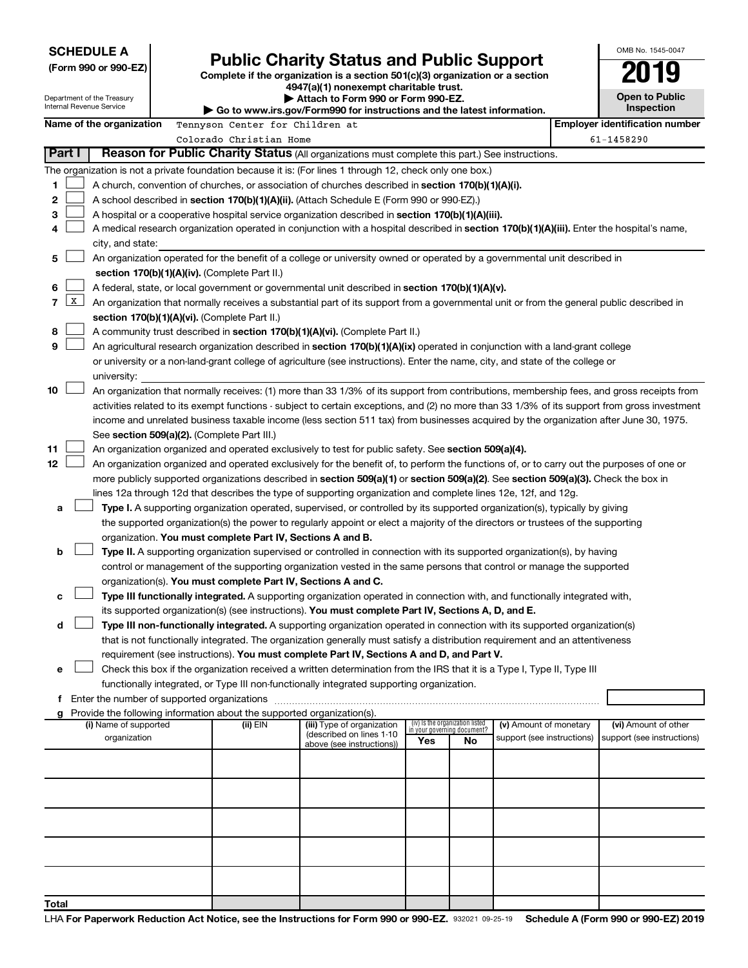|                |                                                                                                                                                                                                                           | <b>SCHEDULE A</b><br>(Form 990 or 990-EZ)<br>Department of the Treasury<br>Internal Revenue Service<br>Name of the organization |  | Tennyson Center for Children at                                                    | <b>Public Charity Status and Public Support</b><br>Complete if the organization is a section 501(c)(3) organization or a section<br>4947(a)(1) nonexempt charitable trust.<br>Attach to Form 990 or Form 990-EZ.<br>$\triangleright$ Go to www.irs.gov/Form990 for instructions and the latest information. |                                    | OMB No. 1545-0047<br><b>Open to Public</b><br><b>Inspection</b><br><b>Employer identification number</b> |                            |  |                            |
|----------------|---------------------------------------------------------------------------------------------------------------------------------------------------------------------------------------------------------------------------|---------------------------------------------------------------------------------------------------------------------------------|--|------------------------------------------------------------------------------------|-------------------------------------------------------------------------------------------------------------------------------------------------------------------------------------------------------------------------------------------------------------------------------------------------------------|------------------------------------|----------------------------------------------------------------------------------------------------------|----------------------------|--|----------------------------|
|                |                                                                                                                                                                                                                           |                                                                                                                                 |  | Colorado Christian Home                                                            |                                                                                                                                                                                                                                                                                                             |                                    |                                                                                                          |                            |  | 61-1458290                 |
|                | Part I                                                                                                                                                                                                                    |                                                                                                                                 |  |                                                                                    | Reason for Public Charity Status (All organizations must complete this part.) See instructions.                                                                                                                                                                                                             |                                    |                                                                                                          |                            |  |                            |
|                |                                                                                                                                                                                                                           |                                                                                                                                 |  |                                                                                    | The organization is not a private foundation because it is: (For lines 1 through 12, check only one box.)                                                                                                                                                                                                   |                                    |                                                                                                          |                            |  |                            |
| 1              |                                                                                                                                                                                                                           |                                                                                                                                 |  |                                                                                    | A church, convention of churches, or association of churches described in <b>section 170(b)(1)(A)(i).</b>                                                                                                                                                                                                   |                                    |                                                                                                          |                            |  |                            |
| 2              |                                                                                                                                                                                                                           |                                                                                                                                 |  |                                                                                    | A school described in section 170(b)(1)(A)(ii). (Attach Schedule E (Form 990 or 990-EZ).)                                                                                                                                                                                                                   |                                    |                                                                                                          |                            |  |                            |
| 3              |                                                                                                                                                                                                                           |                                                                                                                                 |  |                                                                                    | A hospital or a cooperative hospital service organization described in section $170(b)(1)(A)(iii)$ .                                                                                                                                                                                                        |                                    |                                                                                                          |                            |  |                            |
| 4              |                                                                                                                                                                                                                           |                                                                                                                                 |  |                                                                                    | A medical research organization operated in conjunction with a hospital described in section 170(b)(1)(A)(iii). Enter the hospital's name,                                                                                                                                                                  |                                    |                                                                                                          |                            |  |                            |
|                |                                                                                                                                                                                                                           | city, and state:                                                                                                                |  |                                                                                    |                                                                                                                                                                                                                                                                                                             |                                    |                                                                                                          |                            |  |                            |
| 5              |                                                                                                                                                                                                                           |                                                                                                                                 |  |                                                                                    | An organization operated for the benefit of a college or university owned or operated by a governmental unit described in                                                                                                                                                                                   |                                    |                                                                                                          |                            |  |                            |
|                |                                                                                                                                                                                                                           |                                                                                                                                 |  | section 170(b)(1)(A)(iv). (Complete Part II.)                                      |                                                                                                                                                                                                                                                                                                             |                                    |                                                                                                          |                            |  |                            |
| 6              |                                                                                                                                                                                                                           |                                                                                                                                 |  |                                                                                    | A federal, state, or local government or governmental unit described in section $170(b)(1)(A)(v)$ .                                                                                                                                                                                                         |                                    |                                                                                                          |                            |  |                            |
| $\overline{7}$ | $\mathbf{X}$                                                                                                                                                                                                              |                                                                                                                                 |  |                                                                                    | An organization that normally receives a substantial part of its support from a governmental unit or from the general public described in                                                                                                                                                                   |                                    |                                                                                                          |                            |  |                            |
|                |                                                                                                                                                                                                                           |                                                                                                                                 |  | section 170(b)(1)(A)(vi). (Complete Part II.)                                      |                                                                                                                                                                                                                                                                                                             |                                    |                                                                                                          |                            |  |                            |
| 8              |                                                                                                                                                                                                                           |                                                                                                                                 |  |                                                                                    | A community trust described in section 170(b)(1)(A)(vi). (Complete Part II.)                                                                                                                                                                                                                                |                                    |                                                                                                          |                            |  |                            |
| 9              |                                                                                                                                                                                                                           |                                                                                                                                 |  |                                                                                    | An agricultural research organization described in section 170(b)(1)(A)(ix) operated in conjunction with a land-grant college                                                                                                                                                                               |                                    |                                                                                                          |                            |  |                            |
|                |                                                                                                                                                                                                                           |                                                                                                                                 |  |                                                                                    | or university or a non-land-grant college of agriculture (see instructions). Enter the name, city, and state of the college or                                                                                                                                                                              |                                    |                                                                                                          |                            |  |                            |
|                |                                                                                                                                                                                                                           | university:                                                                                                                     |  |                                                                                    |                                                                                                                                                                                                                                                                                                             |                                    |                                                                                                          |                            |  |                            |
| 10             |                                                                                                                                                                                                                           |                                                                                                                                 |  |                                                                                    | An organization that normally receives: (1) more than 33 1/3% of its support from contributions, membership fees, and gross receipts from                                                                                                                                                                   |                                    |                                                                                                          |                            |  |                            |
|                |                                                                                                                                                                                                                           |                                                                                                                                 |  |                                                                                    | activities related to its exempt functions - subject to certain exceptions, and (2) no more than 33 1/3% of its support from gross investment                                                                                                                                                               |                                    |                                                                                                          |                            |  |                            |
|                |                                                                                                                                                                                                                           |                                                                                                                                 |  | See section 509(a)(2). (Complete Part III.)                                        | income and unrelated business taxable income (less section 511 tax) from businesses acquired by the organization after June 30, 1975.                                                                                                                                                                       |                                    |                                                                                                          |                            |  |                            |
| 11             |                                                                                                                                                                                                                           |                                                                                                                                 |  |                                                                                    | An organization organized and operated exclusively to test for public safety. See section 509(a)(4).                                                                                                                                                                                                        |                                    |                                                                                                          |                            |  |                            |
| 12             |                                                                                                                                                                                                                           |                                                                                                                                 |  |                                                                                    | An organization organized and operated exclusively for the benefit of, to perform the functions of, or to carry out the purposes of one or                                                                                                                                                                  |                                    |                                                                                                          |                            |  |                            |
|                |                                                                                                                                                                                                                           |                                                                                                                                 |  |                                                                                    | more publicly supported organizations described in section 509(a)(1) or section 509(a)(2). See section 509(a)(3). Check the box in                                                                                                                                                                          |                                    |                                                                                                          |                            |  |                            |
|                |                                                                                                                                                                                                                           |                                                                                                                                 |  |                                                                                    | lines 12a through 12d that describes the type of supporting organization and complete lines 12e, 12f, and 12g.                                                                                                                                                                                              |                                    |                                                                                                          |                            |  |                            |
| а              |                                                                                                                                                                                                                           |                                                                                                                                 |  |                                                                                    | Type I. A supporting organization operated, supervised, or controlled by its supported organization(s), typically by giving                                                                                                                                                                                 |                                    |                                                                                                          |                            |  |                            |
|                |                                                                                                                                                                                                                           |                                                                                                                                 |  |                                                                                    | the supported organization(s) the power to regularly appoint or elect a majority of the directors or trustees of the supporting                                                                                                                                                                             |                                    |                                                                                                          |                            |  |                            |
|                |                                                                                                                                                                                                                           |                                                                                                                                 |  | organization. You must complete Part IV, Sections A and B.                         |                                                                                                                                                                                                                                                                                                             |                                    |                                                                                                          |                            |  |                            |
| b              |                                                                                                                                                                                                                           |                                                                                                                                 |  |                                                                                    | Type II. A supporting organization supervised or controlled in connection with its supported organization(s), by having                                                                                                                                                                                     |                                    |                                                                                                          |                            |  |                            |
|                |                                                                                                                                                                                                                           |                                                                                                                                 |  |                                                                                    | control or management of the supporting organization vested in the same persons that control or manage the supported                                                                                                                                                                                        |                                    |                                                                                                          |                            |  |                            |
|                |                                                                                                                                                                                                                           |                                                                                                                                 |  | organization(s). You must complete Part IV, Sections A and C.                      |                                                                                                                                                                                                                                                                                                             |                                    |                                                                                                          |                            |  |                            |
| с              |                                                                                                                                                                                                                           |                                                                                                                                 |  |                                                                                    | Type III functionally integrated. A supporting organization operated in connection with, and functionally integrated with,                                                                                                                                                                                  |                                    |                                                                                                          |                            |  |                            |
|                |                                                                                                                                                                                                                           |                                                                                                                                 |  |                                                                                    | its supported organization(s) (see instructions). You must complete Part IV, Sections A, D, and E.                                                                                                                                                                                                          |                                    |                                                                                                          |                            |  |                            |
| d              |                                                                                                                                                                                                                           |                                                                                                                                 |  |                                                                                    | Type III non-functionally integrated. A supporting organization operated in connection with its supported organization(s)                                                                                                                                                                                   |                                    |                                                                                                          |                            |  |                            |
|                |                                                                                                                                                                                                                           |                                                                                                                                 |  |                                                                                    | that is not functionally integrated. The organization generally must satisfy a distribution requirement and an attentiveness                                                                                                                                                                                |                                    |                                                                                                          |                            |  |                            |
|                |                                                                                                                                                                                                                           |                                                                                                                                 |  |                                                                                    | requirement (see instructions). You must complete Part IV, Sections A and D, and Part V.                                                                                                                                                                                                                    |                                    |                                                                                                          |                            |  |                            |
|                | Check this box if the organization received a written determination from the IRS that it is a Type I, Type II, Type III<br>е<br>functionally integrated, or Type III non-functionally integrated supporting organization. |                                                                                                                                 |  |                                                                                    |                                                                                                                                                                                                                                                                                                             |                                    |                                                                                                          |                            |  |                            |
|                |                                                                                                                                                                                                                           |                                                                                                                                 |  |                                                                                    |                                                                                                                                                                                                                                                                                                             |                                    |                                                                                                          |                            |  |                            |
|                |                                                                                                                                                                                                                           |                                                                                                                                 |  |                                                                                    |                                                                                                                                                                                                                                                                                                             |                                    |                                                                                                          |                            |  |                            |
|                |                                                                                                                                                                                                                           | (i) Name of supported                                                                                                           |  | Provide the following information about the supported organization(s).<br>(ii) EIN | (iii) Type of organization                                                                                                                                                                                                                                                                                  | (iv) Is the organization listed    |                                                                                                          | (v) Amount of monetary     |  | (vi) Amount of other       |
|                |                                                                                                                                                                                                                           | organization                                                                                                                    |  |                                                                                    | (described on lines 1-10                                                                                                                                                                                                                                                                                    | in your governing document?<br>Yes | No                                                                                                       | support (see instructions) |  | support (see instructions) |
|                |                                                                                                                                                                                                                           |                                                                                                                                 |  |                                                                                    | above (see instructions))                                                                                                                                                                                                                                                                                   |                                    |                                                                                                          |                            |  |                            |
|                |                                                                                                                                                                                                                           |                                                                                                                                 |  |                                                                                    |                                                                                                                                                                                                                                                                                                             |                                    |                                                                                                          |                            |  |                            |

**Total**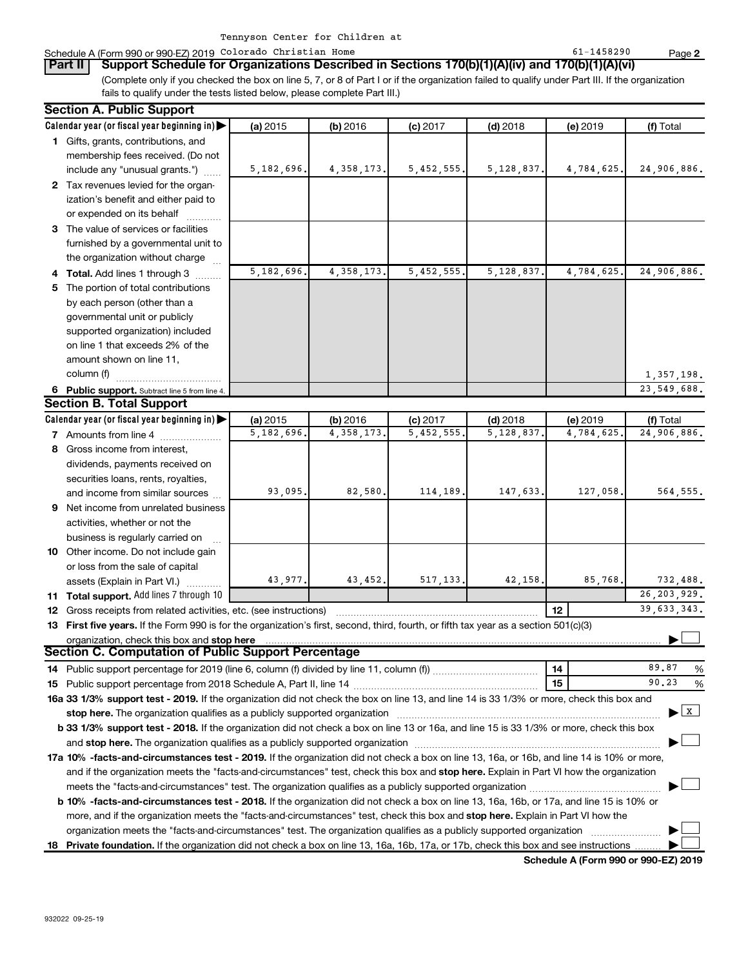|  | the contract of the contract of the contract of the contract of the contract of the contract of the contract of |  |  |  |
|--|-----------------------------------------------------------------------------------------------------------------|--|--|--|
|  |                                                                                                                 |  |  |  |
|  |                                                                                                                 |  |  |  |
|  |                                                                                                                 |  |  |  |

#### Schedule A (Form 990 or 990-EZ) 2019 Colorado Christian Home 61 and 1980 or 990-EZ) en age

(Complete only if you checked the box on line 5, 7, or 8 of Part I or if the organization failed to qualify under Part III. If the organization fails to qualify under the tests listed below, please complete Part III.) **Part II Support Schedule for Organizations Described in Sections 170(b)(1)(A)(iv) and 170(b)(1)(A)(vi)**

6 Public support. Subtract line 5 from line 4. **Calendar year (or fiscal year beginning in)**  | **Calendar year (or fiscal year beginning in) | (a)** 2015 **| (b)** 2016 **| (c)** 2017 **| (d)** 2018 **| (e)** 2019 **| (f) 1** Gifts, grants, contributions, and **2** Tax revenues levied for the organ-**3** The value of services or facilities **4 Total.** Add lines 1 through 3  $\ldots$ ... **5** The portion of total contributions **(a)** 2015 **| (b)** 2016 **| (c)** 2017 **| (d)** 2018 **| (e)** 2019 **| (f) 7** Amounts from line 4  $\ldots$  **Amounts 8** Gross income from interest, **9** Net income from unrelated business **10** Other income. Do not include gain **11 Total support.**  Add lines 7 through 10 **12** Gross receipts from related activities, etc. (see instructions) ~~~~~~~~~~~~~~~~~~~~~~~ 13 First five years. If the Form 990 is for the organization's first, second, third, fourth, or fifth tax year as a section 501(c)(3) **12 stop here** organization, check this box and | **14 15 14** Public support percentage for 2019 (line 6, column (f) divided by line 11, column (f))~~~~~~~~~~~~ **15** Public support percentage from 2018 Schedule A, Part II, line 14 ~~~~~~~~~~~~~~~~~~~~~ % 16a 33 1/3% support test - 2019. If the organization did not check the box on line 13, and line 14 is 33 1/3% or more, check this box and **17a 10% -facts-and-circumstances test - 2019.** If the organization did not check a box on line 13, 16a, or 16b, and line 14 is 10% or more, 18 Private foundation. If the organization did not check a box on line 13, 16a, 16b, 17a, or 17b, check this box and see instructions ......... **b 33 1/3% support test - 2018.** If the organization did not check a box on line 13 or 16a, and line 15 is 33 1/3% or more, check this box **b 10% -facts-and-circumstances test - 2018.** If the organization did not check a box on line 13, 16a, 16b, or 17a, and line 15 is 10% or **stop here.**  The organization qualifies as a publicly supported organization ~~~~~~~~~~~~~~~~~~~~~~~~~~~~~~ | and stop here. The organization qualifies as a publicly supported organization  $\ldots$   $\ldots$   $\ldots$   $\ldots$   $\ldots$   $\ldots$   $\ldots$   $\ldots$   $\ldots$   $\ldots$   $\ldots$ and if the organization meets the "facts-and-circumstances" test, check this box and stop here. Explain in Part VI how the organization more, and if the organization meets the "facts-and-circumstances" test, check this box and **stop here.** Explain in Part VI how the 2015 **| (b)** 2016 **| (c)** 2017 **| (d)** 2018 **| (e)** 2019 **| (f)** Total membership fees received. (Do not include any "unusual grants.") ization's benefit and either paid to or expended on its behalf ............ furnished by a governmental unit to the organization without charge by each person (other than a governmental unit or publicly supported organization) included on line 1 that exceeds 2% of the amount shown on line 11, column (f)  $\ldots$   $\ldots$   $\ldots$   $\ldots$   $\ldots$   $\ldots$ 2015 **| (b)** 2016 **| (c)** 2017 **| (d)** 2018 **| (e)** 2019 **| (f)** Total dividends, payments received on securities loans, rents, royalties, and income from similar sources activities, whether or not the business is regularly carried on ~ or loss from the sale of capital assets (Explain in Part VI.)  $\ldots$ % meets the "facts-and-circumstances" test. The organization qualifies as a publicly supported organization ~~~~~~~~~~~~~~~ | organization meets the "facts-and-circumstances" test. The organization qualifies as a publicly supported organization ~~~~~~~~ | **Section A. Public Support Section B. Total Support Section C. Computation of Public Support Percentage** †  $\cdot$   $\boxed{\text{X}}$ † † † † 5,182,696. 4,358,173. 5,452,555. 5,128,837. 4,784,625. 24,906,886. 5,182,696. 4,358,173. 5,452,555. 5,128,837. 4,784,625. 24,906,886. 1,357,198. 23,549,688. 5,182,696. 4,358,173. 5,452,555. 5,128,837. 4,784,625. 24,906,886. 93,095. 82,580. 114,189. 147,633. 127,058. 564,555. 43,977. 43,452. 517,133. 42,158. 85,768. 732,488. 26,203,929. 39,633,343. 89.87 90.23

**Schedule A (Form 990 or 990-EZ) 2019**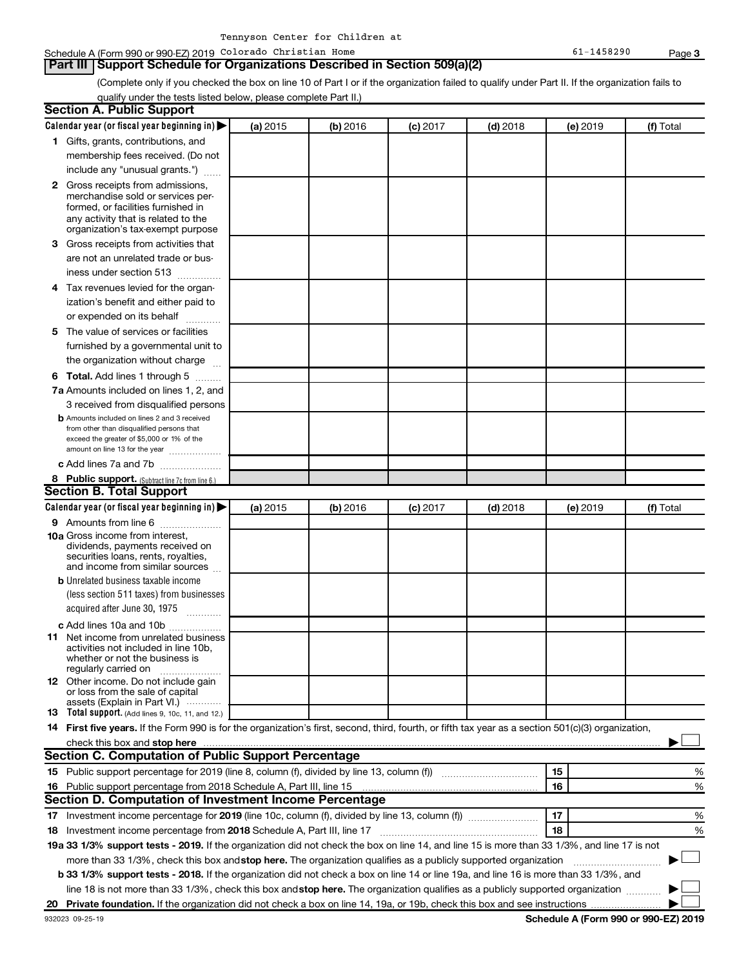## **Part III Support Schedule for Organizations Described in Section 509(a)(2)**

(Complete only if you checked the box on line 10 of Part I or if the organization failed to qualify under Part II. If the organization fails to qualify under the tests listed below, please complete Part II.)

| <b>Section A. Public Support</b>                                                                                                                    |          |          |            |            |          |           |
|-----------------------------------------------------------------------------------------------------------------------------------------------------|----------|----------|------------|------------|----------|-----------|
| Calendar year (or fiscal year beginning in)                                                                                                         | (a) 2015 | (b) 2016 | $(c)$ 2017 | $(d)$ 2018 | (e) 2019 | (f) Total |
| 1 Gifts, grants, contributions, and                                                                                                                 |          |          |            |            |          |           |
| membership fees received. (Do not                                                                                                                   |          |          |            |            |          |           |
| include any "unusual grants.")                                                                                                                      |          |          |            |            |          |           |
| 2 Gross receipts from admissions,                                                                                                                   |          |          |            |            |          |           |
| merchandise sold or services per-                                                                                                                   |          |          |            |            |          |           |
| formed, or facilities furnished in                                                                                                                  |          |          |            |            |          |           |
| any activity that is related to the<br>organization's tax-exempt purpose                                                                            |          |          |            |            |          |           |
| 3 Gross receipts from activities that                                                                                                               |          |          |            |            |          |           |
| are not an unrelated trade or bus-                                                                                                                  |          |          |            |            |          |           |
| iness under section 513                                                                                                                             |          |          |            |            |          |           |
| 4 Tax revenues levied for the organ-                                                                                                                |          |          |            |            |          |           |
| ization's benefit and either paid to                                                                                                                |          |          |            |            |          |           |
| or expended on its behalf<br>.                                                                                                                      |          |          |            |            |          |           |
| 5 The value of services or facilities                                                                                                               |          |          |            |            |          |           |
| furnished by a governmental unit to                                                                                                                 |          |          |            |            |          |           |
| the organization without charge                                                                                                                     |          |          |            |            |          |           |
| 6 Total. Add lines 1 through 5                                                                                                                      |          |          |            |            |          |           |
| 7a Amounts included on lines 1, 2, and                                                                                                              |          |          |            |            |          |           |
| 3 received from disqualified persons                                                                                                                |          |          |            |            |          |           |
| <b>b</b> Amounts included on lines 2 and 3 received                                                                                                 |          |          |            |            |          |           |
| from other than disqualified persons that                                                                                                           |          |          |            |            |          |           |
| exceed the greater of \$5,000 or 1% of the                                                                                                          |          |          |            |            |          |           |
| amount on line 13 for the year<br>c Add lines 7a and 7b                                                                                             |          |          |            |            |          |           |
|                                                                                                                                                     |          |          |            |            |          |           |
| 8 Public support. (Subtract line 7c from line 6.)<br><b>Section B. Total Support</b>                                                                |          |          |            |            |          |           |
| Calendar year (or fiscal year beginning in) $\blacktriangleright$                                                                                   | (a) 2015 | (b) 2016 | $(c)$ 2017 | $(d)$ 2018 |          | (f) Total |
| 9 Amounts from line 6                                                                                                                               |          |          |            |            | (e) 2019 |           |
| <b>10a</b> Gross income from interest,                                                                                                              |          |          |            |            |          |           |
| dividends, payments received on                                                                                                                     |          |          |            |            |          |           |
| securities loans, rents, royalties,                                                                                                                 |          |          |            |            |          |           |
| and income from similar sources<br><b>b</b> Unrelated business taxable income                                                                       |          |          |            |            |          |           |
| (less section 511 taxes) from businesses                                                                                                            |          |          |            |            |          |           |
| acquired after June 30, 1975                                                                                                                        |          |          |            |            |          |           |
|                                                                                                                                                     |          |          |            |            |          |           |
| c Add lines 10a and 10b<br><b>11</b> Net income from unrelated business                                                                             |          |          |            |            |          |           |
| activities not included in line 10b.                                                                                                                |          |          |            |            |          |           |
| whether or not the business is                                                                                                                      |          |          |            |            |          |           |
| regularly carried on<br>12 Other income. Do not include gain                                                                                        |          |          |            |            |          |           |
| or loss from the sale of capital                                                                                                                    |          |          |            |            |          |           |
| assets (Explain in Part VI.)                                                                                                                        |          |          |            |            |          |           |
| <b>13</b> Total support. (Add lines 9, 10c, 11, and 12.)                                                                                            |          |          |            |            |          |           |
| 14 First five years. If the Form 990 is for the organization's first, second, third, fourth, or fifth tax year as a section 501(c)(3) organization, |          |          |            |            |          |           |
| check this box and stop here<br><b>Section C. Computation of Public Support Percentage</b>                                                          |          |          |            |            |          |           |
|                                                                                                                                                     |          |          |            |            |          |           |
| 15 Public support percentage for 2019 (line 8, column (f), divided by line 13, column (f) <i></i>                                                   |          |          |            |            | 15       | %         |
|                                                                                                                                                     |          |          |            |            | 16       | %         |
| Section D. Computation of Investment Income Percentage                                                                                              |          |          |            |            |          |           |
| 17 Investment income percentage for 2019 (line 10c, column (f), divided by line 13, column (f))                                                     |          |          |            |            | 17       | %         |
| 18 Investment income percentage from 2018 Schedule A, Part III, line 17                                                                             |          |          |            |            | 18       | %         |
| 19a 33 1/3% support tests - 2019. If the organization did not check the box on line 14, and line 15 is more than 33 1/3%, and line 17 is not        |          |          |            |            |          |           |
| more than 33 1/3%, check this box and stop here. The organization qualifies as a publicly supported organization                                    |          |          |            |            |          |           |
| b 33 1/3% support tests - 2018. If the organization did not check a box on line 14 or line 19a, and line 16 is more than 33 1/3%, and               |          |          |            |            |          |           |
| line 18 is not more than 33 1/3%, check this box and stop here. The organization qualifies as a publicly supported organization                     |          |          |            |            |          |           |
|                                                                                                                                                     |          |          |            |            |          |           |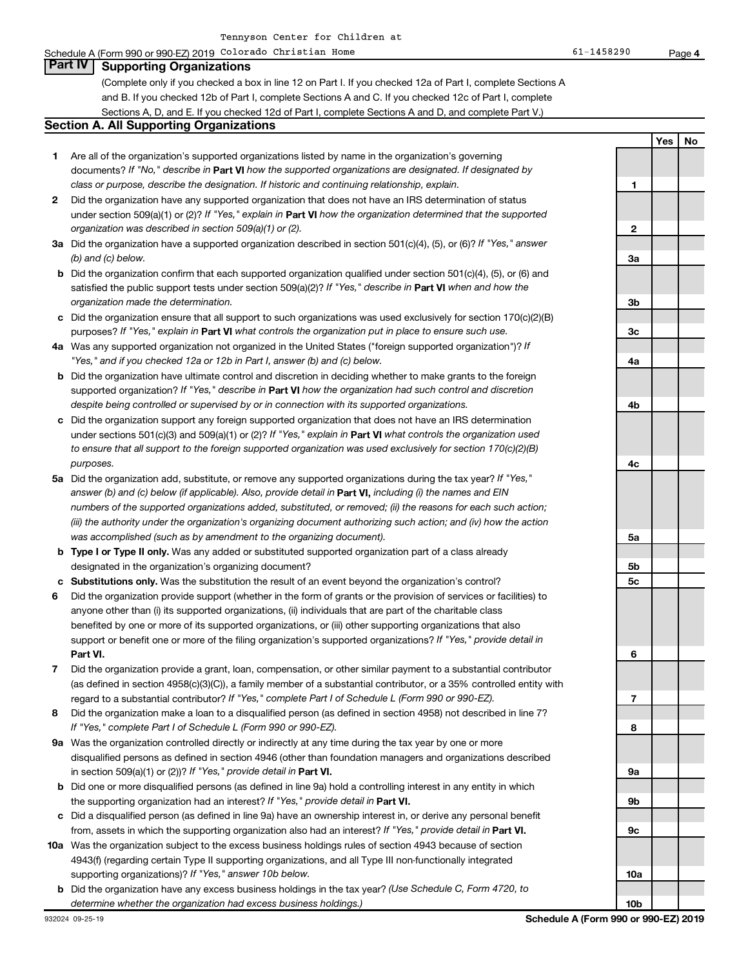#### Schedule A (Form 990 or 990-EZ) 2019 Colorado Christian Home 61 and 1980 or 990-EZ) en age **Part IV Supporting Organizations**

(Complete only if you checked a box in line 12 on Part I. If you checked 12a of Part I, complete Sections A and B. If you checked 12b of Part I, complete Sections A and C. If you checked 12c of Part I, complete Sections A, D, and E. If you checked 12d of Part I, complete Sections A and D, and complete Part V.)

#### **Section A. All Supporting Organizations**

- **1** Are all of the organization's supported organizations listed by name in the organization's governing documents? If "No," describe in Part VI how the supported organizations are designated. If designated by *class or purpose, describe the designation. If historic and continuing relationship, explain.*
- **2** Did the organization have any supported organization that does not have an IRS determination of status under section 509(a)(1) or (2)? If "Yes," explain in Part **VI** how the organization determined that the supported *organization was described in section 509(a)(1) or (2).*
- **3a** Did the organization have a supported organization described in section 501(c)(4), (5), or (6)? If "Yes," answer *(b) and (c) below.*
- **b** Did the organization confirm that each supported organization qualified under section 501(c)(4), (5), or (6) and satisfied the public support tests under section 509(a)(2)? If "Yes," describe in Part VI when and how the *organization made the determination.*
- **c** Did the organization ensure that all support to such organizations was used exclusively for section 170(c)(2)(B) purposes? If "Yes," explain in Part VI what controls the organization put in place to ensure such use.
- **4 a** *If* Was any supported organization not organized in the United States ("foreign supported organization")? *"Yes," and if you checked 12a or 12b in Part I, answer (b) and (c) below.*
- **b** Did the organization have ultimate control and discretion in deciding whether to make grants to the foreign supported organization? If "Yes," describe in Part VI how the organization had such control and discretion *despite being controlled or supervised by or in connection with its supported organizations.*
- **c** Did the organization support any foreign supported organization that does not have an IRS determination under sections 501(c)(3) and 509(a)(1) or (2)? If "Yes," explain in Part VI what controls the organization used *to ensure that all support to the foreign supported organization was used exclusively for section 170(c)(2)(B) purposes.*
- **5a** Did the organization add, substitute, or remove any supported organizations during the tax year? If "Yes," answer (b) and (c) below (if applicable). Also, provide detail in **Part VI,** including (i) the names and EIN *numbers of the supported organizations added, substituted, or removed; (ii) the reasons for each such action; (iii) the authority under the organization's organizing document authorizing such action; and (iv) how the action was accomplished (such as by amendment to the organizing document).*
- **b Type I or Type II only.** Was any added or substituted supported organization part of a class already designated in the organization's organizing document?
- **c Substitutions only.**  Was the substitution the result of an event beyond the organization's control?
- **6** Did the organization provide support (whether in the form of grants or the provision of services or facilities) to **Part VI.** support or benefit one or more of the filing organization's supported organizations? If "Yes," provide detail in anyone other than (i) its supported organizations, (ii) individuals that are part of the charitable class benefited by one or more of its supported organizations, or (iii) other supporting organizations that also
- **7** Did the organization provide a grant, loan, compensation, or other similar payment to a substantial contributor regard to a substantial contributor? If "Yes," complete Part I of Schedule L (Form 990 or 990-EZ). (as defined in section 4958(c)(3)(C)), a family member of a substantial contributor, or a 35% controlled entity with
- **8** Did the organization make a loan to a disqualified person (as defined in section 4958) not described in line 7? *If "Yes," complete Part I of Schedule L (Form 990 or 990-EZ).*
- **9 a** Was the organization controlled directly or indirectly at any time during the tax year by one or more in section 509(a)(1) or (2))? If "Yes," provide detail in **Part VI.** disqualified persons as defined in section 4946 (other than foundation managers and organizations described
- **b** Did one or more disqualified persons (as defined in line 9a) hold a controlling interest in any entity in which the supporting organization had an interest? If "Yes," provide detail in Part VI.
- **c** Did a disqualified person (as defined in line 9a) have an ownership interest in, or derive any personal benefit from, assets in which the supporting organization also had an interest? If "Yes," provide detail in Part VI.
- **10 a** Was the organization subject to the excess business holdings rules of section 4943 because of section supporting organizations)? If "Yes," answer 10b below. 4943(f) (regarding certain Type II supporting organizations, and all Type III non-functionally integrated
- **b** Did the organization have any excess business holdings in the tax year? (Use Schedule C, Form 4720, to *determine whether the organization had excess business holdings.)*

**1 2 3a 3b 3c 4a 4b 4c 5a 5b 5c 6 7 8 9a 9b 9c 10a**

**10b**

**Yes No**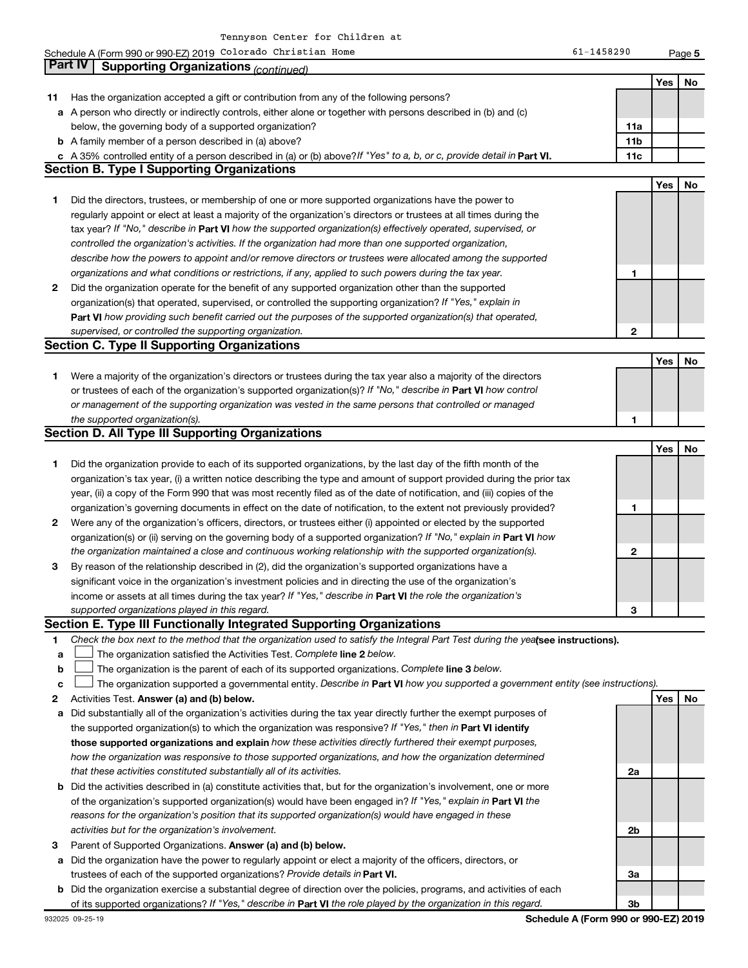|    | Schedule A (Form 990 or 990-EZ) 2019 Colorado Christian Home                                                                    | 61-1458290 |     | Page 5 |
|----|---------------------------------------------------------------------------------------------------------------------------------|------------|-----|--------|
|    | <b>Part IV</b><br><b>Supporting Organizations (continued)</b>                                                                   |            |     |        |
|    |                                                                                                                                 |            | Yes | No     |
| 11 | Has the organization accepted a gift or contribution from any of the following persons?                                         |            |     |        |
|    | a A person who directly or indirectly controls, either alone or together with persons described in (b) and (c)                  |            |     |        |
|    | below, the governing body of a supported organization?                                                                          | 11a        |     |        |
|    | <b>b</b> A family member of a person described in (a) above?                                                                    | 11b        |     |        |
|    | c A 35% controlled entity of a person described in (a) or (b) above? If "Yes" to a, b, or c, provide detail in Part VI.         | 11c        |     |        |
|    | <b>Section B. Type I Supporting Organizations</b>                                                                               |            |     |        |
|    |                                                                                                                                 |            | Yes | No     |
| 1  | Did the directors, trustees, or membership of one or more supported organizations have the power to                             |            |     |        |
|    | regularly appoint or elect at least a majority of the organization's directors or trustees at all times during the              |            |     |        |
|    | tax year? If "No," describe in Part VI how the supported organization(s) effectively operated, supervised, or                   |            |     |        |
|    | controlled the organization's activities. If the organization had more than one supported organization,                         |            |     |        |
|    | describe how the powers to appoint and/or remove directors or trustees were allocated among the supported                       |            |     |        |
|    | organizations and what conditions or restrictions, if any, applied to such powers during the tax year.                          | 1          |     |        |
| 2  | Did the organization operate for the benefit of any supported organization other than the supported                             |            |     |        |
|    | organization(s) that operated, supervised, or controlled the supporting organization? If "Yes," explain in                      |            |     |        |
|    | Part VI how providing such benefit carried out the purposes of the supported organization(s) that operated,                     |            |     |        |
|    | supervised, or controlled the supporting organization.                                                                          | 2          |     |        |
|    | <b>Section C. Type II Supporting Organizations</b>                                                                              |            |     |        |
|    |                                                                                                                                 |            | Yes | No     |
| 1  | Were a majority of the organization's directors or trustees during the tax year also a majority of the directors                |            |     |        |
|    | or trustees of each of the organization's supported organization(s)? If "No," describe in Part VI how control                   |            |     |        |
|    | or management of the supporting organization was vested in the same persons that controlled or managed                          |            |     |        |
|    | the supported organization(s).                                                                                                  | 1          |     |        |
|    | <b>Section D. All Type III Supporting Organizations</b>                                                                         |            |     |        |
|    |                                                                                                                                 |            | Yes | No     |
| 1  | Did the organization provide to each of its supported organizations, by the last day of the fifth month of the                  |            |     |        |
|    | organization's tax year, (i) a written notice describing the type and amount of support provided during the prior tax           |            |     |        |
|    | year, (ii) a copy of the Form 990 that was most recently filed as of the date of notification, and (iii) copies of the          |            |     |        |
|    | organization's governing documents in effect on the date of notification, to the extent not previously provided?                | 1          |     |        |
| 2  | Were any of the organization's officers, directors, or trustees either (i) appointed or elected by the supported                |            |     |        |
|    | organization(s) or (ii) serving on the governing body of a supported organization? If "No," explain in Part VI how              |            |     |        |
|    | the organization maintained a close and continuous working relationship with the supported organization(s).                     | 2          |     |        |
| 3  | By reason of the relationship described in (2), did the organization's supported organizations have a                           |            |     |        |
|    | significant voice in the organization's investment policies and in directing the use of the organization's                      |            |     |        |
|    | income or assets at all times during the tax year? If "Yes," describe in Part VI the role the organization's                    |            |     |        |
|    | supported organizations played in this regard.                                                                                  | З          |     |        |
|    | Section E. Type III Functionally Integrated Supporting Organizations                                                            |            |     |        |
| 1  | Check the box next to the method that the organization used to satisfy the Integral Part Test during the yealsee instructions). |            |     |        |
| a  | The organization satisfied the Activities Test. Complete line 2 below.                                                          |            |     |        |
| b  | The organization is the parent of each of its supported organizations. Complete line 3 below.                                   |            |     |        |
| c  | The organization supported a governmental entity. Describe in Part VI how you supported a government entity (see instructions). |            |     |        |
| 2  | Activities Test. Answer (a) and (b) below.                                                                                      |            | Yes | No     |
| а  | Did substantially all of the organization's activities during the tax year directly further the exempt purposes of              |            |     |        |
|    | the supported organization(s) to which the organization was responsive? If "Yes," then in Part VI identify                      |            |     |        |
|    | those supported organizations and explain how these activities directly furthered their exempt purposes,                        |            |     |        |
|    | how the organization was responsive to those supported organizations, and how the organization determined                       |            |     |        |
|    | that these activities constituted substantially all of its activities.                                                          | 2a         |     |        |
|    | <b>b</b> Did the activities described in (a) constitute activities that but for the organization's involvement, one or more     |            |     |        |

- **b** of the organization's supported organization(s) would have been engaged in? If "Yes," explain in Part VI the *reasons for the organization's position that its supported organization(s) would have engaged in these activities but for the organization's involvement.* Did the activities described in (a) constitute activities that, but for the organization's involvement, one or more
- **3** Parent of Supported Organizations. Answer (a) and (b) below.
- **a** Did the organization have the power to regularly appoint or elect a majority of the officers, directors, or trustees of each of the supported organizations? Provide details in Part VI.
- **b** Did the organization exercise a substantial degree of direction over the policies, programs, and activities of each of its supported organizations? If "Yes," describe in Part VI the role played by the organization in this regard.

**2b**

**3a**

**3b**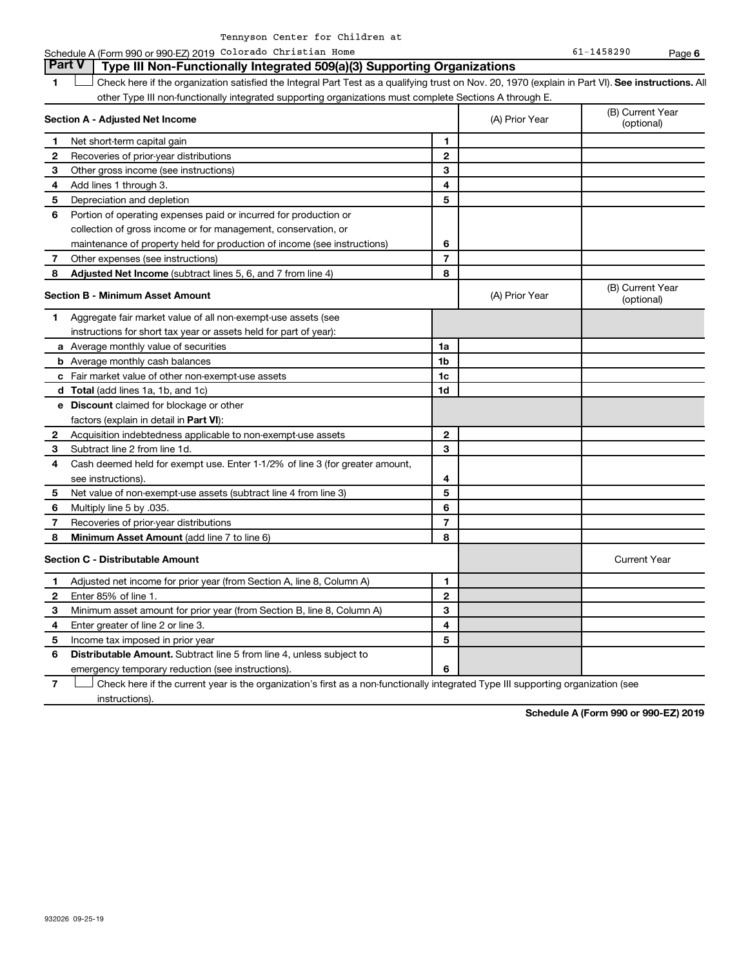| Tennyson Center for Children at |  |  |
|---------------------------------|--|--|
|                                 |  |  |

Schedule A (Form 990 or 990-EZ) 2019 Colorado Christian Home 61 and 1980 or 990-EZ) en age

**6**

**1 Lett** Check here if the organization satisfied the Integral Part Test as a qualifying trust on Nov. 20, 1970 (explain in Part VI). See instructions. All **Section A - Adjusted Net Income 1 2 3 4 5 6 7 8 1 2 3 4 5 6 7 Adjusted Net Income** (subtract lines 5, 6, and 7 from line 4) **8 8 Section B - Minimum Asset Amount 1 2 3 4 5 6 7 8 a** Average monthly value of securities **b** Average monthly cash balances **c** Fair market value of other non-exempt-use assets **d Total**  (add lines 1a, 1b, and 1c) **e Discount** claimed for blockage or other **1a 1b 1c 1d 2 3 4 5 6 7 8** factors (explain in detail in Part VI): **Minimum Asset Amount**  (add line 7 to line 6) **Section C - Distributable Amount 1 2 3 4 5 6 7 1 2 3 4 5 6** Distributable Amount. Subtract line 5 from line 4, unless subject to other Type III non-functionally integrated supporting organizations must complete Sections A through E. (B) Current Year<br>(optional) (A) Prior Year Net short-term capital gain Recoveries of prior-year distributions Other gross income (see instructions) Add lines 1 through 3. Depreciation and depletion Portion of operating expenses paid or incurred for production or collection of gross income or for management, conservation, or maintenance of property held for production of income (see instructions) Other expenses (see instructions) (B) Current Year  $(A)$  Prior Year  $\left\{\n\begin{array}{ccc}\n\end{array}\n\right\}$  (optional) Aggregate fair market value of all non-exempt-use assets (see instructions for short tax year or assets held for part of year): Acquisition indebtedness applicable to non-exempt-use assets Subtract line 2 from line 1d. Cash deemed held for exempt use. Enter 1-1/2% of line 3 (for greater amount, see instructions). Net value of non-exempt-use assets (subtract line 4 from line 3) Multiply line 5 by .035. Recoveries of prior-year distributions Current Year Adjusted net income for prior year (from Section A, line 8, Column A) Enter 85% of line 1. Minimum asset amount for prior year (from Section B, line 8, Column A) Enter greater of line 2 or line 3. Income tax imposed in prior year emergency temporary reduction (see instructions). Check here if the current year is the organization's first as a non-functionally integrated Type III supporting organization (see † **Part V Type III Non-Functionally Integrated 509(a)(3) Supporting Organizations**   $\Box$ 

instructions).

**Schedule A (Form 990 or 990-EZ) 2019**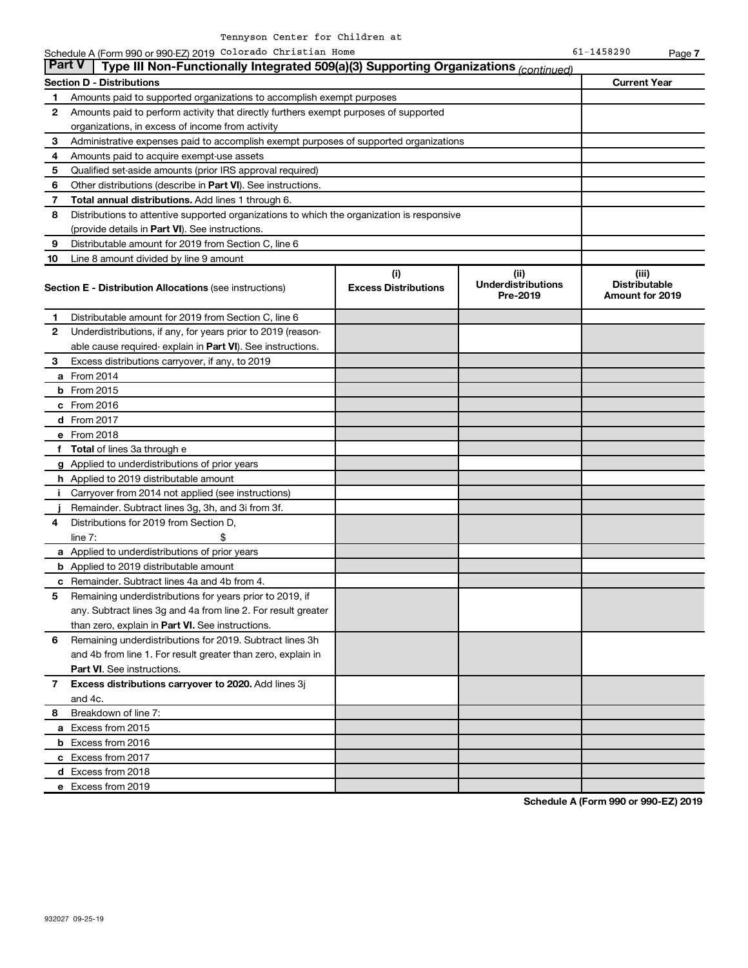**7**

| <b>Part V</b> | Type III Non-Functionally Integrated 509(a)(3) Supporting Organizations (continued)        |                             |                                       |                                         |
|---------------|--------------------------------------------------------------------------------------------|-----------------------------|---------------------------------------|-----------------------------------------|
|               | <b>Section D - Distributions</b>                                                           |                             |                                       | <b>Current Year</b>                     |
| 1.            | Amounts paid to supported organizations to accomplish exempt purposes                      |                             |                                       |                                         |
| 2             | Amounts paid to perform activity that directly furthers exempt purposes of supported       |                             |                                       |                                         |
|               | organizations, in excess of income from activity                                           |                             |                                       |                                         |
| 3             | Administrative expenses paid to accomplish exempt purposes of supported organizations      |                             |                                       |                                         |
| 4             | Amounts paid to acquire exempt-use assets                                                  |                             |                                       |                                         |
| 5             | Qualified set-aside amounts (prior IRS approval required)                                  |                             |                                       |                                         |
| 6             | Other distributions (describe in Part VI). See instructions.                               |                             |                                       |                                         |
| 7             | Total annual distributions. Add lines 1 through 6.                                         |                             |                                       |                                         |
| 8             | Distributions to attentive supported organizations to which the organization is responsive |                             |                                       |                                         |
|               | (provide details in Part VI). See instructions.                                            |                             |                                       |                                         |
| 9             | Distributable amount for 2019 from Section C, line 6                                       |                             |                                       |                                         |
| 10            | Line 8 amount divided by line 9 amount                                                     |                             |                                       |                                         |
|               |                                                                                            | (i)                         | (iii)                                 | (iii)                                   |
|               | <b>Section E - Distribution Allocations (see instructions)</b>                             | <b>Excess Distributions</b> | <b>Underdistributions</b><br>Pre-2019 | <b>Distributable</b><br>Amount for 2019 |
| 1             | Distributable amount for 2019 from Section C, line 6                                       |                             |                                       |                                         |
| 2             | Underdistributions, if any, for years prior to 2019 (reason-                               |                             |                                       |                                         |
|               | able cause required-explain in Part VI). See instructions.                                 |                             |                                       |                                         |
| 3             | Excess distributions carryover, if any, to 2019                                            |                             |                                       |                                         |
|               | <b>a</b> From 2014                                                                         |                             |                                       |                                         |
|               | <b>b</b> From 2015                                                                         |                             |                                       |                                         |
|               | $c$ From 2016                                                                              |                             |                                       |                                         |
|               | d From 2017                                                                                |                             |                                       |                                         |
|               | e From 2018                                                                                |                             |                                       |                                         |
|               | f Total of lines 3a through e                                                              |                             |                                       |                                         |
|               | g Applied to underdistributions of prior years                                             |                             |                                       |                                         |
|               | h Applied to 2019 distributable amount                                                     |                             |                                       |                                         |
| i.            | Carryover from 2014 not applied (see instructions)                                         |                             |                                       |                                         |
|               | Remainder. Subtract lines 3g, 3h, and 3i from 3f.                                          |                             |                                       |                                         |
| 4             | Distributions for 2019 from Section D,                                                     |                             |                                       |                                         |
|               | \$<br>$line 7$ :                                                                           |                             |                                       |                                         |
|               | a Applied to underdistributions of prior years                                             |                             |                                       |                                         |
|               | <b>b</b> Applied to 2019 distributable amount                                              |                             |                                       |                                         |
|               | <b>c</b> Remainder. Subtract lines 4a and 4b from 4.                                       |                             |                                       |                                         |
| 5             | Remaining underdistributions for years prior to 2019, if                                   |                             |                                       |                                         |
|               | any. Subtract lines 3g and 4a from line 2. For result greater                              |                             |                                       |                                         |
|               | than zero, explain in Part VI. See instructions.                                           |                             |                                       |                                         |
| 6             | Remaining underdistributions for 2019. Subtract lines 3h                                   |                             |                                       |                                         |
|               | and 4b from line 1. For result greater than zero, explain in                               |                             |                                       |                                         |
|               | <b>Part VI.</b> See instructions.                                                          |                             |                                       |                                         |
| $\mathbf{7}$  | Excess distributions carryover to 2020. Add lines 3j                                       |                             |                                       |                                         |
|               | and 4c.                                                                                    |                             |                                       |                                         |
| 8.            | Breakdown of line 7:                                                                       |                             |                                       |                                         |
|               | a Excess from 2015                                                                         |                             |                                       |                                         |
|               | <b>b</b> Excess from 2016                                                                  |                             |                                       |                                         |
|               | c Excess from 2017                                                                         |                             |                                       |                                         |
|               | d Excess from 2018                                                                         |                             |                                       |                                         |
|               | e Excess from 2019                                                                         |                             |                                       |                                         |

**Schedule A (Form 990 or 990-EZ) 2019**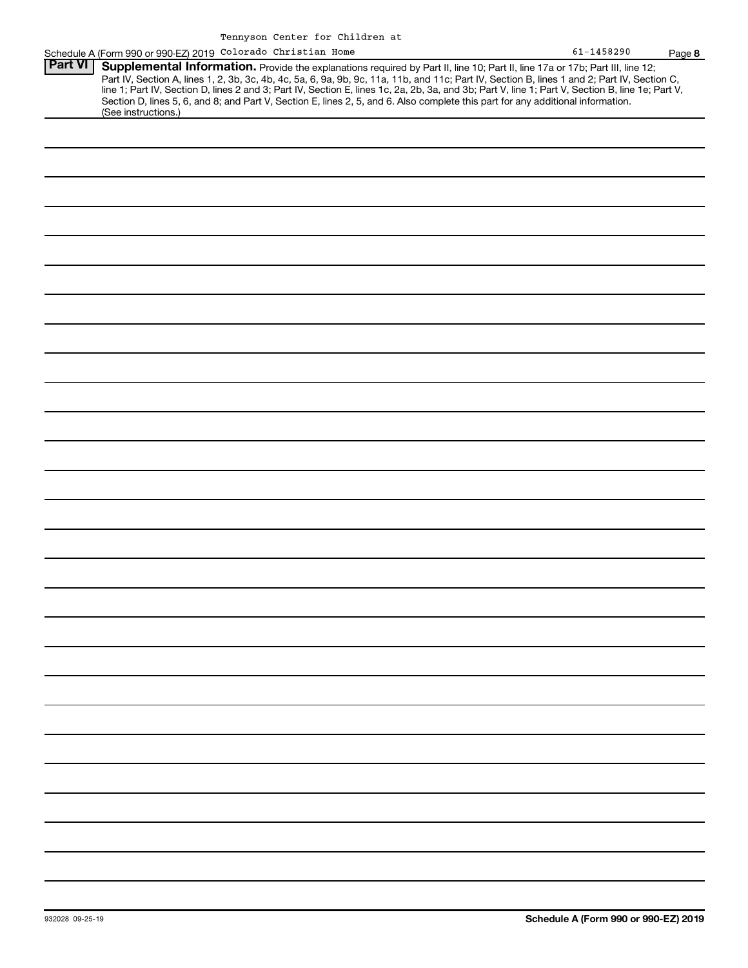|                | Schedule A (Form 990 or 990-EZ) 2019 Colorado Christian Home                                                                                                                                                                                                                                                                                                                                                                                                                                                                | $61 - 1458290$ | Page 8 |
|----------------|-----------------------------------------------------------------------------------------------------------------------------------------------------------------------------------------------------------------------------------------------------------------------------------------------------------------------------------------------------------------------------------------------------------------------------------------------------------------------------------------------------------------------------|----------------|--------|
| <b>Part VI</b> | Supplemental Information. Provide the explanations required by Part II, line 10; Part II, line 17a or 17b; Part III, line 12;<br>Part IV, Section A, lines 1, 2, 3b, 3c, 4b, 4c, 5a, 6, 9a, 9b, 9c, 11a, 11b, and 11c, Part IV, Section B, lines 1 and 2; Part IV, Section C,<br>line 1; Part IV, Section D, lines 2 and 3; Part IV, Section E, lines 1c, 2a, 2b,<br>Section D, lines 5, 6, and 8; and Part V, Section E, lines 2, 5, and 6. Also complete this part for any additional information.<br>(See instructions.) |                |        |
|                |                                                                                                                                                                                                                                                                                                                                                                                                                                                                                                                             |                |        |
|                |                                                                                                                                                                                                                                                                                                                                                                                                                                                                                                                             |                |        |
|                |                                                                                                                                                                                                                                                                                                                                                                                                                                                                                                                             |                |        |
|                |                                                                                                                                                                                                                                                                                                                                                                                                                                                                                                                             |                |        |
|                |                                                                                                                                                                                                                                                                                                                                                                                                                                                                                                                             |                |        |
|                |                                                                                                                                                                                                                                                                                                                                                                                                                                                                                                                             |                |        |
|                |                                                                                                                                                                                                                                                                                                                                                                                                                                                                                                                             |                |        |
|                |                                                                                                                                                                                                                                                                                                                                                                                                                                                                                                                             |                |        |
|                |                                                                                                                                                                                                                                                                                                                                                                                                                                                                                                                             |                |        |
|                |                                                                                                                                                                                                                                                                                                                                                                                                                                                                                                                             |                |        |
|                |                                                                                                                                                                                                                                                                                                                                                                                                                                                                                                                             |                |        |
|                |                                                                                                                                                                                                                                                                                                                                                                                                                                                                                                                             |                |        |
|                |                                                                                                                                                                                                                                                                                                                                                                                                                                                                                                                             |                |        |
|                |                                                                                                                                                                                                                                                                                                                                                                                                                                                                                                                             |                |        |
|                |                                                                                                                                                                                                                                                                                                                                                                                                                                                                                                                             |                |        |
|                |                                                                                                                                                                                                                                                                                                                                                                                                                                                                                                                             |                |        |
|                |                                                                                                                                                                                                                                                                                                                                                                                                                                                                                                                             |                |        |
|                |                                                                                                                                                                                                                                                                                                                                                                                                                                                                                                                             |                |        |
|                |                                                                                                                                                                                                                                                                                                                                                                                                                                                                                                                             |                |        |
|                |                                                                                                                                                                                                                                                                                                                                                                                                                                                                                                                             |                |        |
|                |                                                                                                                                                                                                                                                                                                                                                                                                                                                                                                                             |                |        |
|                |                                                                                                                                                                                                                                                                                                                                                                                                                                                                                                                             |                |        |
|                |                                                                                                                                                                                                                                                                                                                                                                                                                                                                                                                             |                |        |
|                |                                                                                                                                                                                                                                                                                                                                                                                                                                                                                                                             |                |        |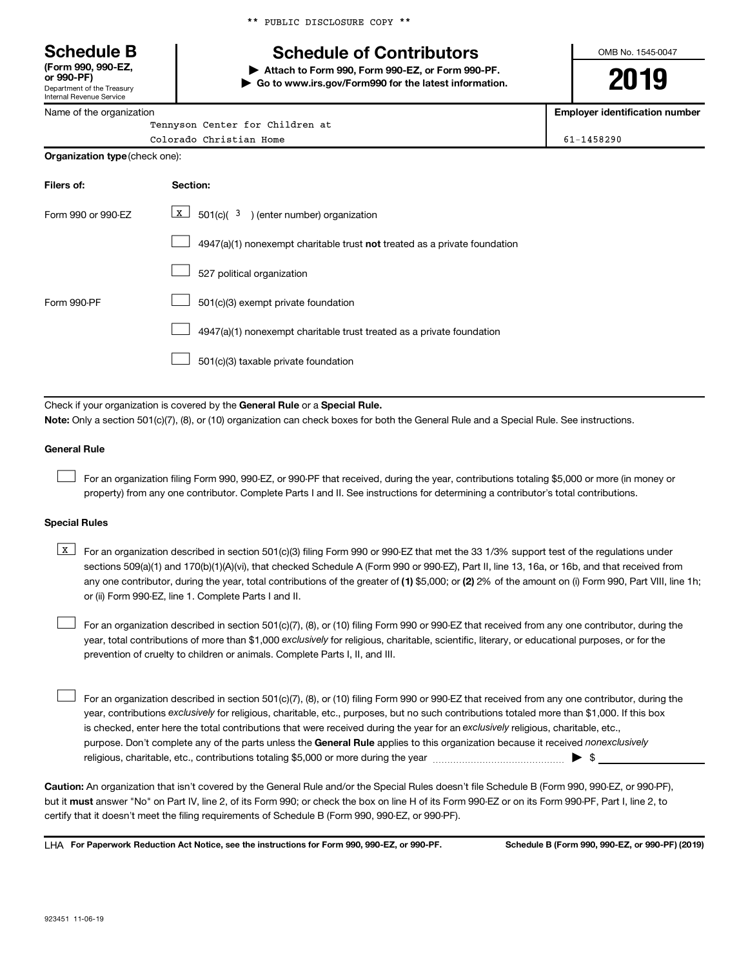\*\* PUBLIC DISCLOSURE COPY \*\*

# **Schedule B Schedule of Contributors**

**or 990-PF) | Attach to Form 990, Form 990-EZ, or Form 990-PF. | Go to www.irs.gov/Form990 for the latest information.** OMB No. 1545-0047

**2019**

**Employer identification number**

| Department of the Treasury<br>Internal Revenue Service |
|--------------------------------------------------------|
| Name of the organization                               |

**(Form 990, 990-EZ,**

**Org** 

| Tennyson Center for Children at    |            |
|------------------------------------|------------|
| Colorado Christian Home            | 61-1458290 |
| <b>anization type</b> (check one): |            |

| Filers of:         | Section:                                                                           |
|--------------------|------------------------------------------------------------------------------------|
| Form 990 or 990-EZ | X  <br>$501(c)$ $(3)$ (enter number) organization                                  |
|                    | $4947(a)(1)$ nonexempt charitable trust <b>not</b> treated as a private foundation |
|                    | 527 political organization                                                         |
| Form 990-PF        | 501(c)(3) exempt private foundation                                                |
|                    | 4947(a)(1) nonexempt charitable trust treated as a private foundation              |
|                    | 501(c)(3) taxable private foundation                                               |

Check if your organization is covered by the General Rule or a Special Rule.

**Note:**  Only a section 501(c)(7), (8), or (10) organization can check boxes for both the General Rule and a Special Rule. See instructions.

#### **General Rule**

 $\Box$ 

For an organization filing Form 990, 990-EZ, or 990-PF that received, during the year, contributions totaling \$5,000 or more (in money or property) from any one contributor. Complete Parts I and II. See instructions for determining a contributor's total contributions.

#### **Special Rules**

any one contributor, during the year, total contributions of the greater of (1) \$5,000; or (2) 2% of the amount on (i) Form 990, Part VIII, line 1h; **K** For an organization described in section 501(c)(3) filing Form 990 or 990-EZ that met the 33 1/3% support test of the regulations under sections 509(a)(1) and 170(b)(1)(A)(vi), that checked Schedule A (Form 990 or 990-EZ), Part II, line 13, 16a, or 16b, and that received from or (ii) Form 990-EZ, line 1. Complete Parts I and II.

year, total contributions of more than \$1,000 *exclusively* for religious, charitable, scientific, literary, or educational purposes, or for the For an organization described in section 501(c)(7), (8), or (10) filing Form 990 or 990-EZ that received from any one contributor, during the prevention of cruelty to children or animals. Complete Parts I, II, and III.  $\Box$ 

purpose. Don't complete any of the parts unless the General Rule applies to this organization because it received nonexclusively year, contributions exclusively for religious, charitable, etc., purposes, but no such contributions totaled more than \$1,000. If this box is checked, enter here the total contributions that were received during the year for an exclusively religious, charitable, etc., For an organization described in section 501(c)(7), (8), or (10) filing Form 990 or 990-EZ that received from any one contributor, during the religious, charitable, etc., contributions totaling \$5,000 or more during the year  $~\ldots\ldots\ldots\ldots\ldots\ldots\ldots\ldots\blacktriangleright~$ \$  $\Box$ 

**Caution:**  An organization that isn't covered by the General Rule and/or the Special Rules doesn't file Schedule B (Form 990, 990-EZ, or 990-PF),  **must** but it answer "No" on Part IV, line 2, of its Form 990; or check the box on line H of its Form 990-EZ or on its Form 990-PF, Part I, line 2, to certify that it doesn't meet the filing requirements of Schedule B (Form 990, 990-EZ, or 990-PF).

**For Paperwork Reduction Act Notice, see the instructions for Form 990, 990-EZ, or 990-PF. Schedule B (Form 990, 990-EZ, or 990-PF) (2019)** LHA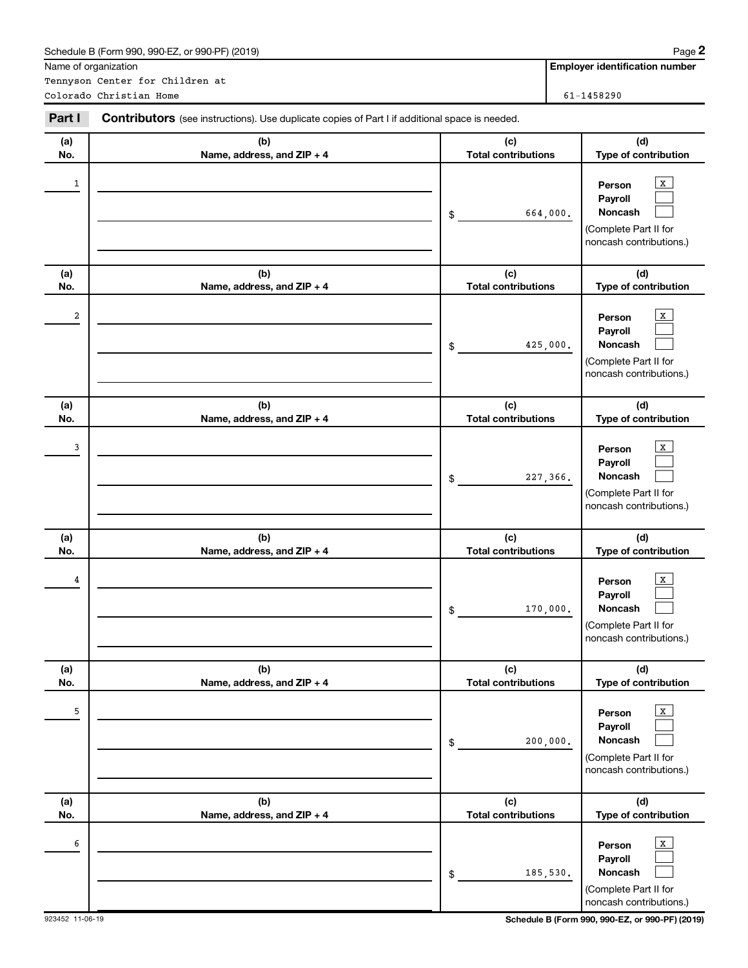|            | Schedule B (Form 990, 990-EZ, or 990-PF) (2019)                                                |                                              | Page 2                                                                                                        |
|------------|------------------------------------------------------------------------------------------------|----------------------------------------------|---------------------------------------------------------------------------------------------------------------|
|            | Name of organization                                                                           |                                              | <b>Employer identification number</b>                                                                         |
|            | Tennyson Center for Children at<br>Colorado Christian Home                                     |                                              | 61-1458290                                                                                                    |
| Part I     | Contributors (see instructions). Use duplicate copies of Part I if additional space is needed. |                                              |                                                                                                               |
|            |                                                                                                |                                              |                                                                                                               |
| (a)<br>No. | (b)<br>Name, address, and ZIP + 4                                                              | (c)<br><b>Total contributions</b>            | (d)<br>Type of contribution                                                                                   |
| 1          |                                                                                                | 664,000.<br>\$                               | х<br>Person<br>Payroll<br>Noncash<br>(Complete Part II for<br>noncash contributions.)                         |
| (a)        | (b)                                                                                            | (c)                                          | (d)                                                                                                           |
| No.<br>2   | Name, address, and ZIP + 4                                                                     | <b>Total contributions</b><br>425,000.<br>\$ | Type of contribution<br>х<br>Person<br>Payroll<br>Noncash<br>(Complete Part II for<br>noncash contributions.) |
| (a)<br>No. | (b)<br>Name, address, and ZIP + 4                                                              | (c)<br><b>Total contributions</b>            | (d)<br>Type of contribution                                                                                   |
| 3          |                                                                                                | 227,366.<br>\$                               | x<br>Person<br>Payroll<br>Noncash<br>(Complete Part II for<br>noncash contributions.)                         |
| (a)<br>No. | (b)<br>Name, address, and ZIP + 4                                                              | (c)<br><b>Total contributions</b>            | (d)<br>Type of contribution                                                                                   |
| 4          |                                                                                                | 170,000.<br>\$                               | X<br>Person<br>Payroll<br>Noncash<br>(Complete Part II for<br>noncash contributions.)                         |
| (a)<br>No. | (b)<br>Name, address, and ZIP + 4                                                              | (c)<br><b>Total contributions</b>            | (d)<br>Type of contribution                                                                                   |
| 5          |                                                                                                | 200,000.<br>\$                               | X<br>Person<br>Payroll<br>Noncash<br>(Complete Part II for<br>noncash contributions.)                         |
| (a)<br>No. | (b)<br>Name, address, and ZIP + 4                                                              | (c)<br><b>Total contributions</b>            | (d)<br>Type of contribution                                                                                   |
| 6          |                                                                                                | 185,530.<br>\$                               | X<br>Person<br>Payroll<br>Noncash<br>(Complete Part II for<br>noncash contributions.)                         |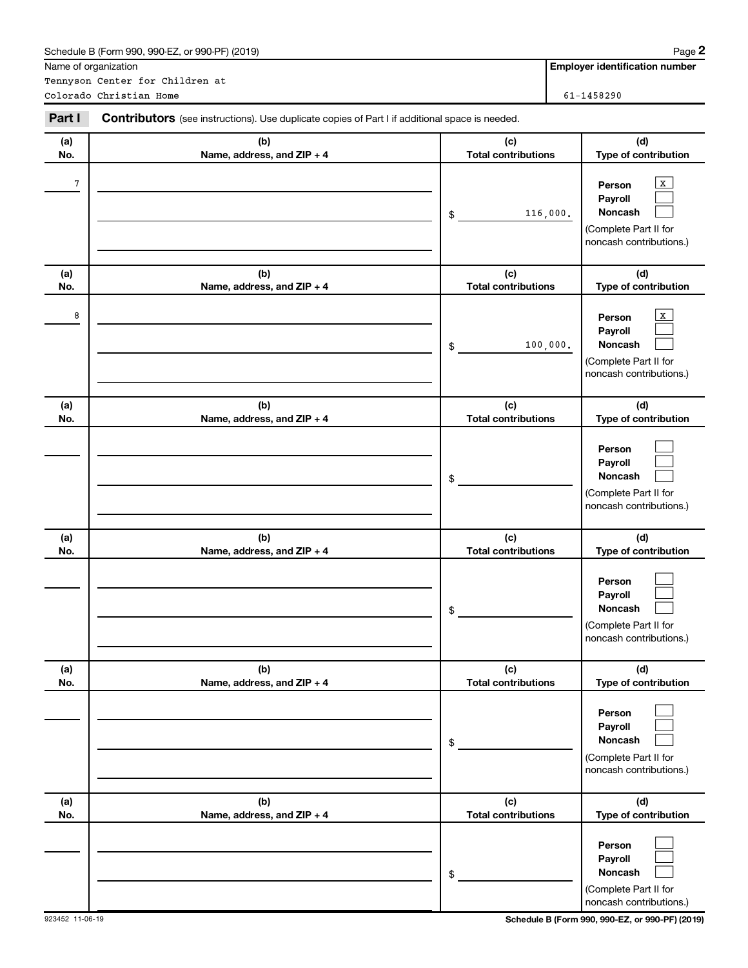|            | Schedule B (Form 990, 990-EZ, or 990-PF) (2019)                                                |                                              | Page 2                                                                                                        |
|------------|------------------------------------------------------------------------------------------------|----------------------------------------------|---------------------------------------------------------------------------------------------------------------|
|            | Name of organization                                                                           |                                              | <b>Employer identification number</b>                                                                         |
|            | Tennyson Center for Children at<br>Colorado Christian Home                                     |                                              | 61-1458290                                                                                                    |
|            |                                                                                                |                                              |                                                                                                               |
| Part I     | Contributors (see instructions). Use duplicate copies of Part I if additional space is needed. |                                              |                                                                                                               |
| (a)        | (b)                                                                                            | (c)                                          | (d)                                                                                                           |
| No.        | Name, address, and ZIP + 4                                                                     | <b>Total contributions</b>                   | Type of contribution                                                                                          |
| 7          |                                                                                                | 116,000.<br>\$                               | x<br>Person<br>Payroll<br>Noncash<br>(Complete Part II for<br>noncash contributions.)                         |
| (a)        | (b)                                                                                            | (c)                                          | (d)                                                                                                           |
| No.<br>8   | Name, address, and ZIP + 4                                                                     | <b>Total contributions</b><br>100,000.<br>\$ | Type of contribution<br>x<br>Person<br>Payroll<br>Noncash<br>(Complete Part II for<br>noncash contributions.) |
| (a)<br>No. | (b)<br>Name, address, and ZIP + 4                                                              | (c)<br><b>Total contributions</b>            | (d)<br>Type of contribution                                                                                   |
|            |                                                                                                | \$                                           | Person<br>Payroll<br>Noncash<br>(Complete Part II for<br>noncash contributions.)                              |
| (a)<br>No. | (b)<br>Name, address, and ZIP + 4                                                              | (c)<br><b>Total contributions</b>            | (d)<br>Type of contribution                                                                                   |
|            |                                                                                                | \$                                           | Person<br>Payroll<br>Noncash<br>(Complete Part II for<br>noncash contributions.)                              |
| (a)        | (b)                                                                                            | (c)                                          | (d)                                                                                                           |
| No.        | Name, address, and ZIP + 4                                                                     | <b>Total contributions</b><br>\$             | Type of contribution<br>Person<br>Payroll<br>Noncash<br>(Complete Part II for<br>noncash contributions.)      |
| (a)<br>No. | (b)<br>Name, address, and ZIP + 4                                                              | (c)<br><b>Total contributions</b>            | (d)<br>Type of contribution                                                                                   |
|            |                                                                                                | \$                                           | Person<br>Payroll<br>Noncash<br>(Complete Part II for<br>noncash contributions.)                              |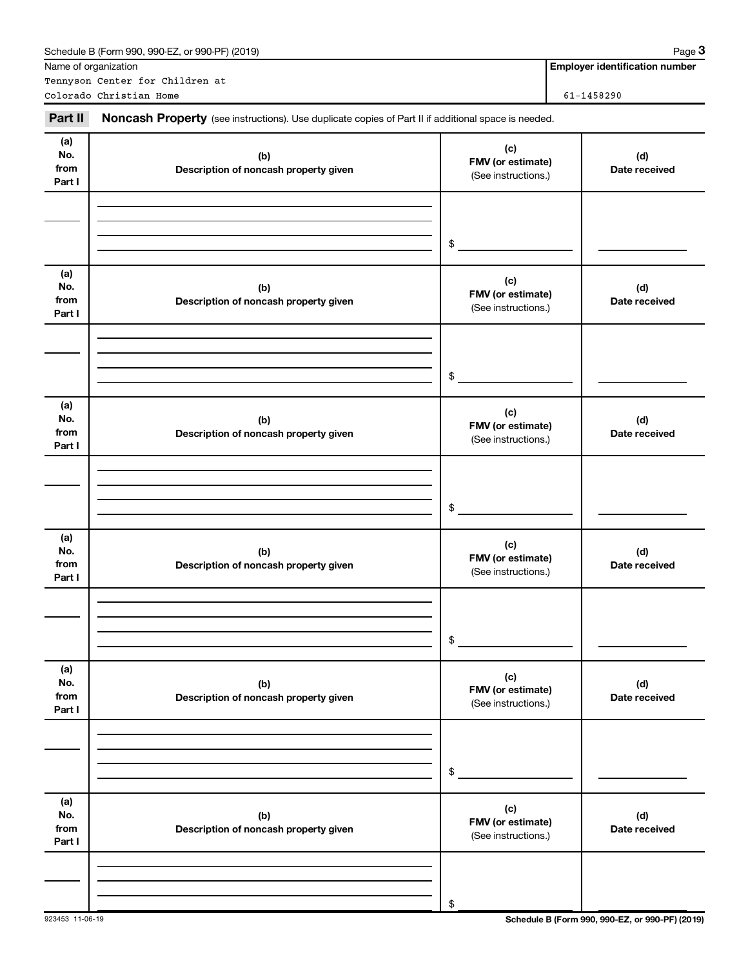|                              | Schedule B (Form 990, 990-EZ, or 990-PF) (2019)                                                     |                                                 | Page 3                                |
|------------------------------|-----------------------------------------------------------------------------------------------------|-------------------------------------------------|---------------------------------------|
|                              | Name of organization<br>Tennyson Center for Children at                                             |                                                 | <b>Employer identification number</b> |
|                              | Colorado Christian Home                                                                             |                                                 | 61-1458290                            |
| Part II                      | Noncash Property (see instructions). Use duplicate copies of Part II if additional space is needed. |                                                 |                                       |
| (a)<br>No.<br>from<br>Part I | (b)<br>Description of noncash property given                                                        | (c)<br>FMV (or estimate)<br>(See instructions.) | (d)<br>Date received                  |
|                              |                                                                                                     | \$                                              |                                       |
| (a)<br>No.<br>from<br>Part I | (b)<br>Description of noncash property given                                                        | (c)<br>FMV (or estimate)<br>(See instructions.) | (d)<br>Date received                  |
|                              |                                                                                                     | \$                                              |                                       |
| (a)<br>No.<br>from<br>Part I | (b)<br>Description of noncash property given                                                        | (c)<br>FMV (or estimate)<br>(See instructions.) | (d)<br>Date received                  |
|                              |                                                                                                     | \$                                              |                                       |
| (a)<br>No.<br>from<br>Part I | (b)<br>Description of noncash property given                                                        | (c)<br>FMV (or estimate)<br>(See instructions.) | (d)<br>Date received                  |
|                              |                                                                                                     | \$                                              |                                       |
| (a)<br>No.<br>from<br>Part I | (b)<br>Description of noncash property given                                                        | (c)<br>FMV (or estimate)<br>(See instructions.) | (d)<br>Date received                  |
|                              |                                                                                                     | \$                                              |                                       |
| (a)<br>No.<br>from<br>Part I | (b)<br>Description of noncash property given                                                        | (c)<br>FMV (or estimate)<br>(See instructions.) | (d)<br>Date received                  |
|                              |                                                                                                     | \$                                              |                                       |

923453 11-06-19 **Schedule B (Form 990, 990-EZ, or 990-PF) (2019)**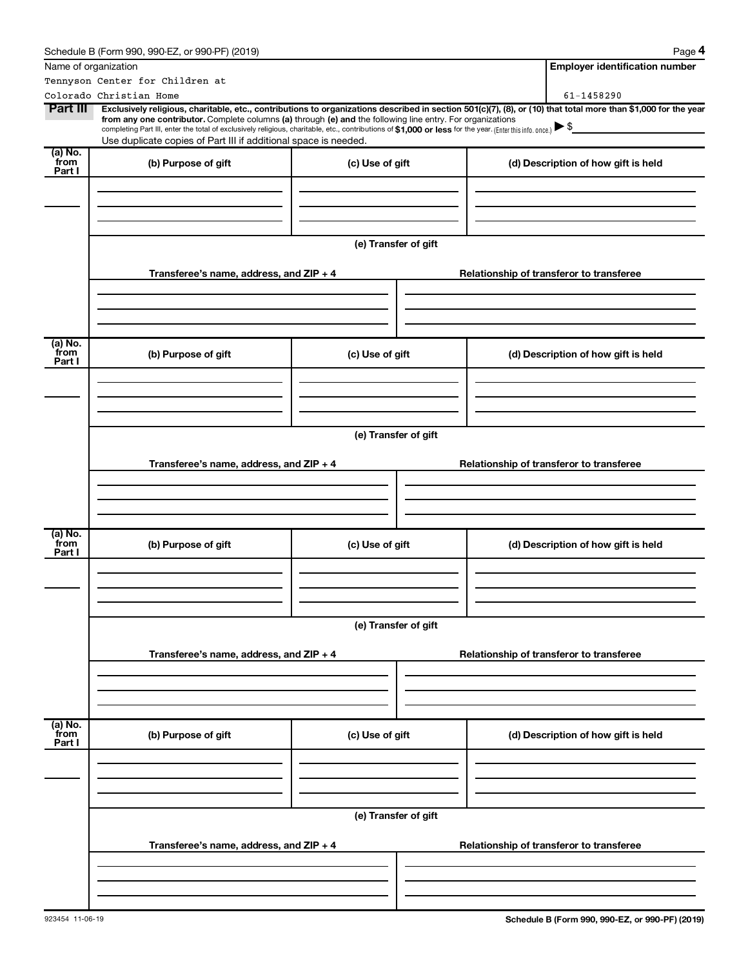|                           | Schedule B (Form 990, 990-EZ, or 990-PF) (2019)                                                                                                                                                                                                                                                                                           |                      | Page 4                                                                                                                                                         |  |  |
|---------------------------|-------------------------------------------------------------------------------------------------------------------------------------------------------------------------------------------------------------------------------------------------------------------------------------------------------------------------------------------|----------------------|----------------------------------------------------------------------------------------------------------------------------------------------------------------|--|--|
| Name of organization      |                                                                                                                                                                                                                                                                                                                                           |                      | <b>Employer identification number</b>                                                                                                                          |  |  |
|                           | Tennyson Center for Children at                                                                                                                                                                                                                                                                                                           |                      |                                                                                                                                                                |  |  |
|                           | Colorado Christian Home                                                                                                                                                                                                                                                                                                                   |                      | 61-1458290                                                                                                                                                     |  |  |
| Part III                  | from any one contributor. Complete columns (a) through (e) and the following line entry. For organizations<br>completing Part III, enter the total of exclusively religious, charitable, etc., contributions of \$1,000 or less for the year. [Enter this info. once.]<br>Use duplicate copies of Part III if additional space is needed. |                      | Exclusively religious, charitable, etc., contributions to organizations described in section 501(c)(7), (8), or (10) that total more than \$1,000 for the year |  |  |
| $\overline{a}$ ) No.      |                                                                                                                                                                                                                                                                                                                                           |                      |                                                                                                                                                                |  |  |
| from<br>Part I            | (b) Purpose of gift                                                                                                                                                                                                                                                                                                                       | (c) Use of gift      | (d) Description of how gift is held                                                                                                                            |  |  |
|                           |                                                                                                                                                                                                                                                                                                                                           |                      |                                                                                                                                                                |  |  |
|                           |                                                                                                                                                                                                                                                                                                                                           | (e) Transfer of gift |                                                                                                                                                                |  |  |
|                           | Transferee's name, address, and ZIP + 4                                                                                                                                                                                                                                                                                                   |                      | Relationship of transferor to transferee                                                                                                                       |  |  |
|                           |                                                                                                                                                                                                                                                                                                                                           |                      |                                                                                                                                                                |  |  |
| (a) No.<br>from<br>Part I | (b) Purpose of gift                                                                                                                                                                                                                                                                                                                       | (c) Use of gift      | (d) Description of how gift is held                                                                                                                            |  |  |
|                           |                                                                                                                                                                                                                                                                                                                                           |                      |                                                                                                                                                                |  |  |
|                           |                                                                                                                                                                                                                                                                                                                                           |                      |                                                                                                                                                                |  |  |
|                           | (e) Transfer of gift                                                                                                                                                                                                                                                                                                                      |                      |                                                                                                                                                                |  |  |
|                           | Transferee's name, address, and ZIP + 4                                                                                                                                                                                                                                                                                                   |                      | Relationship of transferor to transferee                                                                                                                       |  |  |
|                           |                                                                                                                                                                                                                                                                                                                                           |                      |                                                                                                                                                                |  |  |
| (a) No.<br>from<br>Part I | (b) Purpose of gift                                                                                                                                                                                                                                                                                                                       | (c) Use of gift      | (d) Description of how gift is held                                                                                                                            |  |  |
|                           |                                                                                                                                                                                                                                                                                                                                           |                      |                                                                                                                                                                |  |  |
|                           |                                                                                                                                                                                                                                                                                                                                           | (e) Transfer of gift |                                                                                                                                                                |  |  |
|                           | Transferee's name, address, and ZIP + 4                                                                                                                                                                                                                                                                                                   |                      | Relationship of transferor to transferee                                                                                                                       |  |  |
|                           |                                                                                                                                                                                                                                                                                                                                           |                      |                                                                                                                                                                |  |  |
| (a) No.<br>from<br>Part I | (b) Purpose of gift                                                                                                                                                                                                                                                                                                                       | (c) Use of gift      | (d) Description of how gift is held                                                                                                                            |  |  |
|                           |                                                                                                                                                                                                                                                                                                                                           |                      |                                                                                                                                                                |  |  |
|                           |                                                                                                                                                                                                                                                                                                                                           | (e) Transfer of gift |                                                                                                                                                                |  |  |
|                           | Transferee's name, address, and ZIP + 4                                                                                                                                                                                                                                                                                                   |                      | Relationship of transferor to transferee                                                                                                                       |  |  |
|                           |                                                                                                                                                                                                                                                                                                                                           |                      |                                                                                                                                                                |  |  |
|                           |                                                                                                                                                                                                                                                                                                                                           |                      |                                                                                                                                                                |  |  |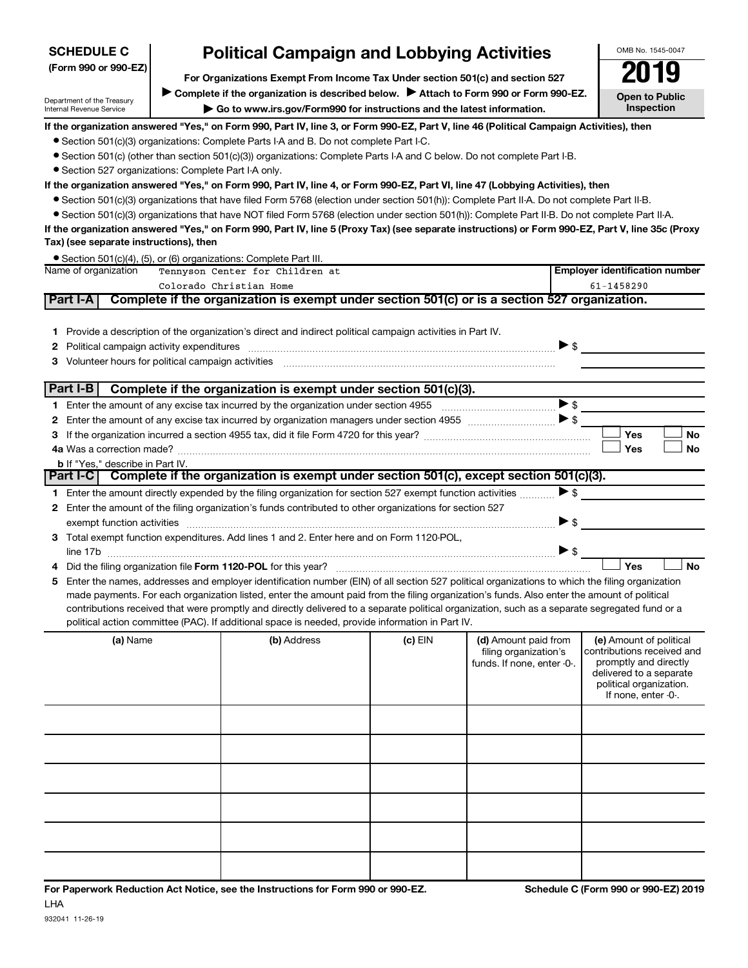| (Form 990 or 990-EZ)                                                                                                                                                    |  |                                                                                                                                                                                                                                       |           |                                                                             |                          |                                                                                                                                                             |
|-------------------------------------------------------------------------------------------------------------------------------------------------------------------------|--|---------------------------------------------------------------------------------------------------------------------------------------------------------------------------------------------------------------------------------------|-----------|-----------------------------------------------------------------------------|--------------------------|-------------------------------------------------------------------------------------------------------------------------------------------------------------|
| For Organizations Exempt From Income Tax Under section 501(c) and section 527<br>Complete if the organization is described below.<br>Attach to Form 990 or Form 990-EZ. |  |                                                                                                                                                                                                                                       |           |                                                                             |                          |                                                                                                                                                             |
| Department of the Treasury<br>Internal Revenue Service                                                                                                                  |  | Go to www.irs.gov/Form990 for instructions and the latest information.                                                                                                                                                                |           |                                                                             |                          | <b>Open to Public</b><br>Inspection                                                                                                                         |
|                                                                                                                                                                         |  | If the organization answered "Yes," on Form 990, Part IV, line 3, or Form 990-EZ, Part V, line 46 (Political Campaign Activities), then                                                                                               |           |                                                                             |                          |                                                                                                                                                             |
|                                                                                                                                                                         |  | • Section 501(c)(3) organizations: Complete Parts I-A and B. Do not complete Part I-C.                                                                                                                                                |           |                                                                             |                          |                                                                                                                                                             |
|                                                                                                                                                                         |  | • Section 501(c) (other than section 501(c)(3)) organizations: Complete Parts I-A and C below. Do not complete Part I-B.                                                                                                              |           |                                                                             |                          |                                                                                                                                                             |
| • Section 527 organizations: Complete Part I-A only.                                                                                                                    |  |                                                                                                                                                                                                                                       |           |                                                                             |                          |                                                                                                                                                             |
|                                                                                                                                                                         |  | If the organization answered "Yes," on Form 990, Part IV, line 4, or Form 990-EZ, Part VI, line 47 (Lobbying Activities), then                                                                                                        |           |                                                                             |                          |                                                                                                                                                             |
|                                                                                                                                                                         |  | ● Section 501(c)(3) organizations that have filed Form 5768 (election under section 501(h)): Complete Part II-A. Do not complete Part II-B.                                                                                           |           |                                                                             |                          |                                                                                                                                                             |
|                                                                                                                                                                         |  | • Section 501(c)(3) organizations that have NOT filed Form 5768 (election under section 501(h)): Complete Part II-B. Do not complete Part II-A.                                                                                       |           |                                                                             |                          |                                                                                                                                                             |
| Tax) (see separate instructions), then                                                                                                                                  |  | If the organization answered "Yes," on Form 990, Part IV, line 5 (Proxy Tax) (see separate instructions) or Form 990-EZ, Part V, line 35c (Proxy                                                                                      |           |                                                                             |                          |                                                                                                                                                             |
|                                                                                                                                                                         |  | • Section 501(c)(4), (5), or (6) organizations: Complete Part III.                                                                                                                                                                    |           |                                                                             |                          |                                                                                                                                                             |
| Name of organization                                                                                                                                                    |  | Tennyson Center for Children at                                                                                                                                                                                                       |           |                                                                             |                          | <b>Employer identification number</b>                                                                                                                       |
|                                                                                                                                                                         |  | Colorado Christian Home                                                                                                                                                                                                               |           |                                                                             |                          | $61 - 1458290$                                                                                                                                              |
| Part I-A                                                                                                                                                                |  | Complete if the organization is exempt under section 501(c) or is a section 527 organization.                                                                                                                                         |           |                                                                             |                          |                                                                                                                                                             |
| 1.<br>2<br>3                                                                                                                                                            |  | Provide a description of the organization's direct and indirect political campaign activities in Part IV.<br>Political campaign activity expenditures material campaign activity expenditures material campaign activity expenditures |           |                                                                             |                          |                                                                                                                                                             |
| Part I-B                                                                                                                                                                |  | Complete if the organization is exempt under section 501(c)(3).                                                                                                                                                                       |           |                                                                             |                          |                                                                                                                                                             |
| 1.                                                                                                                                                                      |  |                                                                                                                                                                                                                                       |           |                                                                             |                          |                                                                                                                                                             |
| 2                                                                                                                                                                       |  | Enter the amount of any excise tax incurred by organization managers under section 4955 $\ldots$                                                                                                                                      |           |                                                                             |                          |                                                                                                                                                             |
| 3                                                                                                                                                                       |  |                                                                                                                                                                                                                                       |           |                                                                             |                          | Yes<br>No                                                                                                                                                   |
|                                                                                                                                                                         |  |                                                                                                                                                                                                                                       |           |                                                                             |                          | <b>Yes</b><br><b>No</b>                                                                                                                                     |
| <b>b</b> If "Yes," describe in Part IV.                                                                                                                                 |  |                                                                                                                                                                                                                                       |           |                                                                             |                          |                                                                                                                                                             |
|                                                                                                                                                                         |  | Part I-C Complete if the organization is exempt under section 501(c), except section 501(c)(3).                                                                                                                                       |           |                                                                             |                          |                                                                                                                                                             |
|                                                                                                                                                                         |  | 1 Enter the amount directly expended by the filing organization for section 527 exempt function activities                                                                                                                            |           |                                                                             | $\blacktriangleright$ \$ |                                                                                                                                                             |
| 2                                                                                                                                                                       |  | Enter the amount of the filing organization's funds contributed to other organizations for section 527                                                                                                                                |           |                                                                             |                          |                                                                                                                                                             |
|                                                                                                                                                                         |  | exempt function activities [111] www.communications.com/www.communications.com/www.communications.com                                                                                                                                 |           |                                                                             | $\triangleright$ \$      |                                                                                                                                                             |
|                                                                                                                                                                         |  | 3 Total exempt function expenditures. Add lines 1 and 2. Enter here and on Form 1120-POL,                                                                                                                                             |           |                                                                             |                          |                                                                                                                                                             |
|                                                                                                                                                                         |  |                                                                                                                                                                                                                                       |           |                                                                             | $\blacktriangleright$ \$ |                                                                                                                                                             |
|                                                                                                                                                                         |  |                                                                                                                                                                                                                                       |           |                                                                             |                          | Yes<br><b>No</b>                                                                                                                                            |
| 5                                                                                                                                                                       |  | Enter the names, addresses and employer identification number (EIN) of all section 527 political organizations to which the filing organization                                                                                       |           |                                                                             |                          |                                                                                                                                                             |
|                                                                                                                                                                         |  | made payments. For each organization listed, enter the amount paid from the filing organization's funds. Also enter the amount of political                                                                                           |           |                                                                             |                          |                                                                                                                                                             |
|                                                                                                                                                                         |  | contributions received that were promptly and directly delivered to a separate political organization, such as a separate segregated fund or a                                                                                        |           |                                                                             |                          |                                                                                                                                                             |
|                                                                                                                                                                         |  | political action committee (PAC). If additional space is needed, provide information in Part IV.                                                                                                                                      |           |                                                                             |                          |                                                                                                                                                             |
| (a) Name                                                                                                                                                                |  | (b) Address                                                                                                                                                                                                                           | $(c)$ EIN | (d) Amount paid from<br>filing organization's<br>funds. If none, enter -0-. |                          | (e) Amount of political<br>contributions received and<br>promptly and directly<br>delivered to a separate<br>political organization.<br>If none, enter -0-. |
|                                                                                                                                                                         |  |                                                                                                                                                                                                                                       |           |                                                                             |                          |                                                                                                                                                             |

**Political Campaign and Lobbying Activities** 

OMB No. 1545-0047

**SCHEDULE C**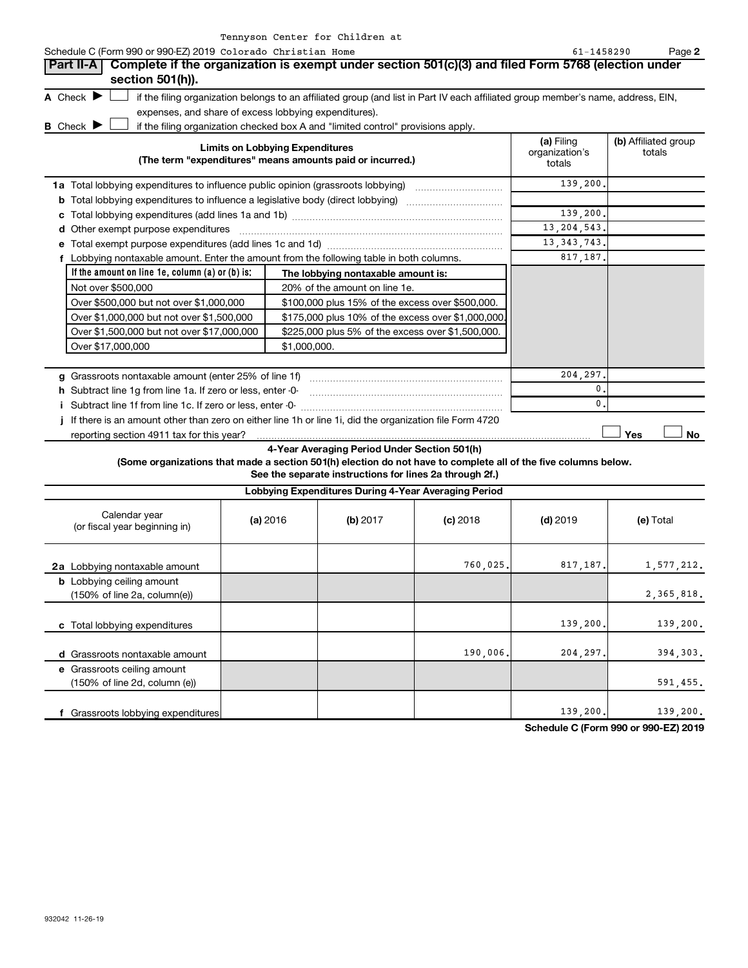|   |                                      |                                                                                  | Tennyson Center for Children at                                                                                                   |                                        |                                |
|---|--------------------------------------|----------------------------------------------------------------------------------|-----------------------------------------------------------------------------------------------------------------------------------|----------------------------------------|--------------------------------|
|   |                                      | Schedule C (Form 990 or 990-EZ) 2019 Colorado Christian Home                     |                                                                                                                                   | $61 - 1458290$                         | Page 2                         |
|   |                                      |                                                                                  | Part II-A   Complete if the organization is exempt under section 501(c)(3) and filed Form 5768 (election under                    |                                        |                                |
|   |                                      | section 501(h)).                                                                 |                                                                                                                                   |                                        |                                |
|   | A Check $\blacktriangleright$        |                                                                                  | if the filing organization belongs to an affiliated group (and list in Part IV each affiliated group member's name, address, EIN, |                                        |                                |
|   |                                      | expenses, and share of excess lobbying expenditures).                            |                                                                                                                                   |                                        |                                |
|   | <b>B</b> Check $\blacktriangleright$ |                                                                                  | if the filing organization checked box A and "limited control" provisions apply.                                                  |                                        |                                |
|   |                                      |                                                                                  | <b>Limits on Lobbying Expenditures</b><br>(The term "expenditures" means amounts paid or incurred.)                               | (a) Filing<br>organization's<br>totals | (b) Affiliated group<br>totals |
|   |                                      | 1a Total lobbying expenditures to influence public opinion (grassroots lobbying) |                                                                                                                                   | 139,200.                               |                                |
| b |                                      |                                                                                  | Total lobbying expenditures to influence a legislative body (direct lobbying)                                                     |                                        |                                |
| с |                                      |                                                                                  |                                                                                                                                   | 139,200.                               |                                |
| d |                                      | Other exempt purpose expenditures                                                |                                                                                                                                   | 13, 204, 543.                          |                                |
|   |                                      |                                                                                  |                                                                                                                                   | 13, 343, 743.                          |                                |
|   |                                      |                                                                                  | Lobbying nontaxable amount. Enter the amount from the following table in both columns.                                            | 817,187.                               |                                |
|   |                                      | If the amount on line $1e$ , column $(a)$ or $(b)$ is:                           | The lobbying nontaxable amount is:                                                                                                |                                        |                                |
|   |                                      | Not over \$500,000                                                               | 20% of the amount on line 1e.                                                                                                     |                                        |                                |
|   |                                      | Over \$500,000 but not over \$1,000,000                                          | \$100,000 plus 15% of the excess over \$500,000.                                                                                  |                                        |                                |
|   |                                      | Over \$1,000,000 but not over \$1,500,000                                        | \$175,000 plus 10% of the excess over \$1,000,000.                                                                                |                                        |                                |
|   |                                      | Over \$1,500,000 but not over \$17,000,000                                       | \$225,000 plus 5% of the excess over \$1,500,000.                                                                                 |                                        |                                |
|   |                                      | Over \$17,000,000                                                                | \$1,000,000.                                                                                                                      |                                        |                                |
|   |                                      |                                                                                  |                                                                                                                                   |                                        |                                |
|   |                                      | g Grassroots nontaxable amount (enter 25% of line 1f)                            |                                                                                                                                   | 204,297.                               |                                |
|   |                                      | h Subtract line 1g from line 1a. If zero or less, enter -0-                      |                                                                                                                                   | 0                                      |                                |
|   |                                      | Subtract line 1f from line 1c. If zero or less, enter -0-                        |                                                                                                                                   | 0                                      |                                |
|   |                                      |                                                                                  | If there is an amount other than zero on either line 1h or line 1i, did the organization file Form 4720                           |                                        |                                |

reporting section 4911 tax for this year?

**4-Year Averaging Period Under Section 501(h)**

**(Some organizations that made a section 501(h) election do not have to complete all of the five columns below.**

**See the separate instructions for lines 2a through 2f.)**

| Lobbying Expenditures During 4-Year Averaging Period                                |          |          |            |            |            |
|-------------------------------------------------------------------------------------|----------|----------|------------|------------|------------|
| Calendar year<br>(or fiscal year beginning in)                                      | (a) 2016 | (b) 2017 | $(c)$ 2018 | $(d)$ 2019 | (e) Total  |
| 2a Lobbying nontaxable amount                                                       |          |          | 760,025.   | 817, 187.  | 1,577,212. |
| <b>b</b> Lobbying ceiling amount<br>$(150\% \text{ of line } 2a, \text{column}(e))$ |          |          |            |            | 2,365,818. |
| c Total lobbying expenditures                                                       |          |          |            | 139,200.   | 139,200.   |
| d Grassroots nontaxable amount                                                      |          |          | 190,006.   | 204, 297.  | 394,303.   |
| e Grassroots ceiling amount<br>(150% of line 2d, column (e))                        |          |          |            |            | 591,455.   |
| f Grassroots lobbying expenditures                                                  |          |          |            | 139,200.   | 139,200.   |

**Schedule C (Form 990 or 990-EZ) 2019**

**Yes No**

 $\begin{array}{c} \square \\ \square \\ \square \end{array}$ 

 $\mathsf{\rfloor}$  Yes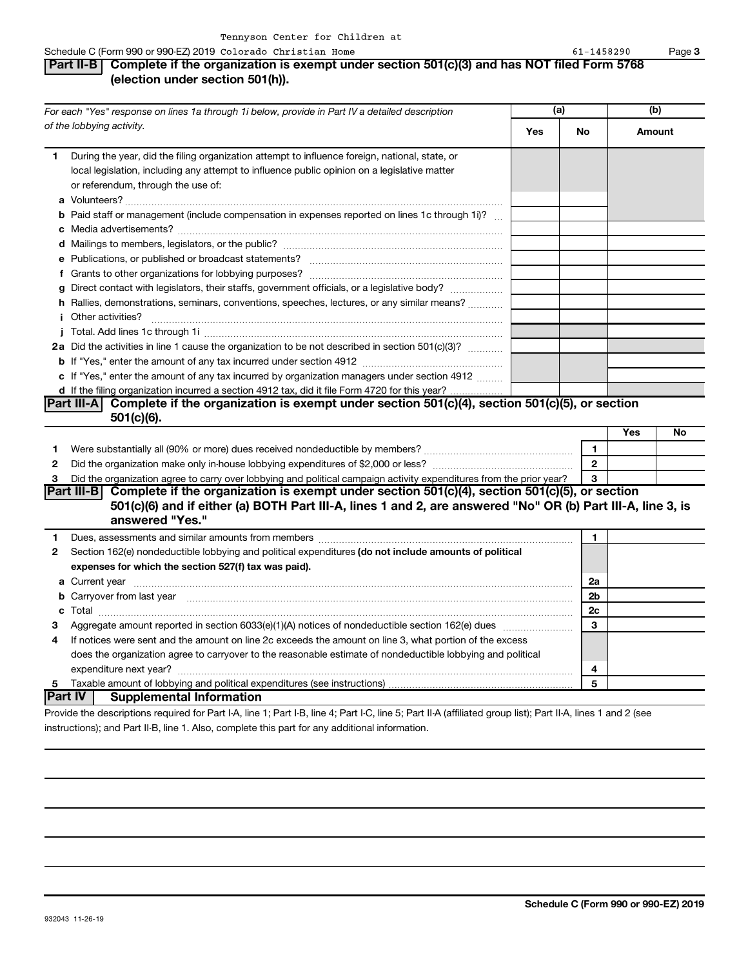**Part II-B Complete if the organization is exempt under section 501(c)(3) and has NOT filed Form 5768**

**a** Volunteers? ~~~~~~~~~~~~~~~~~~~~~~~~~~~~~~~~~~~~~~~~~~~

*For each "Yes" response on lines 1a through 1i below, provide in Part IV a detailed description*

**(election under section 501(h)).**

During the year, did the filing organization attempt to influence foreign, national, state, or local legislation, including any attempt to influence public opinion on a legislative matter

*of the lobbying activity.* 

or referendum, through the use of:

**1**

|              | <b>b</b> Paid staff or management (include compensation in expenses reported on lines 1c through 1i)?                    |              |            |    |
|--------------|--------------------------------------------------------------------------------------------------------------------------|--------------|------------|----|
|              |                                                                                                                          |              |            |    |
|              |                                                                                                                          |              |            |    |
|              |                                                                                                                          |              |            |    |
|              |                                                                                                                          |              |            |    |
|              | g Direct contact with legislators, their staffs, government officials, or a legislative body?                            |              |            |    |
|              | h Rallies, demonstrations, seminars, conventions, speeches, lectures, or any similar means?                              |              |            |    |
|              | <i>i</i> Other activities?                                                                                               |              |            |    |
|              |                                                                                                                          |              |            |    |
|              | 2a Did the activities in line 1 cause the organization to be not described in section 501(c)(3)?                         |              |            |    |
|              |                                                                                                                          |              |            |    |
|              | c If "Yes," enter the amount of any tax incurred by organization managers under section 4912                             |              |            |    |
|              | d If the filing organization incurred a section 4912 tax, did it file Form 4720 for this year?                           |              |            |    |
|              | $\vert$ Part III-A $\vert$ Complete if the organization is exempt under section 501(c)(4), section 501(c)(5), or section |              |            |    |
|              | $501(c)(6)$ .                                                                                                            |              |            |    |
|              |                                                                                                                          |              | <b>Yes</b> | No |
| 1.           |                                                                                                                          |              |            |    |
| $\mathbf{2}$ |                                                                                                                          | $\mathbf{2}$ |            |    |
| 3            | Did the organization agree to carry over lobbying and political campaign activity expenditures from the prior year?      | 3            |            |    |
|              | Part III-B Complete if the organization is exempt under section 501(c)(4), section 501(c)(5), or section                 |              |            |    |

## **501(c)(6) and if either (a) BOTH Part III-A, lines 1 and 2, are answered "No" OR (b) Part III-A, line 3, is answered "Yes."**

| $\mathbf{2}$ | Section 162(e) nondeductible lobbying and political expenditures (do not include amounts of political       |                |  |
|--------------|-------------------------------------------------------------------------------------------------------------|----------------|--|
|              | expenses for which the section 527(f) tax was paid).                                                        |                |  |
|              | a Current year                                                                                              | 2a             |  |
|              | <b>b</b> Carryover from last year                                                                           | 2 <sub>b</sub> |  |
|              |                                                                                                             | 2c             |  |
| 3            |                                                                                                             | 3              |  |
| 4            | If notices were sent and the amount on line 2c exceeds the amount on line 3, what portion of the excess     |                |  |
|              | does the organization agree to carryover to the reasonable estimate of nondeductible lobbying and political |                |  |
|              | expenditure next year?                                                                                      |                |  |
| 5            |                                                                                                             | 5              |  |
|              | <b>Part IV</b><br><b>Supplemental Information</b>                                                           |                |  |

#### Provide the descriptions required for Part I-A, line 1; Part I-B, line 4; Part I-C, line 5; Part II-A (affiliated group list); Part II-A, lines 1 and 2 (see instructions); and Part II-B, line 1. Also, complete this part for any additional information.

**(a) (b) Yes No Amount**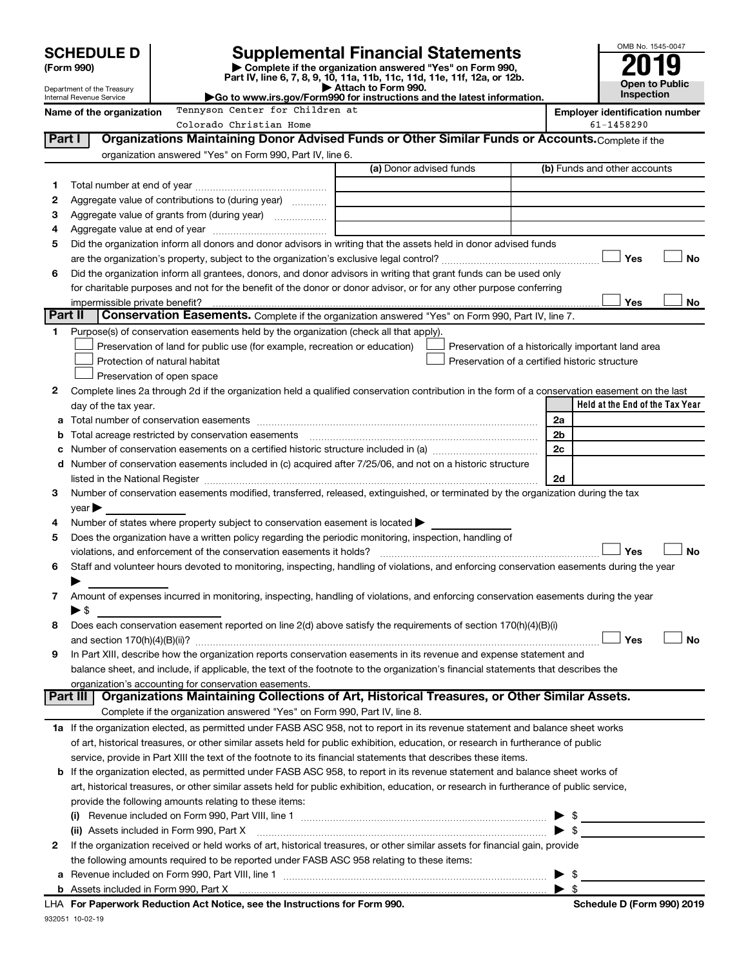|         |                                                        |                                                                                                                                                                                                                                |                         |                                                    |                | OMB No. 1545-0047                     |  |  |
|---------|--------------------------------------------------------|--------------------------------------------------------------------------------------------------------------------------------------------------------------------------------------------------------------------------------|-------------------------|----------------------------------------------------|----------------|---------------------------------------|--|--|
|         | <b>SCHEDULE D</b><br>(Form 990)                        | <b>Supplemental Financial Statements</b><br>Complete if the organization answered "Yes" on Form 990,                                                                                                                           |                         |                                                    |                |                                       |  |  |
|         |                                                        | Part IV, line 6, 7, 8, 9, 10, 11a, 11b, 11c, 11d, 11e, 11f, 12a, or 12b.                                                                                                                                                       | Attach to Form 990.     |                                                    |                | <b>Open to Public</b>                 |  |  |
|         | Department of the Treasury<br>Internal Revenue Service | Go to www.irs.gov/Form990 for instructions and the latest information.                                                                                                                                                         |                         |                                                    |                | Inspection                            |  |  |
|         | Name of the organization                               | Tennyson Center for Children at                                                                                                                                                                                                |                         |                                                    |                | <b>Employer identification number</b> |  |  |
|         |                                                        | Colorado Christian Home                                                                                                                                                                                                        |                         |                                                    |                | 61-1458290                            |  |  |
| Part I  |                                                        | Organizations Maintaining Donor Advised Funds or Other Similar Funds or Accounts. Complete if the                                                                                                                              |                         |                                                    |                |                                       |  |  |
|         |                                                        | organization answered "Yes" on Form 990, Part IV, line 6.                                                                                                                                                                      |                         |                                                    |                |                                       |  |  |
|         |                                                        |                                                                                                                                                                                                                                | (a) Donor advised funds |                                                    |                | (b) Funds and other accounts          |  |  |
| 1       |                                                        |                                                                                                                                                                                                                                |                         |                                                    |                |                                       |  |  |
| 2       |                                                        | Aggregate value of contributions to (during year)                                                                                                                                                                              |                         |                                                    |                |                                       |  |  |
| З       |                                                        |                                                                                                                                                                                                                                |                         |                                                    |                |                                       |  |  |
| 4       |                                                        |                                                                                                                                                                                                                                |                         |                                                    |                |                                       |  |  |
| 5       |                                                        | Did the organization inform all donors and donor advisors in writing that the assets held in donor advised funds                                                                                                               |                         |                                                    |                |                                       |  |  |
|         |                                                        |                                                                                                                                                                                                                                |                         |                                                    |                | <b>No</b><br>Yes                      |  |  |
| 6       |                                                        | Did the organization inform all grantees, donors, and donor advisors in writing that grant funds can be used only                                                                                                              |                         |                                                    |                |                                       |  |  |
|         | impermissible private benefit?                         | for charitable purposes and not for the benefit of the donor or donor advisor, or for any other purpose conferring                                                                                                             |                         |                                                    |                | Yes<br>No                             |  |  |
| Part II |                                                        | Conservation Easements. Complete if the organization answered "Yes" on Form 990, Part IV, line 7.                                                                                                                              |                         |                                                    |                |                                       |  |  |
| 1       |                                                        | Purpose(s) of conservation easements held by the organization (check all that apply).                                                                                                                                          |                         |                                                    |                |                                       |  |  |
|         |                                                        | Preservation of land for public use (for example, recreation or education)                                                                                                                                                     |                         | Preservation of a historically important land area |                |                                       |  |  |
|         |                                                        | Protection of natural habitat                                                                                                                                                                                                  |                         | Preservation of a certified historic structure     |                |                                       |  |  |
|         |                                                        | Preservation of open space                                                                                                                                                                                                     |                         |                                                    |                |                                       |  |  |
| 2       |                                                        | Complete lines 2a through 2d if the organization held a qualified conservation contribution in the form of a conservation easement on the last                                                                                 |                         |                                                    |                |                                       |  |  |
|         | day of the tax year.                                   |                                                                                                                                                                                                                                |                         |                                                    |                | Held at the End of the Tax Year       |  |  |
|         |                                                        |                                                                                                                                                                                                                                |                         |                                                    | 2a             |                                       |  |  |
| b       |                                                        |                                                                                                                                                                                                                                |                         |                                                    | 2 <sub>b</sub> |                                       |  |  |
| c       |                                                        |                                                                                                                                                                                                                                |                         |                                                    | 2c             |                                       |  |  |
|         |                                                        | d Number of conservation easements included in (c) acquired after 7/25/06, and not on a historic structure                                                                                                                     |                         |                                                    |                |                                       |  |  |
|         |                                                        |                                                                                                                                                                                                                                |                         |                                                    | 2d             |                                       |  |  |
| 3       |                                                        | Number of conservation easements modified, transferred, released, extinguished, or terminated by the organization during the tax                                                                                               |                         |                                                    |                |                                       |  |  |
|         | $year \blacktriangleright$                             |                                                                                                                                                                                                                                |                         |                                                    |                |                                       |  |  |
| 4       |                                                        | Number of states where property subject to conservation easement is located $\blacktriangleright$                                                                                                                              |                         |                                                    |                |                                       |  |  |
| 5       |                                                        | Does the organization have a written policy regarding the periodic monitoring, inspection, handling of                                                                                                                         |                         |                                                    |                |                                       |  |  |
|         |                                                        | violations, and enforcement of the conservation easements it holds? [[11,11]] will reconstruct the conservation easements it holds? [[11]] will reconservation easements it holds? [[11] will reconservation entries in the co |                         |                                                    |                | Yes<br><b>No</b>                      |  |  |
|         |                                                        | Staff and volunteer hours devoted to monitoring, inspecting, handling of violations, and enforcing conservation easements during the year                                                                                      |                         |                                                    |                |                                       |  |  |
|         |                                                        |                                                                                                                                                                                                                                |                         |                                                    |                |                                       |  |  |
| 7       |                                                        | Amount of expenses incurred in monitoring, inspecting, handling of violations, and enforcing conservation easements during the year                                                                                            |                         |                                                    |                |                                       |  |  |
|         | $\blacktriangleright$ \$                               |                                                                                                                                                                                                                                |                         |                                                    |                |                                       |  |  |
| 8       |                                                        | Does each conservation easement reported on line 2(d) above satisfy the requirements of section 170(h)(4)(B)(i)                                                                                                                |                         |                                                    |                |                                       |  |  |
|         |                                                        |                                                                                                                                                                                                                                |                         |                                                    |                | Yes<br>No                             |  |  |
| 9       |                                                        | In Part XIII, describe how the organization reports conservation easements in its revenue and expense statement and                                                                                                            |                         |                                                    |                |                                       |  |  |
|         |                                                        | balance sheet, and include, if applicable, the text of the footnote to the organization's financial statements that describes the<br>organization's accounting for conservation easements.                                     |                         |                                                    |                |                                       |  |  |
|         | Part III                                               | Organizations Maintaining Collections of Art, Historical Treasures, or Other Similar Assets.                                                                                                                                   |                         |                                                    |                |                                       |  |  |
|         |                                                        | Complete if the organization answered "Yes" on Form 990, Part IV, line 8.                                                                                                                                                      |                         |                                                    |                |                                       |  |  |
|         |                                                        | 1a If the organization elected, as permitted under FASB ASC 958, not to report in its revenue statement and balance sheet works                                                                                                |                         |                                                    |                |                                       |  |  |
|         |                                                        | of art, historical treasures, or other similar assets held for public exhibition, education, or research in furtherance of public                                                                                              |                         |                                                    |                |                                       |  |  |
|         |                                                        | service, provide in Part XIII the text of the footnote to its financial statements that describes these items.                                                                                                                 |                         |                                                    |                |                                       |  |  |
|         |                                                        | <b>b</b> If the organization elected, as permitted under FASB ASC 958, to report in its revenue statement and balance sheet works of                                                                                           |                         |                                                    |                |                                       |  |  |
|         |                                                        | art, historical treasures, or other similar assets held for public exhibition, education, or research in furtherance of public service,                                                                                        |                         |                                                    |                |                                       |  |  |
|         |                                                        | provide the following amounts relating to these items:                                                                                                                                                                         |                         |                                                    |                |                                       |  |  |
|         |                                                        |                                                                                                                                                                                                                                |                         |                                                    |                |                                       |  |  |
|         |                                                        | (ii) Assets included in Form 990, Part X                                                                                                                                                                                       |                         |                                                    |                |                                       |  |  |
| 2       |                                                        | If the organization received or held works of art, historical treasures, or other similar assets for financial gain, provide                                                                                                   |                         |                                                    |                |                                       |  |  |
|         |                                                        | the following amounts required to be reported under FASB ASC 958 relating to these items:                                                                                                                                      |                         |                                                    |                |                                       |  |  |
|         | $\blacktriangleright$ \$                               |                                                                                                                                                                                                                                |                         |                                                    |                |                                       |  |  |

| <b>b</b> Assets included in Form 990. Part X                               |                            |
|----------------------------------------------------------------------------|----------------------------|
| LHA For Paperwork Reduction Act Notice, see the Instructions for Form 990. | Schedule D (Form 990) 2019 |

932051 10-02-19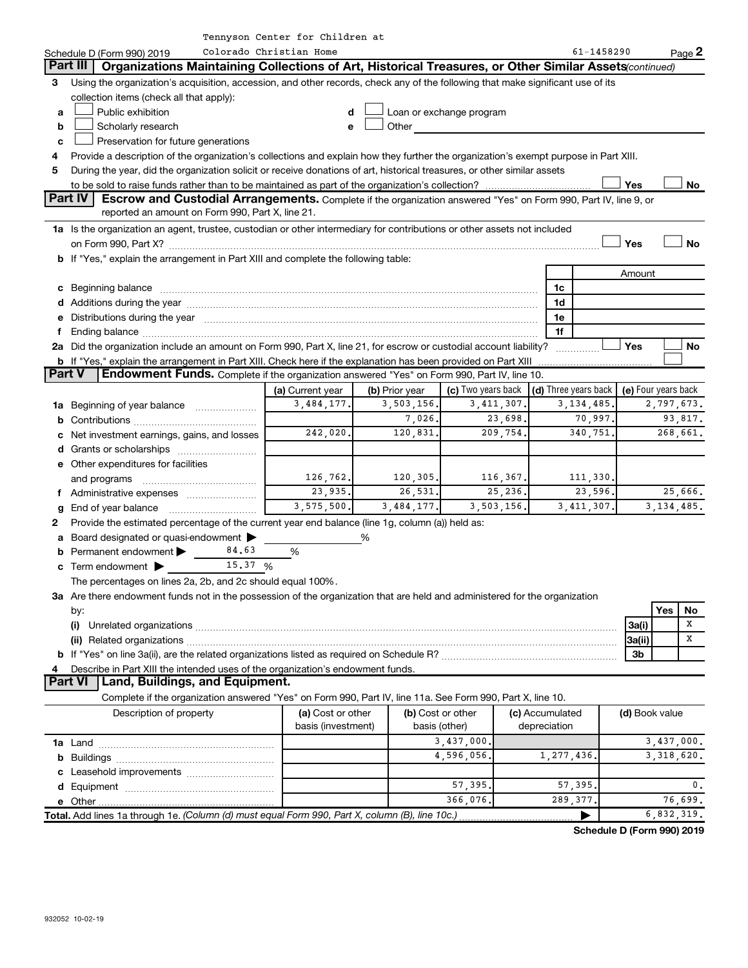|               |                                                                                                                                                                                                                                                          | Tennyson Center for Children at |                |                    |              |                      |          |                     |              |           |
|---------------|----------------------------------------------------------------------------------------------------------------------------------------------------------------------------------------------------------------------------------------------------------|---------------------------------|----------------|--------------------|--------------|----------------------|----------|---------------------|--------------|-----------|
|               | Colorado Christian Home<br>Schedule D (Form 990) 2019                                                                                                                                                                                                    |                                 |                |                    |              |                      |          | 61-1458290          | Page 2       |           |
|               | Part III   Organizations Maintaining Collections of Art, Historical Treasures, or Other Similar Assets (continued)                                                                                                                                       |                                 |                |                    |              |                      |          |                     |              |           |
| 3.            | Using the organization's acquisition, accession, and other records, check any of the following that make significant use of its                                                                                                                          |                                 |                |                    |              |                      |          |                     |              |           |
|               | collection items (check all that apply):                                                                                                                                                                                                                 |                                 |                |                    |              |                      |          |                     |              |           |
| a             | Public exhibition<br>Loan or exchange program<br>d                                                                                                                                                                                                       |                                 |                |                    |              |                      |          |                     |              |           |
| b             | Scholarly research<br>Other and the contract of the contract of the contract of the contract of the contract of the contract of the contract of the contract of the contract of the contract of the contract of the contract of the contract of the<br>e |                                 |                |                    |              |                      |          |                     |              |           |
| c             | Preservation for future generations                                                                                                                                                                                                                      |                                 |                |                    |              |                      |          |                     |              |           |
| 4             | Provide a description of the organization's collections and explain how they further the organization's exempt purpose in Part XIII.                                                                                                                     |                                 |                |                    |              |                      |          |                     |              |           |
| 5             | During the year, did the organization solicit or receive donations of art, historical treasures, or other similar assets                                                                                                                                 |                                 |                |                    |              |                      |          |                     |              |           |
|               |                                                                                                                                                                                                                                                          |                                 |                |                    |              |                      |          | Yes                 |              | No        |
|               | Part IV<br>Escrow and Custodial Arrangements. Complete if the organization answered "Yes" on Form 990, Part IV, line 9, or                                                                                                                               |                                 |                |                    |              |                      |          |                     |              |           |
|               | reported an amount on Form 990, Part X, line 21.                                                                                                                                                                                                         |                                 |                |                    |              |                      |          |                     |              |           |
|               | 1a Is the organization an agent, trustee, custodian or other intermediary for contributions or other assets not included                                                                                                                                 |                                 |                |                    |              |                      |          |                     |              |           |
|               |                                                                                                                                                                                                                                                          |                                 |                |                    |              |                      |          | Yes                 |              | <b>No</b> |
|               | b If "Yes," explain the arrangement in Part XIII and complete the following table:                                                                                                                                                                       |                                 |                |                    |              |                      |          |                     |              |           |
|               |                                                                                                                                                                                                                                                          |                                 |                |                    |              |                      |          | Amount              |              |           |
|               | c Beginning balance <b>communications</b> and a construction of the construction of the construction of the construction of the construction of the construction of the construction of the construction of the construction of the                      |                                 |                |                    |              | 1c                   |          |                     |              |           |
|               | d Additions during the year manufactured and an account of the year manufactured and account of the year manufactured and account of the year manufactured and account of the year manufactured and account of the year manufa                           |                                 |                |                    |              | 1d                   |          |                     |              |           |
|               | e Distributions during the year manufactured and an account of the year manufactured and account of the year manufactured and account of the USA of the Distributions during the year                                                                    |                                 |                |                    |              | 1e                   |          |                     |              |           |
| f             |                                                                                                                                                                                                                                                          |                                 |                |                    |              | 1f                   |          |                     |              |           |
|               | 2a Did the organization include an amount on Form 990, Part X, line 21, for escrow or custodial account liability?                                                                                                                                       |                                 |                |                    |              |                      |          | Yes                 |              | No        |
|               | <b>b</b> If "Yes," explain the arrangement in Part XIII. Check here if the explanation has been provided on Part XIII                                                                                                                                    |                                 |                |                    |              |                      |          |                     |              |           |
| <b>Part V</b> | Endowment Funds. Complete if the organization answered "Yes" on Form 990, Part IV, line 10.                                                                                                                                                              |                                 |                |                    |              |                      |          |                     |              |           |
|               |                                                                                                                                                                                                                                                          | (a) Current year                | (b) Prior year | (c) Two years back |              | (d) Three years back |          | (e) Four years back |              |           |
|               | 1a Beginning of year balance                                                                                                                                                                                                                             | 3,484,177.                      | 3,503,156.     |                    | 3, 411, 307. | 3, 134, 485.         |          |                     | 2,797,673.   |           |
|               |                                                                                                                                                                                                                                                          |                                 | 7,026.         |                    | 23,698.      |                      | 70,997.  |                     | 93,817.      |           |
|               | c Net investment earnings, gains, and losses                                                                                                                                                                                                             | 242,020.                        | 120,831.       |                    | 209,754.     |                      | 340,751. |                     | 268,661.     |           |
|               |                                                                                                                                                                                                                                                          |                                 |                |                    |              |                      |          |                     |              |           |
|               | e Other expenditures for facilities                                                                                                                                                                                                                      |                                 |                |                    |              |                      |          |                     |              |           |
|               | and programs                                                                                                                                                                                                                                             | 126, 762.                       | 120, 305.      |                    | 116,367.     |                      | 111,330. |                     |              |           |
|               | f Administrative expenses                                                                                                                                                                                                                                | 23,935.                         | 26,531.        |                    | 25,236.      |                      | 23,596.  |                     | 25,666.      |           |
|               |                                                                                                                                                                                                                                                          | 3,575,500.                      | 3,484,177.     |                    | 3,503,156.   | 3, 411, 307.         |          |                     | 3, 134, 485. |           |
| 2             | Provide the estimated percentage of the current year end balance (line 1g, column (a)) held as:                                                                                                                                                          |                                 |                |                    |              |                      |          |                     |              |           |
|               | a Board designated or quasi-endowment >                                                                                                                                                                                                                  |                                 | %              |                    |              |                      |          |                     |              |           |
|               | 84.63<br>Permanent endowment                                                                                                                                                                                                                             | %                               |                |                    |              |                      |          |                     |              |           |
|               | 15.37 %<br><b>c</b> Term endowment $\blacktriangleright$                                                                                                                                                                                                 |                                 |                |                    |              |                      |          |                     |              |           |
|               | The percentages on lines 2a, 2b, and 2c should equal 100%.                                                                                                                                                                                               |                                 |                |                    |              |                      |          |                     |              |           |
|               | 3a Are there endowment funds not in the possession of the organization that are held and administered for the organization                                                                                                                               |                                 |                |                    |              |                      |          |                     |              |           |
|               | by:                                                                                                                                                                                                                                                      |                                 |                |                    |              |                      |          |                     | Yes          | No        |
|               | (i)                                                                                                                                                                                                                                                      |                                 |                |                    |              |                      |          | 3a(i)               |              | х         |
|               |                                                                                                                                                                                                                                                          |                                 |                |                    |              |                      |          | 3a(ii)              |              | х         |
|               |                                                                                                                                                                                                                                                          |                                 |                |                    |              |                      |          | 3b                  |              |           |
| 4             | Describe in Part XIII the intended uses of the organization's endowment funds.                                                                                                                                                                           |                                 |                |                    |              |                      |          |                     |              |           |
|               | Part VI   Land, Buildings, and Equipment.                                                                                                                                                                                                                |                                 |                |                    |              |                      |          |                     |              |           |
|               | Complete if the organization answered "Yes" on Form 990, Part IV, line 11a. See Form 990, Part X, line 10.                                                                                                                                               |                                 |                |                    |              |                      |          |                     |              |           |
|               | Description of property                                                                                                                                                                                                                                  | (a) Cost or other               |                | (b) Cost or other  |              | (c) Accumulated      |          | (d) Book value      |              |           |
|               |                                                                                                                                                                                                                                                          | basis (investment)              |                | basis (other)      |              | depreciation         |          |                     |              |           |
|               |                                                                                                                                                                                                                                                          |                                 |                | 3,437,000.         |              |                      |          |                     | 3,437,000.   |           |
|               |                                                                                                                                                                                                                                                          |                                 |                | 4,596,056.         |              | 1,277,436.           |          |                     | 3, 318, 620. |           |
|               |                                                                                                                                                                                                                                                          |                                 |                |                    |              |                      |          |                     |              |           |
|               |                                                                                                                                                                                                                                                          |                                 |                | 57,395             |              | 57,395               |          |                     |              | 0.        |
|               |                                                                                                                                                                                                                                                          |                                 |                | 366,076.           |              | 289,377              |          |                     | 76,699.      |           |
|               |                                                                                                                                                                                                                                                          |                                 |                |                    |              |                      |          |                     |              |           |
|               | 6,832,319.<br>Total. Add lines 1a through 1e. (Column (d) must equal Form 990, Part X, column (B), line 10c.)                                                                                                                                            |                                 |                |                    |              |                      |          |                     |              |           |

**Schedule D (Form 990) 2019**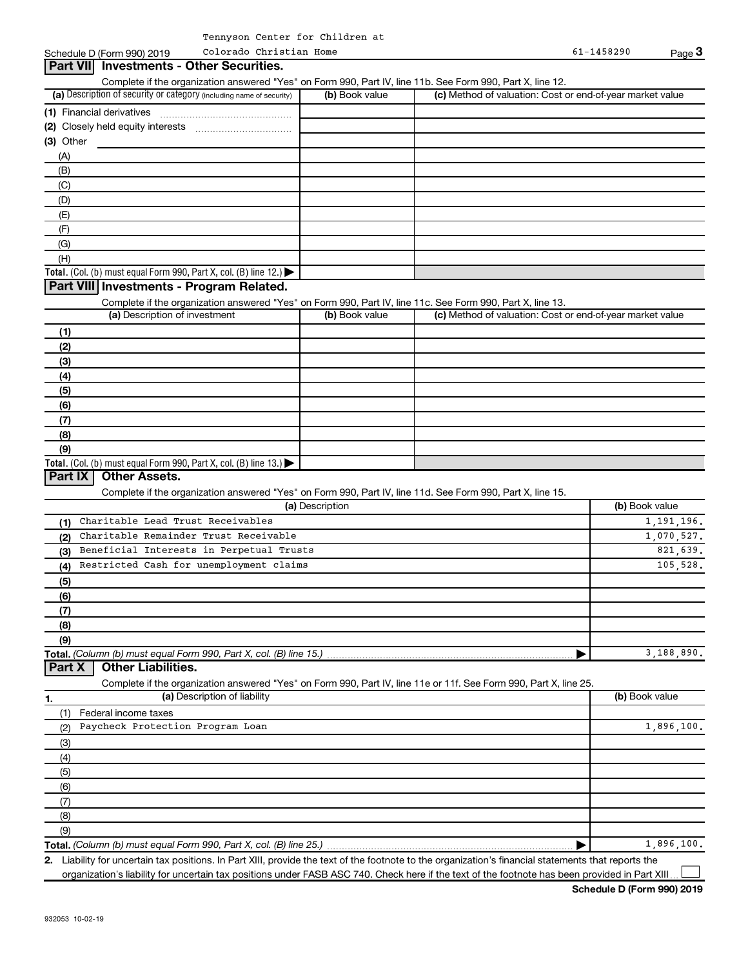(a) Description of security or category (including name of security)  $\vert$  (b) Book value  $\vert$  (c) **Total.** (Col. (b) must equal Form 990, Part X, col. (B) line 12.)  $\blacktriangleright$ **(1)** Financial derivatives ~~~~~~~~~~~~~~~ **(2)** Closely held equity interests ~~~~~~~~~~~ **(3)** Other Schedule D (Form 990) 2019 Page Complete if the organization answered "Yes" on Form 990, Part IV, line 11b. See Form 990, Part X, line 12.  $(b)$  Book value  $\vert$  (c) Method of valuation: Cost or end-of-year market value (A) (B) (C) (D) (E) (F) (G) (H) **Part VII Investments - Other Securities. Part VIII Investments - Program Related.** Colorado Christian Home

Complete if the organization answered "Yes" on Form 990, Part IV, line 11c. See Form 990, Part X, line 13.

| (a) Description of investment                                                           | (b) Book value | (c) Method of valuation: Cost or end-of-year market value |
|-----------------------------------------------------------------------------------------|----------------|-----------------------------------------------------------|
| (1)                                                                                     |                |                                                           |
| (2)                                                                                     |                |                                                           |
| (3)                                                                                     |                |                                                           |
| (4)                                                                                     |                |                                                           |
| (5)                                                                                     |                |                                                           |
| (6)                                                                                     |                |                                                           |
| (7)                                                                                     |                |                                                           |
| (8)                                                                                     |                |                                                           |
| (9)                                                                                     |                |                                                           |
| Total. (Col. (b) must equal Form 990, Part X, col. (B) line $13.$ $\blacktriangleright$ |                |                                                           |

### **Part IX Other Assets.**

Complete if the organization answered "Yes" on Form 990, Part IV, line 11d. See Form 990, Part X, line 15.

| (a) Description                                       | (b) Book value |
|-------------------------------------------------------|----------------|
| Charitable Lead Trust Receivables<br>(1)              | 1, 191, 196.   |
| Charitable Remainder Trust Receivable<br>(2)          | 1,070,527.     |
| Beneficial Interests in Perpetual Trusts<br>(3)       | 821.639.       |
| Restricted Cash for unemployment claims<br>(4)        | 105,528.       |
| (5)                                                   |                |
| (6)                                                   |                |
| (7)                                                   |                |
| (8)                                                   |                |
| (9)                                                   |                |
|                                                       | 3,188,890.     |
| $\overline{R}$ ivident in the state of $\overline{R}$ |                |

#### **Part X Other Liabilities.**

Complete if the organization answered "Yes" on Form 990, Part IV, line 11e or 11f. See Form 990, Part X, line 25.

| 1.                   | (a) Description of liability     | (b) Book value |
|----------------------|----------------------------------|----------------|
|                      | Federal income taxes             |                |
| (2)                  | Paycheck Protection Program Loan | 1,896,100.     |
| (3)                  |                                  |                |
| (4)                  |                                  |                |
| $\frac{1}{\sqrt{5}}$ |                                  |                |
| (6)                  |                                  |                |
| (7)                  |                                  |                |
| (8)                  |                                  |                |
| (9)                  |                                  |                |
|                      |                                  | 1,896,100.     |

**2.** Liability for uncertain tax positions. In Part XIII, provide the text of the footnote to the organization's financial statements that reports the organization's liability for uncertain tax positions under FASB ASC 740. Check here if the text of the footnote has been provided in Part XIII  $\perp$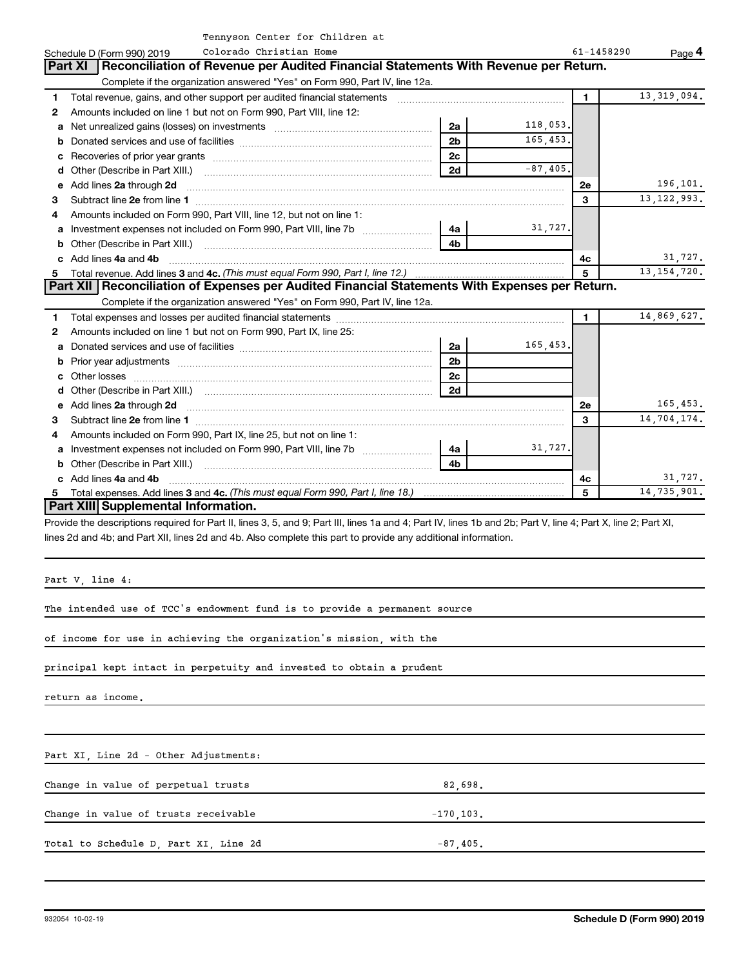|  |  | Tennyson Center for Children at |  |
|--|--|---------------------------------|--|
|  |  |                                 |  |

|                          | Tennyson center for children at                                                                                                                                                                                                    |                |             |         |               |  |  |  |
|--------------------------|------------------------------------------------------------------------------------------------------------------------------------------------------------------------------------------------------------------------------------|----------------|-------------|---------|---------------|--|--|--|
|                          | Colorado Christian Home<br>Schedule D (Form 990) 2019                                                                                                                                                                              | 61-1458290     | Page 4      |         |               |  |  |  |
|                          | Reconciliation of Revenue per Audited Financial Statements With Revenue per Return.<br><b>Part XI</b>                                                                                                                              |                |             |         |               |  |  |  |
|                          | Complete if the organization answered "Yes" on Form 990, Part IV, line 12a.                                                                                                                                                        |                |             |         |               |  |  |  |
| 13, 319, 094.<br>1<br>1. |                                                                                                                                                                                                                                    |                |             |         |               |  |  |  |
| 2                        | Amounts included on line 1 but not on Form 990, Part VIII, line 12:                                                                                                                                                                |                |             |         |               |  |  |  |
| a                        |                                                                                                                                                                                                                                    | 2a             | 118,053.    |         |               |  |  |  |
| b                        |                                                                                                                                                                                                                                    | 2 <sub>b</sub> | 165.453.    |         |               |  |  |  |
| c                        |                                                                                                                                                                                                                                    | 2 <sub>c</sub> |             |         |               |  |  |  |
| d                        |                                                                                                                                                                                                                                    | 2d             | $-87,405$ . |         |               |  |  |  |
| е                        | Add lines 2a through 2d                                                                                                                                                                                                            |                |             | 2е      | 196,101.      |  |  |  |
| 3                        |                                                                                                                                                                                                                                    |                |             | 3       | 13, 122, 993. |  |  |  |
| 4                        | Amounts included on Form 990, Part VIII, line 12, but not on line 1:                                                                                                                                                               |                |             |         |               |  |  |  |
| а                        | Investment expenses not included on Form 990, Part VIII, line 7b [100] [100] [4a [                                                                                                                                                 |                | 31,727.     |         |               |  |  |  |
| b                        |                                                                                                                                                                                                                                    | 4 <sub>h</sub> |             |         |               |  |  |  |
| c                        | Add lines 4a and 4b                                                                                                                                                                                                                |                | 4c          | 31,727. |               |  |  |  |
| 5                        |                                                                                                                                                                                                                                    |                |             | 5       | 13, 154, 720. |  |  |  |
|                          | Part XII   Reconciliation of Expenses per Audited Financial Statements With Expenses per Return.                                                                                                                                   |                |             |         |               |  |  |  |
|                          | Complete if the organization answered "Yes" on Form 990, Part IV, line 12a.                                                                                                                                                        |                |             |         |               |  |  |  |
| 1                        |                                                                                                                                                                                                                                    |                |             | 1       | 14,869,627.   |  |  |  |
| 2                        | Amounts included on line 1 but not on Form 990, Part IX, line 25:                                                                                                                                                                  |                |             |         |               |  |  |  |
| a                        |                                                                                                                                                                                                                                    | 2a             | 165,453.    |         |               |  |  |  |
| b                        | Prior year adjustments [1111] Prior year adjustments [111] Masseum Masseum Masseum Masseum Masseum Masseum Mass                                                                                                                    | 2 <sub>b</sub> |             |         |               |  |  |  |
|                          |                                                                                                                                                                                                                                    | 2 <sub>c</sub> |             |         |               |  |  |  |
|                          |                                                                                                                                                                                                                                    | 2d             |             |         |               |  |  |  |
|                          | e Add lines 2a through 2d <b>contained a control and a control and a</b> control and a control and a control and a control and a control and a control and a control and a control and a control and a control and a control and a |                |             | 2e      | 165, 453.     |  |  |  |
| 3                        |                                                                                                                                                                                                                                    |                |             | 3       | 14,704,174.   |  |  |  |
| 4                        | Amounts included on Form 990, Part IX, line 25, but not on line 1:                                                                                                                                                                 |                |             |         |               |  |  |  |
| a                        |                                                                                                                                                                                                                                    | 31,727.        |             |         |               |  |  |  |
| b                        |                                                                                                                                                                                                                                    | 4 <sub>h</sub> |             |         |               |  |  |  |
|                          | Add lines 4a and 4b                                                                                                                                                                                                                |                |             | 4с      | 31,727.       |  |  |  |
| 5                        |                                                                                                                                                                                                                                    |                |             | 5       | 14,735,901.   |  |  |  |
|                          | Part XIII Supplemental Information.                                                                                                                                                                                                |                |             |         |               |  |  |  |

Provide the descriptions required for Part II, lines 3, 5, and 9; Part III, lines 1a and 4; Part IV, lines 1b and 2b; Part V, line 4; Part X, line 2; Part XI, lines 2d and 4b; and Part XII, lines 2d and 4b. Also complete this part to provide any additional information.

Part V, line 4:

|  |  |  |  |  | The intended use of TCC's endowment fund is to provide a permanent source |  |  |  |  |  |  |  |
|--|--|--|--|--|---------------------------------------------------------------------------|--|--|--|--|--|--|--|
|--|--|--|--|--|---------------------------------------------------------------------------|--|--|--|--|--|--|--|

of income for use in achieving the organization's mission, with the

principal kept intact in perpetuity and invested to obtain a prudent

return as income.

| Part XI, Line 2d - Other Adjustments: |              |  |  |  |  |
|---------------------------------------|--------------|--|--|--|--|
| Change in value of perpetual trusts   | 82,698.      |  |  |  |  |
| Change in value of trusts receivable  | $-170.103$ . |  |  |  |  |
| Total to Schedule D, Part XI, Line 2d | $-87.405.$   |  |  |  |  |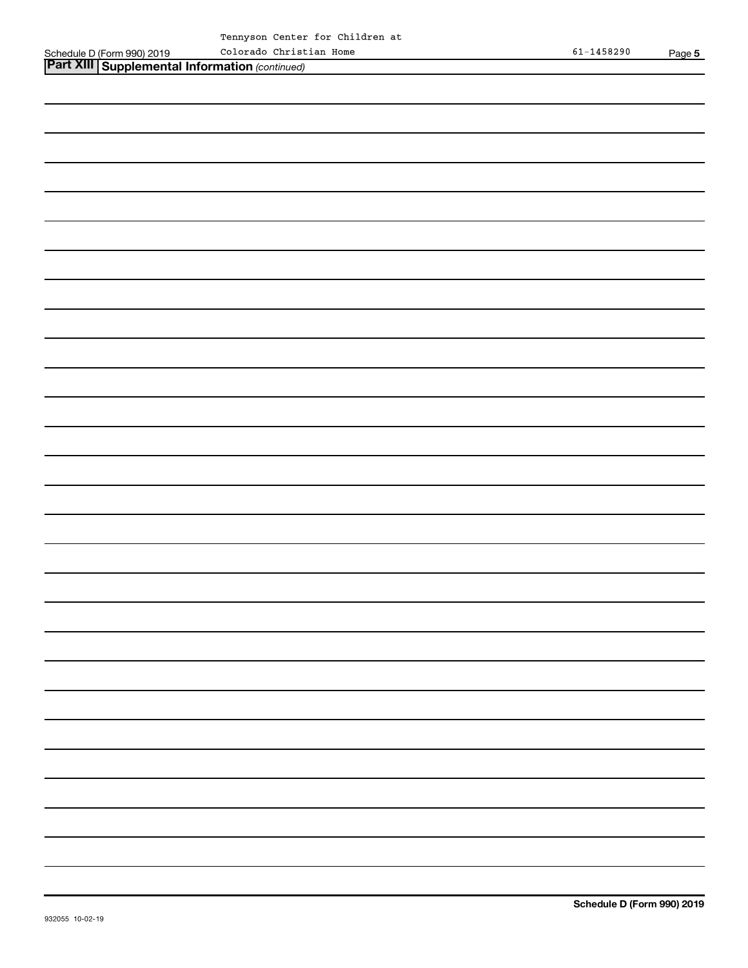$\overline{\phantom{0}}$ 

-

 $\overline{\phantom{a}}$ 

 $\overline{\phantom{a}}$ 

 $\mathcal{L}(\mathcal{L})$ 

 $\overline{\phantom{0}}$ 

 $\overline{\phantom{a}}$ 

-

 $\overline{\phantom{0}}$ 

 $\overline{\phantom{0}}$ 

 $\overline{\phantom{0}}$ 

L,

 $\overline{\phantom{0}}$ 

 $\overline{\phantom{0}}$ 

 $\overline{\phantom{0}}$ 

 $\overline{\phantom{a}}$ 

 $\overline{\phantom{a}}$ 

| $\frac{1}{2}$ . $\frac{1}{2}$ . $\frac{1}{2}$ . $\frac{1}{2}$ . $\frac{1}{2}$ . $\frac{1}{2}$ |  |                                                  |  |
|-----------------------------------------------------------------------------------------------|--|--------------------------------------------------|--|
|                                                                                               |  | Part XIII   Supplemental Information (continued) |  |
|                                                                                               |  |                                                  |  |

| 932055 10-02-19 | Schedule D (Form 9 |
|-----------------|--------------------|
|                 |                    |
|                 |                    |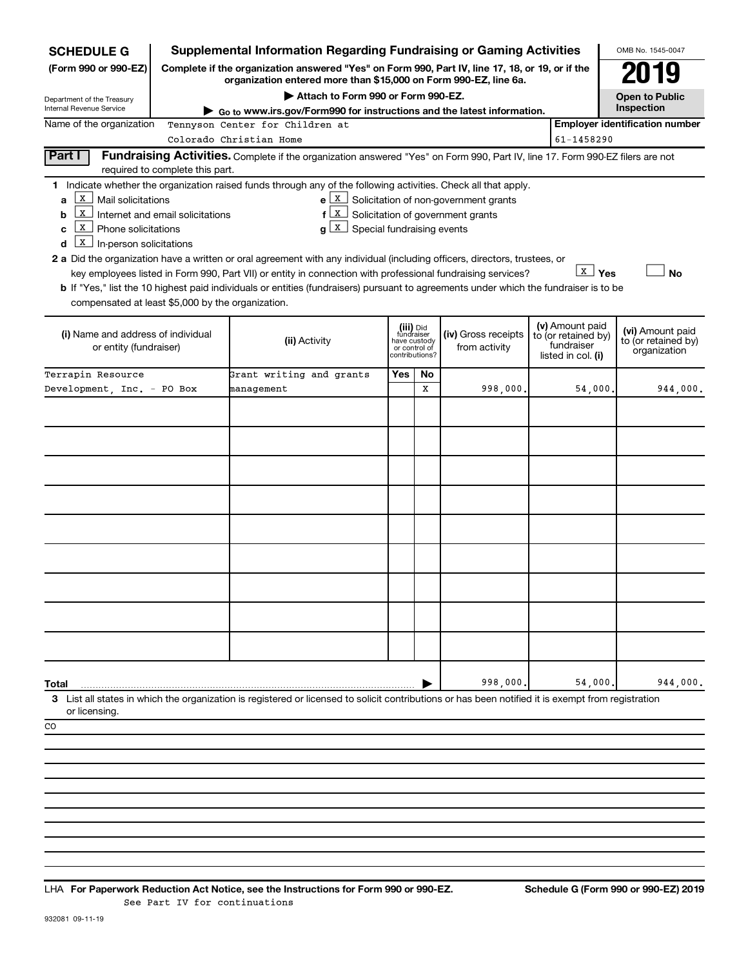| <b>SCHEDULE G</b>                                                                                                  |                                  | <b>Supplemental Information Regarding Fundraising or Gaming Activities</b>                                                                                                                                                                                                                                                                                                                                                                                                                                                                                                                                                         |     |                                                                            |                                                                                                                    |  |              | OMB No. 1545-0047                                       |  |  |
|--------------------------------------------------------------------------------------------------------------------|----------------------------------|------------------------------------------------------------------------------------------------------------------------------------------------------------------------------------------------------------------------------------------------------------------------------------------------------------------------------------------------------------------------------------------------------------------------------------------------------------------------------------------------------------------------------------------------------------------------------------------------------------------------------------|-----|----------------------------------------------------------------------------|--------------------------------------------------------------------------------------------------------------------|--|--------------|---------------------------------------------------------|--|--|
| (Form 990 or 990-EZ)                                                                                               |                                  | Complete if the organization answered "Yes" on Form 990, Part IV, line 17, 18, or 19, or if the<br>organization entered more than \$15,000 on Form 990-EZ, line 6a.                                                                                                                                                                                                                                                                                                                                                                                                                                                                |     |                                                                            |                                                                                                                    |  |              | 019                                                     |  |  |
| Department of the Treasury                                                                                         |                                  | Attach to Form 990 or Form 990-EZ.                                                                                                                                                                                                                                                                                                                                                                                                                                                                                                                                                                                                 |     |                                                                            |                                                                                                                    |  |              | <b>Open to Public</b>                                   |  |  |
| Internal Revenue Service                                                                                           |                                  | Go to www.irs.gov/Form990 for instructions and the latest information.                                                                                                                                                                                                                                                                                                                                                                                                                                                                                                                                                             |     |                                                                            |                                                                                                                    |  |              | Inspection                                              |  |  |
| Name of the organization                                                                                           |                                  | Tennyson Center for Children at                                                                                                                                                                                                                                                                                                                                                                                                                                                                                                                                                                                                    |     |                                                                            |                                                                                                                    |  |              | <b>Employer identification number</b>                   |  |  |
|                                                                                                                    |                                  | Colorado Christian Home                                                                                                                                                                                                                                                                                                                                                                                                                                                                                                                                                                                                            |     |                                                                            |                                                                                                                    |  | 61-1458290   |                                                         |  |  |
| Part I                                                                                                             | required to complete this part.  | Fundraising Activities. Complete if the organization answered "Yes" on Form 990, Part IV, line 17. Form 990-EZ filers are not                                                                                                                                                                                                                                                                                                                                                                                                                                                                                                      |     |                                                                            |                                                                                                                    |  |              |                                                         |  |  |
| X<br>Mail solicitations<br>a<br>  X<br>b<br>X<br>Phone solicitations<br>с<br>  X  <br>In-person solicitations<br>d | Internet and email solicitations | 1 Indicate whether the organization raised funds through any of the following activities. Check all that apply.<br>$f(X)$ Solicitation of government grants<br>$g\left[\begin{matrix} x \\ x \end{matrix}\right]$ Special fundraising events<br>2 a Did the organization have a written or oral agreement with any individual (including officers, directors, trustees, or<br>key employees listed in Form 990, Part VII) or entity in connection with professional fundraising services?<br>b If "Yes," list the 10 highest paid individuals or entities (fundraisers) pursuant to agreements under which the fundraiser is to be |     |                                                                            | $e X$ Solicitation of non-government grants                                                                        |  | <b>X</b> Yes | <b>No</b>                                               |  |  |
| compensated at least \$5,000 by the organization.<br>(i) Name and address of individual<br>or entity (fundraiser)  |                                  | (ii) Activity                                                                                                                                                                                                                                                                                                                                                                                                                                                                                                                                                                                                                      |     | (iii) Did<br>fundraiser<br>have custody<br>or control of<br>contributions? | (v) Amount paid<br>(iv) Gross receipts<br>to (or retained by)<br>fundraiser<br>from activity<br>listed in col. (i) |  |              | (vi) Amount paid<br>to (or retained by)<br>organization |  |  |
| Terrapin Resource                                                                                                  |                                  | Grant writing and grants                                                                                                                                                                                                                                                                                                                                                                                                                                                                                                                                                                                                           | Yes | No                                                                         |                                                                                                                    |  |              |                                                         |  |  |
| Development, Inc. - PO Box                                                                                         |                                  | management                                                                                                                                                                                                                                                                                                                                                                                                                                                                                                                                                                                                                         |     | x                                                                          | 998,000                                                                                                            |  | 54,000.      | 944,000.                                                |  |  |
| Total<br>or licensing.<br>CO                                                                                       |                                  | 3 List all states in which the organization is registered or licensed to solicit contributions or has been notified it is exempt from registration                                                                                                                                                                                                                                                                                                                                                                                                                                                                                 |     |                                                                            | 998,000                                                                                                            |  | 54,000,      | 944,000.                                                |  |  |

**For Paperwork Reduction Act Notice, see the Instructions for Form 990 or 990-EZ. Schedule G (Form 990 or 990-EZ) 2019** LHA See Part IV for continuations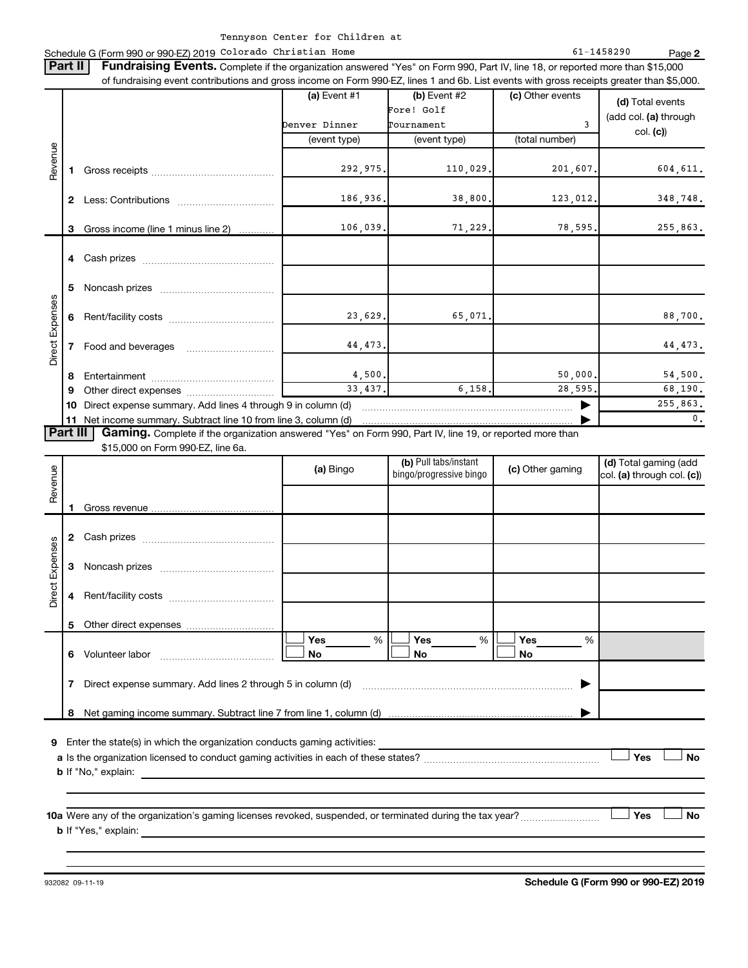#### Schedule G (Form 990 or 990-EZ) 2019 Page Colorado Christian Home 61-1458290

**2**

| <b>Part II</b>  |        | Fundraising Events. Complete if the organization answered "Yes" on Form 990, Part IV, line 18, or reported more than \$15,000<br>of fundraising event contributions and gross income on Form 990-EZ, lines 1 and 6b. List events with gross receipts greater than \$5,000. |                                 |                                                  |                       |                                                        |
|-----------------|--------|----------------------------------------------------------------------------------------------------------------------------------------------------------------------------------------------------------------------------------------------------------------------------|---------------------------------|--------------------------------------------------|-----------------------|--------------------------------------------------------|
|                 |        |                                                                                                                                                                                                                                                                            | (a) Event $#1$<br>Denver Dinner | $(b)$ Event #2<br>Fore! Golf<br>Tournament       | (c) Other events<br>3 | (d) Total events<br>(add col. (a) through<br>col. (c)) |
| Revenue         |        |                                                                                                                                                                                                                                                                            | (event type)                    | (event type)                                     | (total number)        |                                                        |
|                 | 1.     |                                                                                                                                                                                                                                                                            | 292,975.                        | 110,029.                                         | 201,607.              | 604,611.                                               |
|                 |        |                                                                                                                                                                                                                                                                            | 186,936.                        | 38,800.                                          | 123,012.              | 348,748.                                               |
|                 | 3      | Gross income (line 1 minus line 2)                                                                                                                                                                                                                                         | 106,039.                        | 71,229.                                          | 78, 595.              | 255,863.                                               |
|                 |        |                                                                                                                                                                                                                                                                            |                                 |                                                  |                       |                                                        |
|                 | 5<br>6 |                                                                                                                                                                                                                                                                            |                                 |                                                  |                       |                                                        |
|                 |        |                                                                                                                                                                                                                                                                            | 23,629.                         | 65,071.                                          |                       | 88,700.                                                |
| Direct Expenses | 7      |                                                                                                                                                                                                                                                                            | 44,473.                         |                                                  |                       | 44, 473.                                               |
|                 | 8      |                                                                                                                                                                                                                                                                            | 4,500,                          |                                                  | 50,000.               | 54,500.                                                |
|                 | 9      |                                                                                                                                                                                                                                                                            | 33,437.                         | 6.158.                                           | 28,595.               | 68,190.                                                |
|                 |        | 10 Direct expense summary. Add lines 4 through 9 in column (d)                                                                                                                                                                                                             |                                 |                                                  | ▶                     | 255,863.<br>0.                                         |
| Part III        |        | Gaming. Complete if the organization answered "Yes" on Form 990, Part IV, line 19, or reported more than<br>\$15,000 on Form 990-EZ, line 6a.                                                                                                                              |                                 |                                                  |                       |                                                        |
| Revenue         |        |                                                                                                                                                                                                                                                                            | (a) Bingo                       | (b) Pull tabs/instant<br>bingo/progressive bingo | (c) Other gaming      | (d) Total gaming (add<br>col. (a) through col. (c))    |
|                 |        |                                                                                                                                                                                                                                                                            |                                 |                                                  |                       |                                                        |
|                 |        |                                                                                                                                                                                                                                                                            |                                 |                                                  |                       |                                                        |
| Direct Expenses |        |                                                                                                                                                                                                                                                                            |                                 |                                                  |                       |                                                        |
|                 |        |                                                                                                                                                                                                                                                                            |                                 |                                                  |                       |                                                        |
|                 |        |                                                                                                                                                                                                                                                                            |                                 |                                                  |                       |                                                        |
|                 |        |                                                                                                                                                                                                                                                                            | Yes<br>%<br>No                  | Yes<br>$\%$<br>No                                | Yes<br>%<br>No        |                                                        |
|                 | 7      | Direct expense summary. Add lines 2 through 5 in column (d)                                                                                                                                                                                                                |                                 |                                                  |                       |                                                        |
|                 |        |                                                                                                                                                                                                                                                                            |                                 |                                                  |                       |                                                        |
|                 |        |                                                                                                                                                                                                                                                                            |                                 |                                                  |                       | Yes<br><b>No</b>                                       |
|                 |        | 10a Were any of the organization's gaming licenses revoked, suspended, or terminated during the tax year?                                                                                                                                                                  |                                 |                                                  |                       | Yes<br>No                                              |
|                 |        |                                                                                                                                                                                                                                                                            |                                 |                                                  |                       |                                                        |

932082 09-11-19

**Schedule G (Form 990 or 990-EZ) 2019**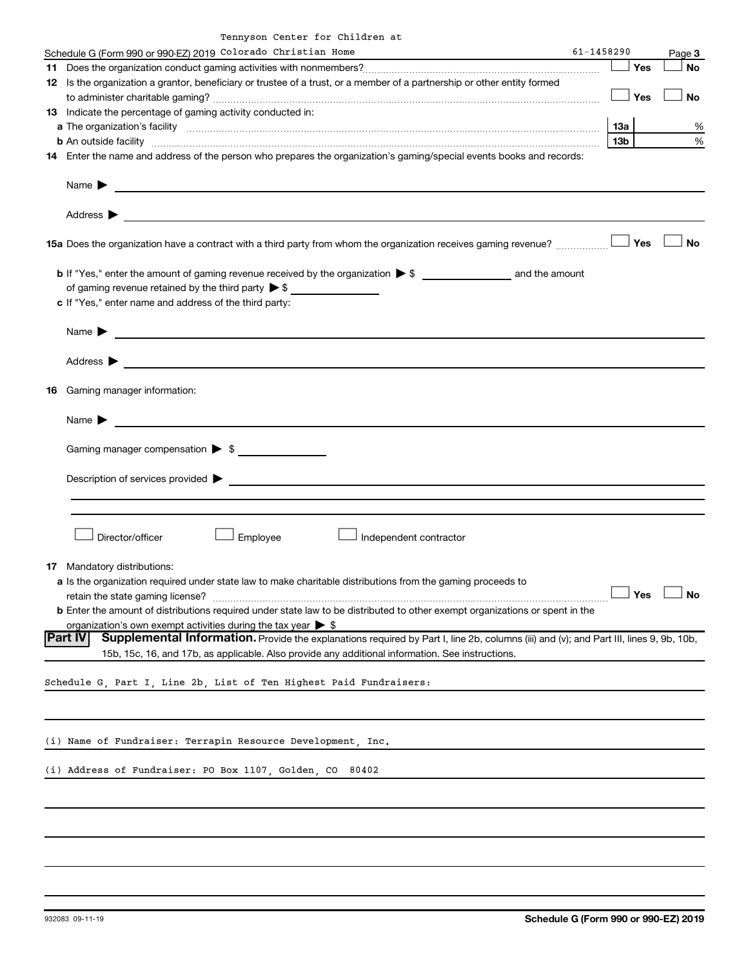| Tennyson Center for Children at |  |  |  |  |  |
|---------------------------------|--|--|--|--|--|
|---------------------------------|--|--|--|--|--|

| Schedule G (Form 990 or 990-EZ) 2019 Colorado Christian Home<br>61-1458290                                                                                                                                                                                                                                                                      |                 |     | Page 3 |
|-------------------------------------------------------------------------------------------------------------------------------------------------------------------------------------------------------------------------------------------------------------------------------------------------------------------------------------------------|-----------------|-----|--------|
|                                                                                                                                                                                                                                                                                                                                                 |                 | Yes | No     |
| 12 Is the organization a grantor, beneficiary or trustee of a trust, or a member of a partnership or other entity formed                                                                                                                                                                                                                        |                 |     |        |
|                                                                                                                                                                                                                                                                                                                                                 |                 | Yes | No     |
| 13 Indicate the percentage of gaming activity conducted in:                                                                                                                                                                                                                                                                                     |                 |     |        |
| a The organization's facility [11, 2003] The organization's facility [2003] The organization's facility [2003]                                                                                                                                                                                                                                  | 13a             |     | %      |
|                                                                                                                                                                                                                                                                                                                                                 | 13 <sub>b</sub> |     |        |
| <b>b</b> An outside facility <i>www.communicality www.communicality.communicality www.communicality www.communicality www.communicality www.communicality www.communicality www.communicality.com</i>                                                                                                                                           |                 |     | %      |
| 14 Enter the name and address of the person who prepares the organization's gaming/special events books and records:                                                                                                                                                                                                                            |                 |     |        |
| Name $\sum_{n=1}^{\infty}$ and $\sum_{n=1}^{\infty}$ and $\sum_{n=1}^{\infty}$ and $\sum_{n=1}^{\infty}$ and $\sum_{n=1}^{\infty}$ and $\sum_{n=1}^{\infty}$ and $\sum_{n=1}^{\infty}$ and $\sum_{n=1}^{\infty}$ and $\sum_{n=1}^{\infty}$ and $\sum_{n=1}^{\infty}$ and $\sum_{n=1}^{\infty}$ and $\sum_{n=1$<br>Address $\blacktriangleright$ |                 |     |        |
| 15a Does the organization have a contract with a third party from whom the organization receives gaming revenue?                                                                                                                                                                                                                                |                 | Yes | No     |
|                                                                                                                                                                                                                                                                                                                                                 |                 |     |        |
|                                                                                                                                                                                                                                                                                                                                                 |                 |     |        |
| of gaming revenue retained by the third party $\triangleright$ \$                                                                                                                                                                                                                                                                               |                 |     |        |
| c If "Yes," enter name and address of the third party:                                                                                                                                                                                                                                                                                          |                 |     |        |
|                                                                                                                                                                                                                                                                                                                                                 |                 |     |        |
| Name $\blacktriangleright$                                                                                                                                                                                                                                                                                                                      |                 |     |        |
| <u> Alexandria de la contrada de la contrada de la contrada de la contrada de la contrada de la contrada de la c</u>                                                                                                                                                                                                                            |                 |     |        |
|                                                                                                                                                                                                                                                                                                                                                 |                 |     |        |
| Address $\blacktriangleright$                                                                                                                                                                                                                                                                                                                   |                 |     |        |
|                                                                                                                                                                                                                                                                                                                                                 |                 |     |        |
| 16 Gaming manager information:                                                                                                                                                                                                                                                                                                                  |                 |     |        |
|                                                                                                                                                                                                                                                                                                                                                 |                 |     |        |
| Name $\blacktriangleright$<br><u> 1989 - Andrea Andrew Maria (h. 1989).</u>                                                                                                                                                                                                                                                                     |                 |     |        |
|                                                                                                                                                                                                                                                                                                                                                 |                 |     |        |
| Gaming manager compensation > \$                                                                                                                                                                                                                                                                                                                |                 |     |        |
|                                                                                                                                                                                                                                                                                                                                                 |                 |     |        |
|                                                                                                                                                                                                                                                                                                                                                 |                 |     |        |
| Description of services provided ><br><u> 1980 - Andrea Andrew Maria (h. 1980).</u>                                                                                                                                                                                                                                                             |                 |     |        |
|                                                                                                                                                                                                                                                                                                                                                 |                 |     |        |
|                                                                                                                                                                                                                                                                                                                                                 |                 |     |        |
| Employee<br>Director/officer<br>Independent contractor                                                                                                                                                                                                                                                                                          |                 |     |        |
| 17 Mandatory distributions:                                                                                                                                                                                                                                                                                                                     |                 |     |        |
|                                                                                                                                                                                                                                                                                                                                                 |                 |     |        |
| a Is the organization required under state law to make charitable distributions from the gaming proceeds to                                                                                                                                                                                                                                     |                 |     |        |
|                                                                                                                                                                                                                                                                                                                                                 |                 | Yes | No     |
| <b>b</b> Enter the amount of distributions required under state law to be distributed to other exempt organizations or spent in the                                                                                                                                                                                                             |                 |     |        |
| organization's own exempt activities during the tax year $\triangleright$ \$                                                                                                                                                                                                                                                                    |                 |     |        |
| <b>Part IV</b><br>Supplemental Information. Provide the explanations required by Part I, line 2b, columns (iii) and (v); and Part III, lines 9, 9b, 10b,                                                                                                                                                                                        |                 |     |        |
| 15b, 15c, 16, and 17b, as applicable. Also provide any additional information. See instructions.                                                                                                                                                                                                                                                |                 |     |        |
|                                                                                                                                                                                                                                                                                                                                                 |                 |     |        |
|                                                                                                                                                                                                                                                                                                                                                 |                 |     |        |
| Schedule G, Part I, Line 2b, List of Ten Highest Paid Fundraisers:                                                                                                                                                                                                                                                                              |                 |     |        |
|                                                                                                                                                                                                                                                                                                                                                 |                 |     |        |
|                                                                                                                                                                                                                                                                                                                                                 |                 |     |        |
|                                                                                                                                                                                                                                                                                                                                                 |                 |     |        |
| (i) Name of Fundraiser: Terrapin Resource Development, Inc.                                                                                                                                                                                                                                                                                     |                 |     |        |
|                                                                                                                                                                                                                                                                                                                                                 |                 |     |        |
|                                                                                                                                                                                                                                                                                                                                                 |                 |     |        |
| (i) Address of Fundraiser: PO Box 1107, Golden, CO 80402                                                                                                                                                                                                                                                                                        |                 |     |        |
|                                                                                                                                                                                                                                                                                                                                                 |                 |     |        |
|                                                                                                                                                                                                                                                                                                                                                 |                 |     |        |
|                                                                                                                                                                                                                                                                                                                                                 |                 |     |        |
|                                                                                                                                                                                                                                                                                                                                                 |                 |     |        |
|                                                                                                                                                                                                                                                                                                                                                 |                 |     |        |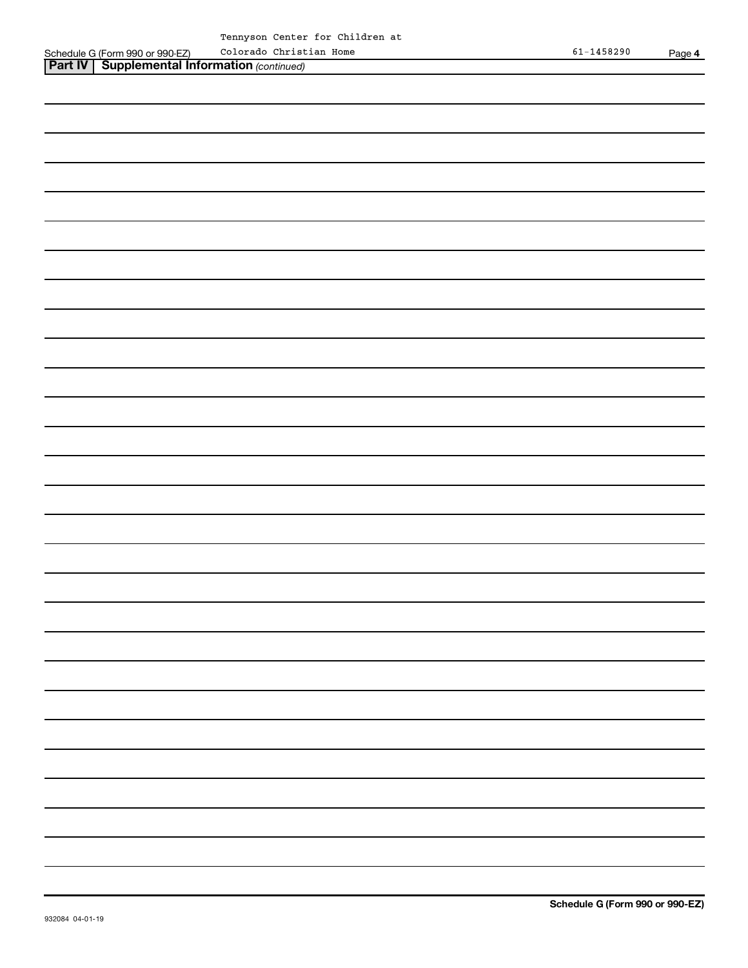*(continued)* **Part IV Supplemental Information** 

| <b>N Supplemental Information</b> (continued) |
|-----------------------------------------------|
|                                               |
|                                               |
|                                               |
|                                               |
|                                               |
|                                               |
|                                               |
|                                               |
|                                               |
|                                               |
|                                               |
|                                               |
|                                               |
|                                               |
|                                               |
|                                               |
|                                               |
|                                               |
|                                               |
|                                               |
|                                               |
|                                               |
|                                               |
|                                               |
|                                               |
|                                               |
|                                               |
|                                               |

 $\frac{1}{2}$ 

 $\overline{\phantom{0}}$ 

 $\overline{\phantom{0}}$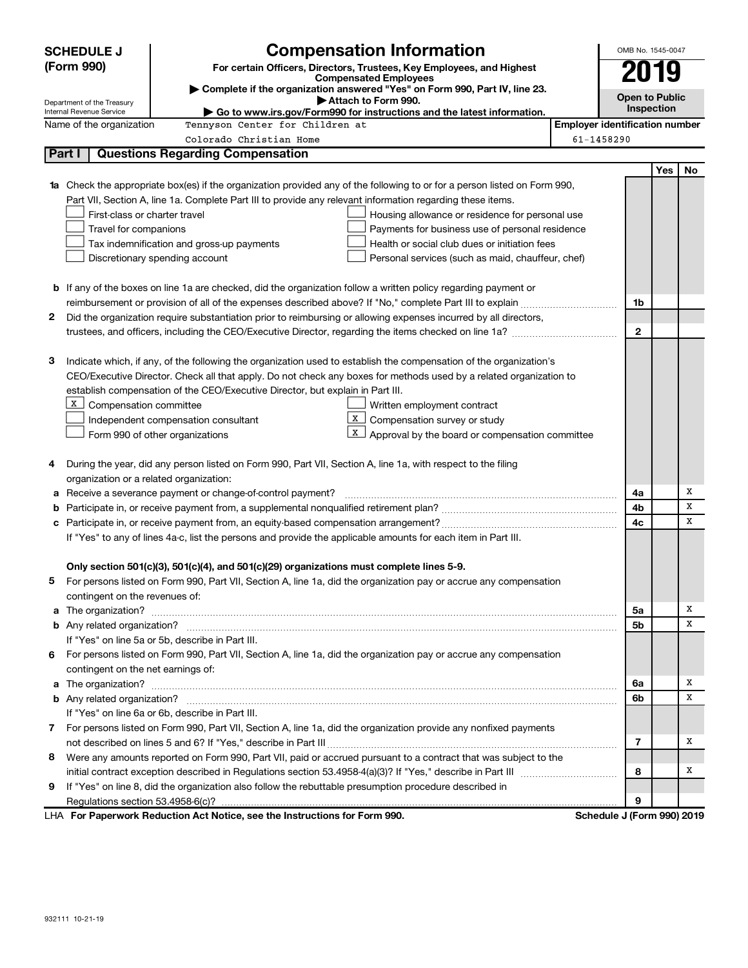| <b>Compensation Information</b><br><b>SCHEDULE J</b>                                                                                        | OMB No. 1545-0047                     |            |    |
|---------------------------------------------------------------------------------------------------------------------------------------------|---------------------------------------|------------|----|
| (Form 990)<br>For certain Officers, Directors, Trustees, Key Employees, and Highest                                                         |                                       | 2019       |    |
| <b>Compensated Employees</b><br>Complete if the organization answered "Yes" on Form 990, Part IV, line 23.                                  |                                       |            |    |
| Attach to Form 990.<br>Department of the Treasury                                                                                           | <b>Open to Public</b>                 |            |    |
| Internal Revenue Service<br>Go to www.irs.gov/Form990 for instructions and the latest information.                                          |                                       | Inspection |    |
| Name of the organization<br>Tennyson Center for Children at                                                                                 | <b>Employer identification number</b> |            |    |
| Colorado Christian Home<br>Part I                                                                                                           | 61-1458290                            |            |    |
| <b>Questions Regarding Compensation</b>                                                                                                     |                                       |            |    |
|                                                                                                                                             |                                       | Yes        | No |
| Check the appropriate box(es) if the organization provided any of the following to or for a person listed on Form 990,<br>1a                |                                       |            |    |
| Part VII, Section A, line 1a. Complete Part III to provide any relevant information regarding these items.<br>First-class or charter travel |                                       |            |    |
| Housing allowance or residence for personal use<br>Travel for companions<br>Payments for business use of personal residence                 |                                       |            |    |
| Tax indemnification and gross-up payments<br>Health or social club dues or initiation fees                                                  |                                       |            |    |
| Discretionary spending account<br>Personal services (such as maid, chauffeur, chef)                                                         |                                       |            |    |
|                                                                                                                                             |                                       |            |    |
| <b>b</b> If any of the boxes on line 1a are checked, did the organization follow a written policy regarding payment or                      |                                       |            |    |
|                                                                                                                                             | 1b                                    |            |    |
| Did the organization require substantiation prior to reimbursing or allowing expenses incurred by all directors,<br>2                       |                                       |            |    |
|                                                                                                                                             | 2                                     |            |    |
|                                                                                                                                             |                                       |            |    |
| Indicate which, if any, of the following the organization used to establish the compensation of the organization's<br>з                     |                                       |            |    |
| CEO/Executive Director. Check all that apply. Do not check any boxes for methods used by a related organization to                          |                                       |            |    |
| establish compensation of the CEO/Executive Director, but explain in Part III.                                                              |                                       |            |    |
| X<br>Compensation committee<br>Written employment contract                                                                                  |                                       |            |    |
| X  <br>Compensation survey or study<br>Independent compensation consultant                                                                  |                                       |            |    |
| X  <br>Form 990 of other organizations<br>Approval by the board or compensation committee                                                   |                                       |            |    |
|                                                                                                                                             |                                       |            |    |
| During the year, did any person listed on Form 990, Part VII, Section A, line 1a, with respect to the filing<br>4                           |                                       |            |    |
| organization or a related organization:                                                                                                     |                                       |            |    |
| Receive a severance payment or change-of-control payment?<br>а                                                                              | 4a                                    |            | х  |
| b                                                                                                                                           | 4b                                    |            | х  |
| с                                                                                                                                           | 4с                                    |            | х  |
| If "Yes" to any of lines 4a-c, list the persons and provide the applicable amounts for each item in Part III.                               |                                       |            |    |
|                                                                                                                                             |                                       |            |    |
| Only section 501(c)(3), 501(c)(4), and 501(c)(29) organizations must complete lines 5-9.                                                    |                                       |            |    |
| For persons listed on Form 990, Part VII, Section A, line 1a, did the organization pay or accrue any compensation                           |                                       |            |    |
| contingent on the revenues of:                                                                                                              |                                       |            |    |
|                                                                                                                                             | 5a                                    |            | х  |
|                                                                                                                                             | 5b                                    |            | х  |
| If "Yes" on line 5a or 5b, describe in Part III.                                                                                            |                                       |            |    |
| For persons listed on Form 990, Part VII, Section A, line 1a, did the organization pay or accrue any compensation<br>6.                     |                                       |            |    |
| contingent on the net earnings of:                                                                                                          |                                       |            |    |
|                                                                                                                                             | 6a                                    |            | х  |
|                                                                                                                                             | 6b                                    |            | х  |
| If "Yes" on line 6a or 6b, describe in Part III.                                                                                            |                                       |            |    |
| 7 For persons listed on Form 990, Part VII, Section A, line 1a, did the organization provide any nonfixed payments                          |                                       |            | х  |
| Were any amounts reported on Form 990, Part VII, paid or accrued pursuant to a contract that was subject to the                             | 7                                     |            |    |
| 8                                                                                                                                           | 8                                     |            | х  |
| If "Yes" on line 8, did the organization also follow the rebuttable presumption procedure described in<br>9                                 |                                       |            |    |
|                                                                                                                                             | 9                                     |            |    |
| LHA For Paperwork Reduction Act Notice, see the Instructions for Form 990.                                                                  | Schedule J (Form 990) 2019            |            |    |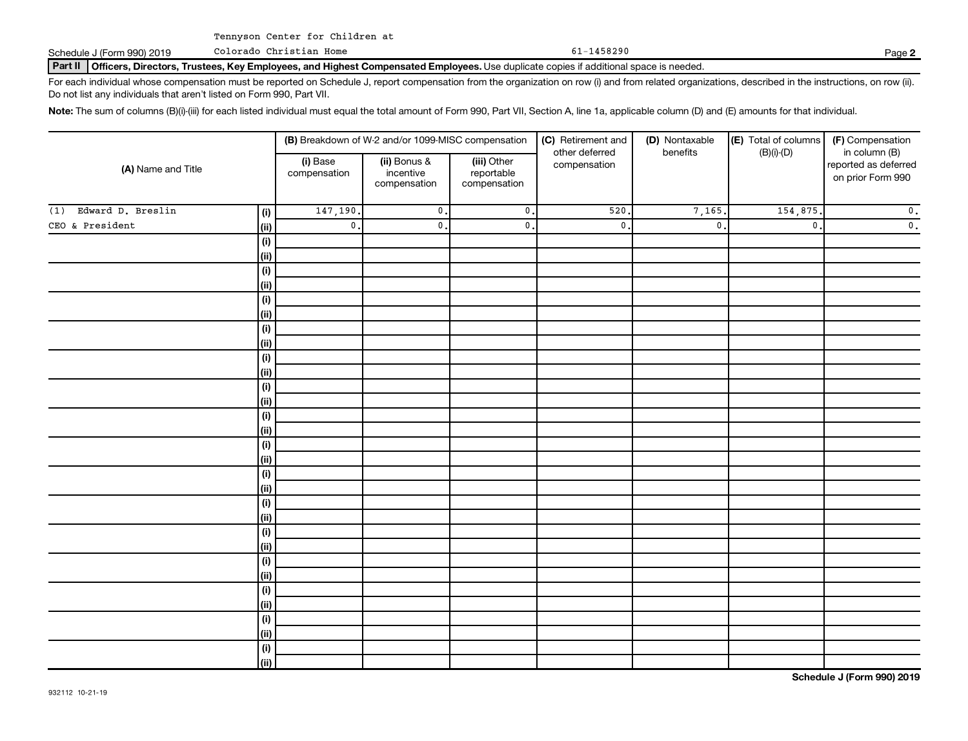Colorado Christian Home

Schedule J (Form 990) 2019 Colorado Christian Home Page 10 Page 1458290

Part II | Officers, Directors, Trustees, Key Employees, and Highest Compensated Employees. Use duplicate copies if additional space is needed.

For each individual whose compensation must be reported on Schedule J, report compensation from the organization on row (i) and from related organizations, described in the instructions, on row (ii). Do not list any individuals that aren't listed on Form 990, Part VII.

Note: The sum of columns (B)(i)-(iii) for each listed individual must equal the total amount of Form 990, Part VII, Section A, line 1a, applicable column (D) and (E) amounts for that individual.

|                          |                    |                          | (B) Breakdown of W-2 and/or 1099-MISC compensation |                                           | (C) Retirement and<br>other deferred | (D) Nontaxable<br>benefits | (E) Total of columns<br>$(B)(i)$ - $(D)$ | (F) Compensation<br>in column (B)         |  |
|--------------------------|--------------------|--------------------------|----------------------------------------------------|-------------------------------------------|--------------------------------------|----------------------------|------------------------------------------|-------------------------------------------|--|
| (A) Name and Title       |                    | (i) Base<br>compensation | (ii) Bonus &<br>incentive<br>compensation          | (iii) Other<br>reportable<br>compensation | compensation                         |                            |                                          | reported as deferred<br>on prior Form 990 |  |
| Edward D. Breslin<br>(1) | (i)                | 147,190.                 | $\overline{\mathbf{0}}$ .                          | $\overline{\mathbf{0}}$ .                 | 520                                  | 7,165.                     | 154,875                                  | $\mathbf 0$ .                             |  |
| CEO & President          | (ii)               | $\mathbf{0}$ .           | $\mathbf{0}$ .                                     | $\overline{\mathbf{0}}$ .                 | $\mathsf{0}$ .                       | $\mathbf{0}$ .             | $\mathbf{0}$ .                           | $\mathfrak o$ .                           |  |
|                          | $(\sf{i})$         |                          |                                                    |                                           |                                      |                            |                                          |                                           |  |
|                          | (ii)               |                          |                                                    |                                           |                                      |                            |                                          |                                           |  |
|                          | $(\sf{i})$         |                          |                                                    |                                           |                                      |                            |                                          |                                           |  |
|                          | (ii)               |                          |                                                    |                                           |                                      |                            |                                          |                                           |  |
|                          | $(\sf{i})$         |                          |                                                    |                                           |                                      |                            |                                          |                                           |  |
|                          | (ii)               |                          |                                                    |                                           |                                      |                            |                                          |                                           |  |
|                          | $(\sf{i})$         |                          |                                                    |                                           |                                      |                            |                                          |                                           |  |
|                          | (ii)               |                          |                                                    |                                           |                                      |                            |                                          |                                           |  |
|                          | $(\sf{i})$         |                          |                                                    |                                           |                                      |                            |                                          |                                           |  |
|                          | (ii)               |                          |                                                    |                                           |                                      |                            |                                          |                                           |  |
|                          | $(\sf{i})$         |                          |                                                    |                                           |                                      |                            |                                          |                                           |  |
|                          | (ii)               |                          |                                                    |                                           |                                      |                            |                                          |                                           |  |
|                          | $(\sf{i})$         |                          |                                                    |                                           |                                      |                            |                                          |                                           |  |
|                          | (ii)               |                          |                                                    |                                           |                                      |                            |                                          |                                           |  |
|                          | $(\sf{i})$<br>(ii) |                          |                                                    |                                           |                                      |                            |                                          |                                           |  |
|                          | $(\sf{i})$         |                          |                                                    |                                           |                                      |                            |                                          |                                           |  |
|                          | (ii)               |                          |                                                    |                                           |                                      |                            |                                          |                                           |  |
|                          | $(\sf{i})$         |                          |                                                    |                                           |                                      |                            |                                          |                                           |  |
|                          | (ii)               |                          |                                                    |                                           |                                      |                            |                                          |                                           |  |
|                          | $(\sf{i})$         |                          |                                                    |                                           |                                      |                            |                                          |                                           |  |
|                          | (ii)               |                          |                                                    |                                           |                                      |                            |                                          |                                           |  |
|                          | $(\sf{i})$         |                          |                                                    |                                           |                                      |                            |                                          |                                           |  |
|                          | (i)                |                          |                                                    |                                           |                                      |                            |                                          |                                           |  |
|                          | $(\sf{i})$         |                          |                                                    |                                           |                                      |                            |                                          |                                           |  |
|                          | (ii)               |                          |                                                    |                                           |                                      |                            |                                          |                                           |  |
|                          | $(\sf{i})$         |                          |                                                    |                                           |                                      |                            |                                          |                                           |  |
|                          | (ii)               |                          |                                                    |                                           |                                      |                            |                                          |                                           |  |
|                          | $(\sf{i})$         |                          |                                                    |                                           |                                      |                            |                                          |                                           |  |
|                          | (ii)               |                          |                                                    |                                           |                                      |                            |                                          |                                           |  |

**Schedule J (Form 990) 2019**

**2**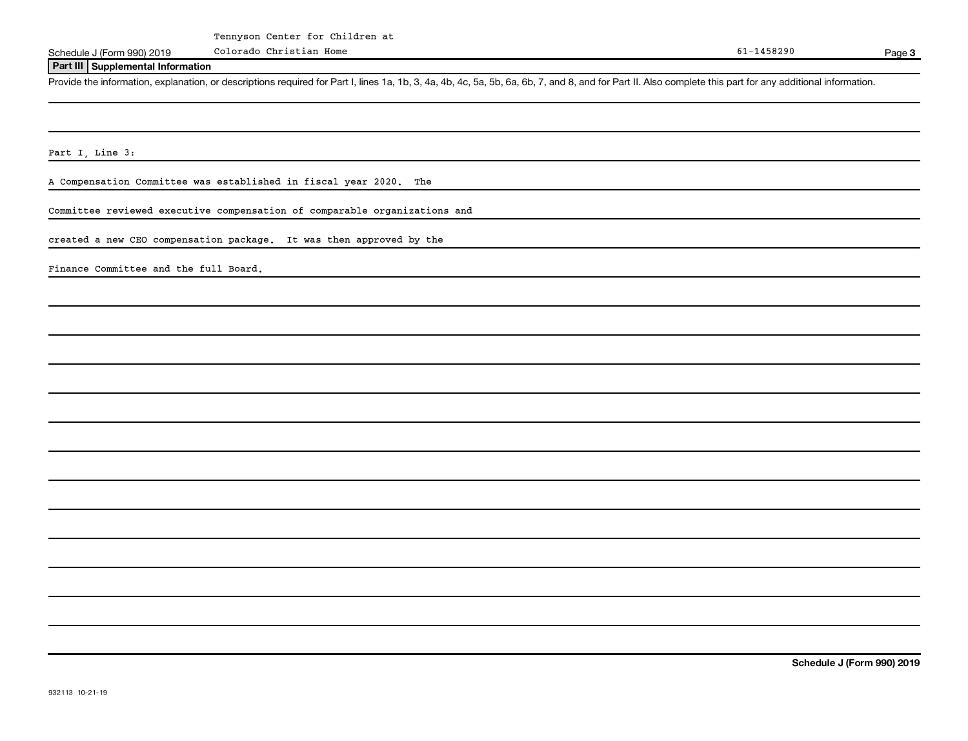Colorado Christian Home

Schedule J (Form 990) 2019 Page

Page 3

#### **Part III Supplemental Information**

Provide the information, explanation, or descriptions required for Part I, lines 1a, 1b, 3, 4a, 4b, 4c, 5a, 5b, 6a, 6b, 7, and 8, and for Part II. Also complete this part for any additional information.

Part I, Line 3:

A Compensation Committee was established in fiscal year 2020. The

Committee reviewed executive compensation of comparable organizations and

created a new CEO compensation package. It was then approved by the

Finance Committee and the full Board.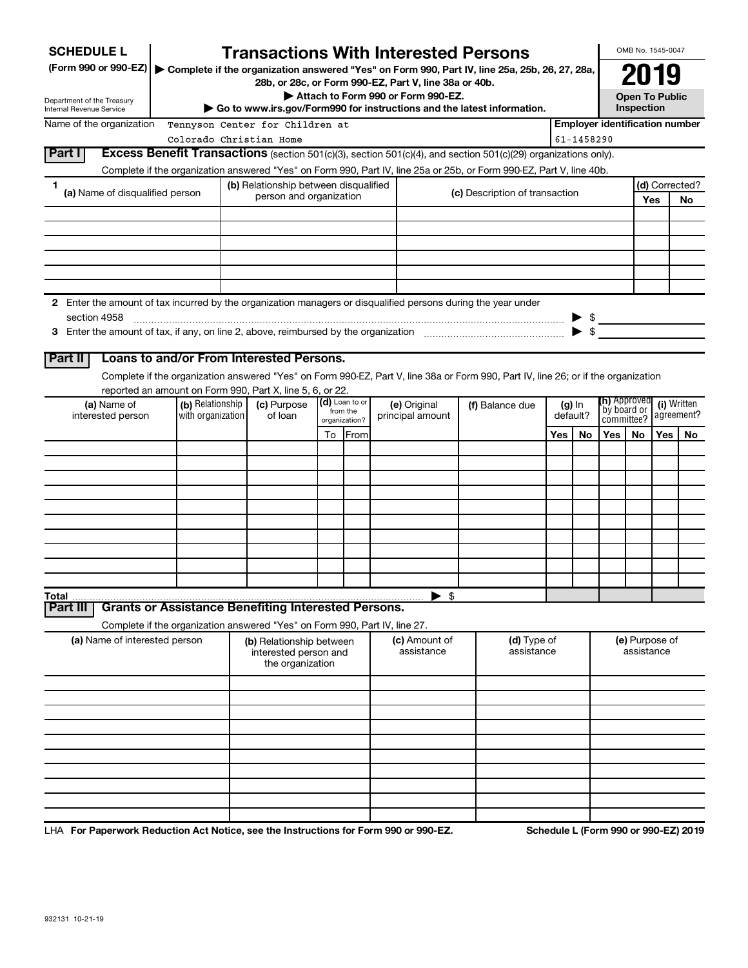| <b>SCHEDULE L</b><br>(Form 990 or 990-EZ)                                                                     |                         | <b>Transactions With Interested Persons</b><br>▶ Complete if the organization answered "Yes" on Form 990, Part IV, line 25a, 25b, 26, 27, 28a, |    |               |                 |                                    |  |                                      |     |             |                                       | OMB No. 1545-0047                           |     |                |
|---------------------------------------------------------------------------------------------------------------|-------------------------|------------------------------------------------------------------------------------------------------------------------------------------------|----|---------------|-----------------|------------------------------------|--|--------------------------------------|-----|-------------|---------------------------------------|---------------------------------------------|-----|----------------|
| Department of the Treasury<br>Internal Revenue Service                                                        |                         | 28b, or 28c, or Form 990-EZ, Part V, line 38a or 40b.<br>Go to www.irs.gov/Form990 for instructions and the latest information.                |    |               |                 | Attach to Form 990 or Form 990-EZ. |  |                                      |     |             |                                       | 2019<br><b>Open To Public</b><br>Inspection |     |                |
| Name of the organization                                                                                      |                         | Tennyson Center for Children at                                                                                                                |    |               |                 |                                    |  |                                      |     |             | <b>Employer identification number</b> |                                             |     |                |
|                                                                                                               | Colorado Christian Home |                                                                                                                                                |    |               |                 |                                    |  |                                      |     | 61-1458290  |                                       |                                             |     |                |
| Part I                                                                                                        |                         | <b>Excess Benefit Transactions</b> (section 501(c)(3), section 501(c)(4), and section 501(c)(29) organizations only).                          |    |               |                 |                                    |  |                                      |     |             |                                       |                                             |     |                |
|                                                                                                               |                         | Complete if the organization answered "Yes" on Form 990, Part IV, line 25a or 25b, or Form 990-EZ, Part V, line 40b.                           |    |               |                 |                                    |  |                                      |     |             |                                       |                                             |     |                |
| 1<br>(a) Name of disqualified person                                                                          |                         | (b) Relationship between disqualified                                                                                                          |    |               |                 |                                    |  | (c) Description of transaction       |     |             |                                       |                                             |     | (d) Corrected? |
|                                                                                                               |                         | person and organization                                                                                                                        |    |               |                 |                                    |  |                                      |     |             |                                       |                                             | Yes | No             |
|                                                                                                               |                         |                                                                                                                                                |    |               |                 |                                    |  |                                      |     |             |                                       |                                             |     |                |
|                                                                                                               |                         |                                                                                                                                                |    |               |                 |                                    |  |                                      |     |             |                                       |                                             |     |                |
|                                                                                                               |                         |                                                                                                                                                |    |               |                 |                                    |  |                                      |     |             |                                       |                                             |     |                |
|                                                                                                               |                         |                                                                                                                                                |    |               |                 |                                    |  |                                      |     |             |                                       |                                             |     |                |
|                                                                                                               |                         |                                                                                                                                                |    |               |                 |                                    |  |                                      |     |             |                                       |                                             |     |                |
| 2 Enter the amount of tax incurred by the organization managers or disqualified persons during the year under |                         |                                                                                                                                                |    |               |                 |                                    |  |                                      |     |             |                                       |                                             |     |                |
| section 4958                                                                                                  |                         |                                                                                                                                                |    |               |                 |                                    |  |                                      |     |             | $\triangleright$ \$                   |                                             |     |                |
|                                                                                                               |                         |                                                                                                                                                |    |               |                 |                                    |  |                                      |     |             |                                       |                                             |     |                |
| <b>Part II</b>                                                                                                |                         | Loans to and/or From Interested Persons.                                                                                                       |    |               |                 |                                    |  |                                      |     |             |                                       |                                             |     |                |
|                                                                                                               |                         | Complete if the organization answered "Yes" on Form 990-EZ, Part V, line 38a or Form 990, Part IV, line 26; or if the organization             |    |               |                 |                                    |  |                                      |     |             |                                       |                                             |     |                |
|                                                                                                               |                         | reported an amount on Form 990, Part X, line 5, 6, or 22.                                                                                      |    |               |                 |                                    |  |                                      |     |             |                                       |                                             |     |                |
| (a) Name of                                                                                                   | (b) Relationship        | (d) Loan to or<br>(c) Purpose<br>(e) Original<br>from the                                                                                      |    |               | (f) Balance due | $(g)$ In<br>default?               |  | ( <b>h)</b> Approved<br>`by board or |     | (i) Written |                                       |                                             |     |                |
| interested person                                                                                             | with organization       | of loan                                                                                                                                        |    | organization? |                 | principal amount                   |  |                                      |     |             |                                       | committee?                                  |     | agreement?     |
|                                                                                                               |                         |                                                                                                                                                | To | <b>IFrom</b>  |                 |                                    |  |                                      | Yes | No          | Yes                                   | <b>No</b>                                   | Yes | No.            |
|                                                                                                               |                         |                                                                                                                                                |    |               |                 |                                    |  |                                      |     |             |                                       |                                             |     |                |
|                                                                                                               |                         |                                                                                                                                                |    |               |                 |                                    |  |                                      |     |             |                                       |                                             |     |                |
|                                                                                                               |                         |                                                                                                                                                |    |               |                 |                                    |  |                                      |     |             |                                       |                                             |     |                |
|                                                                                                               |                         |                                                                                                                                                |    |               |                 |                                    |  |                                      |     |             |                                       |                                             |     |                |
|                                                                                                               |                         |                                                                                                                                                |    |               |                 |                                    |  |                                      |     |             |                                       |                                             |     |                |
|                                                                                                               |                         |                                                                                                                                                |    |               |                 |                                    |  |                                      |     |             |                                       |                                             |     |                |
|                                                                                                               |                         |                                                                                                                                                |    |               |                 |                                    |  |                                      |     |             |                                       |                                             |     |                |
|                                                                                                               |                         |                                                                                                                                                |    |               |                 |                                    |  |                                      |     |             |                                       |                                             |     |                |
|                                                                                                               |                         |                                                                                                                                                |    |               |                 |                                    |  |                                      |     |             |                                       |                                             |     |                |
| Total<br>Part III                                                                                             |                         | <b>Grants or Assistance Benefiting Interested Persons.</b>                                                                                     |    |               |                 | $\blacktriangleright$ \$           |  |                                      |     |             |                                       |                                             |     |                |
|                                                                                                               |                         | Complete if the organization answered "Yes" on Form 990, Part IV, line 27.                                                                     |    |               |                 |                                    |  |                                      |     |             |                                       |                                             |     |                |
| (a) Name of interested person                                                                                 |                         | (b) Relationship between                                                                                                                       |    |               |                 | (c) Amount of                      |  | (d) Type of                          |     |             |                                       | (e) Purpose of                              |     |                |
|                                                                                                               |                         | interested person and<br>the organization                                                                                                      |    |               |                 | assistance                         |  | assistance                           |     |             |                                       | assistance                                  |     |                |
|                                                                                                               |                         |                                                                                                                                                |    |               |                 |                                    |  |                                      |     |             |                                       |                                             |     |                |
|                                                                                                               |                         |                                                                                                                                                |    |               |                 |                                    |  |                                      |     |             |                                       |                                             |     |                |
|                                                                                                               |                         |                                                                                                                                                |    |               |                 |                                    |  |                                      |     |             |                                       |                                             |     |                |
|                                                                                                               |                         |                                                                                                                                                |    |               |                 |                                    |  |                                      |     |             |                                       |                                             |     |                |
|                                                                                                               |                         |                                                                                                                                                |    |               |                 |                                    |  |                                      |     |             |                                       |                                             |     |                |
|                                                                                                               |                         |                                                                                                                                                |    |               |                 |                                    |  |                                      |     |             |                                       |                                             |     |                |
|                                                                                                               |                         |                                                                                                                                                |    |               |                 |                                    |  |                                      |     |             |                                       |                                             |     |                |
|                                                                                                               |                         |                                                                                                                                                |    |               |                 |                                    |  |                                      |     |             |                                       |                                             |     |                |
|                                                                                                               |                         |                                                                                                                                                |    |               |                 |                                    |  |                                      |     |             |                                       |                                             |     |                |
|                                                                                                               |                         |                                                                                                                                                |    |               |                 |                                    |  |                                      |     |             |                                       |                                             |     |                |

LHA For Paperwork Reduction Act Notice, see the Instructions for Form 990 or 990-EZ. Schedule L (Form 990 or 990-EZ) 2019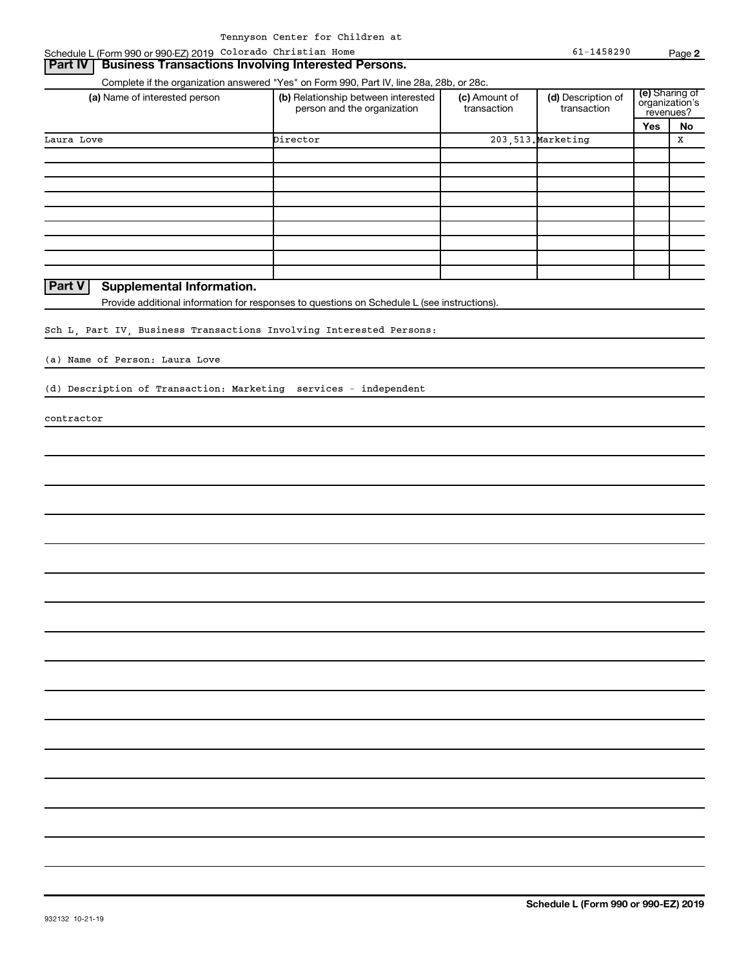#### **Part IV** | Business Transactions Involving Interested Persons.

| (a) Name of interested person                                       | (b) Relationship between interested<br>person and the organization                          | (c) Amount of<br>transaction | (d) Description of<br>transaction | (e) Sharing of<br>organization's<br>revenues? |    |
|---------------------------------------------------------------------|---------------------------------------------------------------------------------------------|------------------------------|-----------------------------------|-----------------------------------------------|----|
|                                                                     |                                                                                             |                              |                                   | Yes                                           | No |
| Laura Love                                                          | Director                                                                                    |                              | 203, 513. Marketing               |                                               | X  |
|                                                                     |                                                                                             |                              |                                   |                                               |    |
|                                                                     |                                                                                             |                              |                                   |                                               |    |
|                                                                     |                                                                                             |                              |                                   |                                               |    |
|                                                                     |                                                                                             |                              |                                   |                                               |    |
|                                                                     |                                                                                             |                              |                                   |                                               |    |
|                                                                     |                                                                                             |                              |                                   |                                               |    |
|                                                                     |                                                                                             |                              |                                   |                                               |    |
|                                                                     |                                                                                             |                              |                                   |                                               |    |
| <b>Part V</b><br>Supplemental Information.                          |                                                                                             |                              |                                   |                                               |    |
|                                                                     | Provide additional information for responses to questions on Schedule L (see instructions). |                              |                                   |                                               |    |
|                                                                     |                                                                                             |                              |                                   |                                               |    |
| Sch L, Part IV, Business Transactions Involving Interested Persons: |                                                                                             |                              |                                   |                                               |    |
|                                                                     |                                                                                             |                              |                                   |                                               |    |
| (a) Name of Person: Laura Love                                      |                                                                                             |                              |                                   |                                               |    |
| (d) Description of Transaction: Marketing services - independent    |                                                                                             |                              |                                   |                                               |    |
|                                                                     |                                                                                             |                              |                                   |                                               |    |
| contractor                                                          |                                                                                             |                              |                                   |                                               |    |
|                                                                     |                                                                                             |                              |                                   |                                               |    |
|                                                                     |                                                                                             |                              |                                   |                                               |    |
|                                                                     |                                                                                             |                              |                                   |                                               |    |
|                                                                     |                                                                                             |                              |                                   |                                               |    |
|                                                                     |                                                                                             |                              |                                   |                                               |    |
|                                                                     |                                                                                             |                              |                                   |                                               |    |
|                                                                     |                                                                                             |                              |                                   |                                               |    |
|                                                                     |                                                                                             |                              |                                   |                                               |    |
|                                                                     |                                                                                             |                              |                                   |                                               |    |
|                                                                     |                                                                                             |                              |                                   |                                               |    |
|                                                                     |                                                                                             |                              |                                   |                                               |    |
|                                                                     |                                                                                             |                              |                                   |                                               |    |
|                                                                     |                                                                                             |                              |                                   |                                               |    |
|                                                                     |                                                                                             |                              |                                   |                                               |    |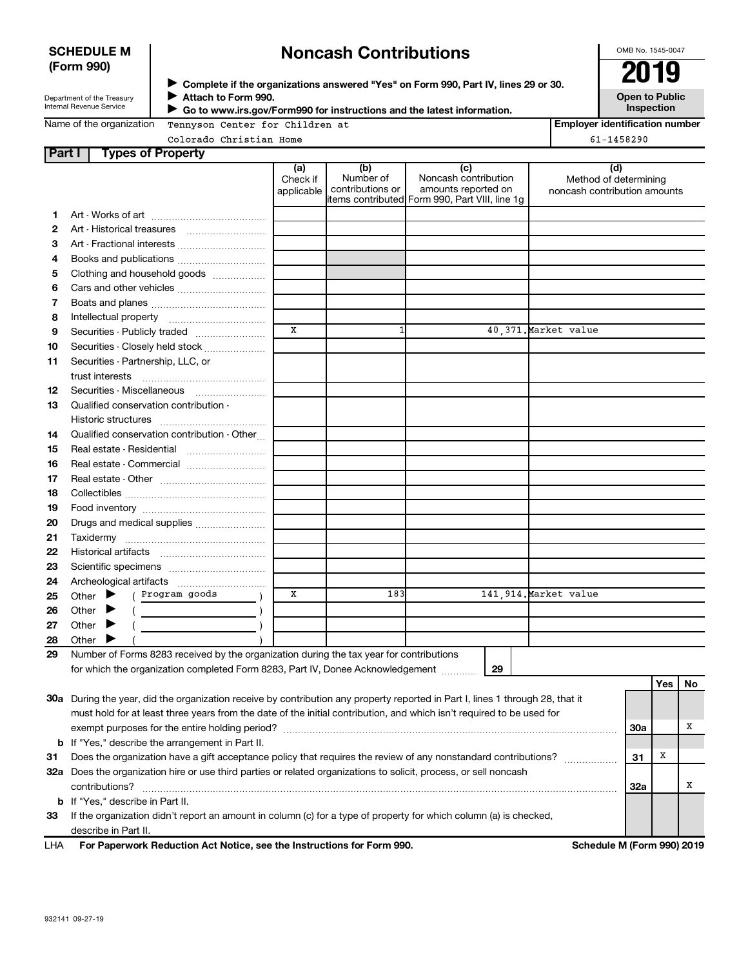### **SCHEDULE M (Form 990)**

# **Noncash Contributions**

OMB No. 1545-0047

| Department of the Treasury      |
|---------------------------------|
| <b>Internal Revenue Service</b> |

◆ Complete if the organizations answered "Yes" on Form 990, Part IV, lines 29 or 30.<br>▶ Complete if the organizations answered "Yes" on Form 990, Part IV, lines 29 or 30. **Attach to Form 990. Go to www.irs.gov/Form990 for instructions and the latest information.** J  $\blacktriangleright$ 

**Open to Public Inspection**

|  | Name of the organization |  |
|--|--------------------------|--|
|  |                          |  |

Tennyson Center for Children at

**Employer identification number**

Colorado Christian Home 61-1458290

| Part I | <b>Types of Property</b>                                                                                                       |                               |                                      |                                                                                                       |                                                              |            |     |    |  |  |
|--------|--------------------------------------------------------------------------------------------------------------------------------|-------------------------------|--------------------------------------|-------------------------------------------------------------------------------------------------------|--------------------------------------------------------------|------------|-----|----|--|--|
|        |                                                                                                                                | (a)<br>Check if<br>applicable | (b)<br>Number of<br>contributions or | (c)<br>Noncash contribution<br>amounts reported on<br>litems contributed Form 990, Part VIII, line 1g | (d)<br>Method of determining<br>noncash contribution amounts |            |     |    |  |  |
|        |                                                                                                                                |                               |                                      |                                                                                                       |                                                              |            |     |    |  |  |
| 1<br>2 |                                                                                                                                |                               |                                      |                                                                                                       |                                                              |            |     |    |  |  |
| З      |                                                                                                                                |                               |                                      |                                                                                                       |                                                              |            |     |    |  |  |
| 4      | Books and publications                                                                                                         |                               |                                      |                                                                                                       |                                                              |            |     |    |  |  |
| 5      | Clothing and household goods                                                                                                   |                               |                                      |                                                                                                       |                                                              |            |     |    |  |  |
| 6      |                                                                                                                                |                               |                                      |                                                                                                       |                                                              |            |     |    |  |  |
| 7      |                                                                                                                                |                               |                                      |                                                                                                       |                                                              |            |     |    |  |  |
| 8      |                                                                                                                                |                               |                                      |                                                                                                       |                                                              |            |     |    |  |  |
| 9      | Securities - Publicly traded                                                                                                   | X                             | $1\overline{ }$                      |                                                                                                       | 40,371. Market value                                         |            |     |    |  |  |
| 10     | Securities - Closely held stock                                                                                                |                               |                                      |                                                                                                       |                                                              |            |     |    |  |  |
| 11     | Securities - Partnership, LLC, or                                                                                              |                               |                                      |                                                                                                       |                                                              |            |     |    |  |  |
|        | trust interests                                                                                                                |                               |                                      |                                                                                                       |                                                              |            |     |    |  |  |
| 12     | Securities - Miscellaneous                                                                                                     |                               |                                      |                                                                                                       |                                                              |            |     |    |  |  |
| 13     | Qualified conservation contribution -                                                                                          |                               |                                      |                                                                                                       |                                                              |            |     |    |  |  |
|        |                                                                                                                                |                               |                                      |                                                                                                       |                                                              |            |     |    |  |  |
| 14     | Qualified conservation contribution - Other                                                                                    |                               |                                      |                                                                                                       |                                                              |            |     |    |  |  |
| 15     | Real estate - Residential                                                                                                      |                               |                                      |                                                                                                       |                                                              |            |     |    |  |  |
| 16     | Real estate - Commercial                                                                                                       |                               |                                      |                                                                                                       |                                                              |            |     |    |  |  |
| 17     |                                                                                                                                |                               |                                      |                                                                                                       |                                                              |            |     |    |  |  |
| 18     |                                                                                                                                |                               |                                      |                                                                                                       |                                                              |            |     |    |  |  |
| 19     |                                                                                                                                |                               |                                      |                                                                                                       |                                                              |            |     |    |  |  |
| 20     |                                                                                                                                |                               |                                      |                                                                                                       |                                                              |            |     |    |  |  |
| 21     |                                                                                                                                |                               |                                      |                                                                                                       |                                                              |            |     |    |  |  |
| 22     |                                                                                                                                |                               |                                      |                                                                                                       |                                                              |            |     |    |  |  |
| 23     |                                                                                                                                |                               |                                      |                                                                                                       |                                                              |            |     |    |  |  |
| 24     |                                                                                                                                |                               |                                      |                                                                                                       |                                                              |            |     |    |  |  |
| 25     | ( Program goods<br>Other $\blacktriangleright$                                                                                 | X                             | 183                                  |                                                                                                       | 141,914. Market value                                        |            |     |    |  |  |
| 26     | Other                                                                                                                          |                               |                                      |                                                                                                       |                                                              |            |     |    |  |  |
| 27     | Other $\blacktriangleright$                                                                                                    |                               |                                      |                                                                                                       |                                                              |            |     |    |  |  |
| 28     | Other I                                                                                                                        |                               |                                      |                                                                                                       |                                                              |            |     |    |  |  |
| 29     | Number of Forms 8283 received by the organization during the tax year for contributions                                        |                               |                                      |                                                                                                       |                                                              |            |     |    |  |  |
|        | for which the organization completed Form 8283, Part IV, Donee Acknowledgement                                                 |                               |                                      | 29                                                                                                    |                                                              |            |     |    |  |  |
|        |                                                                                                                                |                               |                                      |                                                                                                       |                                                              |            | Yes | No |  |  |
|        | 30a During the year, did the organization receive by contribution any property reported in Part I, lines 1 through 28, that it |                               |                                      |                                                                                                       |                                                              |            |     |    |  |  |
|        | must hold for at least three years from the date of the initial contribution, and which isn't required to be used for          |                               |                                      |                                                                                                       |                                                              |            |     |    |  |  |
|        |                                                                                                                                |                               |                                      |                                                                                                       |                                                              | <b>30a</b> |     | х  |  |  |
|        | <b>b</b> If "Yes," describe the arrangement in Part II.                                                                        |                               |                                      |                                                                                                       |                                                              |            |     |    |  |  |
| 31     | Does the organization have a gift acceptance policy that requires the review of any nonstandard contributions?                 |                               |                                      |                                                                                                       |                                                              | 31         | X   |    |  |  |
|        | 32a Does the organization hire or use third parties or related organizations to solicit, process, or sell noncash              |                               |                                      |                                                                                                       |                                                              |            |     |    |  |  |
|        | contributions?                                                                                                                 |                               |                                      |                                                                                                       |                                                              | <b>32a</b> |     | х  |  |  |
|        | <b>b</b> If "Yes," describe in Part II.                                                                                        |                               |                                      |                                                                                                       |                                                              |            |     |    |  |  |
| 33     | If the organization didn't report an amount in column (c) for a type of property for which column (a) is checked,              |                               |                                      |                                                                                                       |                                                              |            |     |    |  |  |
|        | describe in Part II.                                                                                                           |                               |                                      |                                                                                                       |                                                              |            |     |    |  |  |
| LHA    | For Paperwork Reduction Act Notice, see the Instructions for Form 990.<br>Schedule M (Form 990) 2019                           |                               |                                      |                                                                                                       |                                                              |            |     |    |  |  |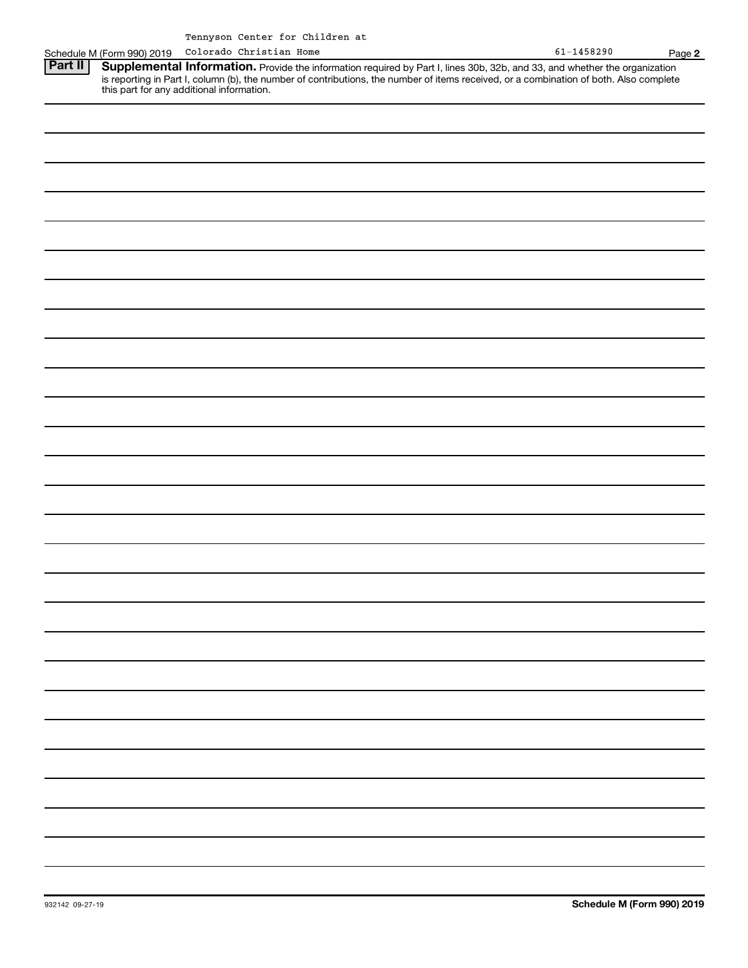|         | Schedule M (Form 990) 2019 | Colorado Christian Home |                                                                                                                                                                                                                                                                                                                | $61 - 1458290$ | Page 2 |
|---------|----------------------------|-------------------------|----------------------------------------------------------------------------------------------------------------------------------------------------------------------------------------------------------------------------------------------------------------------------------------------------------------|----------------|--------|
| Part II |                            |                         | Supplemental Information. Provide the information required by Part I, lines 30b, 32b, and 33, and whether the organization<br>is reporting in Part I, column (b), the number of contributions, the number of items received, or a combination of both. Also complete this part for any additional information. |                |        |
|         |                            |                         |                                                                                                                                                                                                                                                                                                                |                |        |
|         |                            |                         |                                                                                                                                                                                                                                                                                                                |                |        |
|         |                            |                         |                                                                                                                                                                                                                                                                                                                |                |        |
|         |                            |                         |                                                                                                                                                                                                                                                                                                                |                |        |
|         |                            |                         |                                                                                                                                                                                                                                                                                                                |                |        |
|         |                            |                         |                                                                                                                                                                                                                                                                                                                |                |        |
|         |                            |                         |                                                                                                                                                                                                                                                                                                                |                |        |
|         |                            |                         |                                                                                                                                                                                                                                                                                                                |                |        |
|         |                            |                         |                                                                                                                                                                                                                                                                                                                |                |        |
|         |                            |                         |                                                                                                                                                                                                                                                                                                                |                |        |
|         |                            |                         |                                                                                                                                                                                                                                                                                                                |                |        |
|         |                            |                         |                                                                                                                                                                                                                                                                                                                |                |        |
|         |                            |                         |                                                                                                                                                                                                                                                                                                                |                |        |
|         |                            |                         |                                                                                                                                                                                                                                                                                                                |                |        |
|         |                            |                         |                                                                                                                                                                                                                                                                                                                |                |        |
|         |                            |                         |                                                                                                                                                                                                                                                                                                                |                |        |
|         |                            |                         |                                                                                                                                                                                                                                                                                                                |                |        |
|         |                            |                         |                                                                                                                                                                                                                                                                                                                |                |        |
|         |                            |                         |                                                                                                                                                                                                                                                                                                                |                |        |
|         |                            |                         |                                                                                                                                                                                                                                                                                                                |                |        |
|         |                            |                         |                                                                                                                                                                                                                                                                                                                |                |        |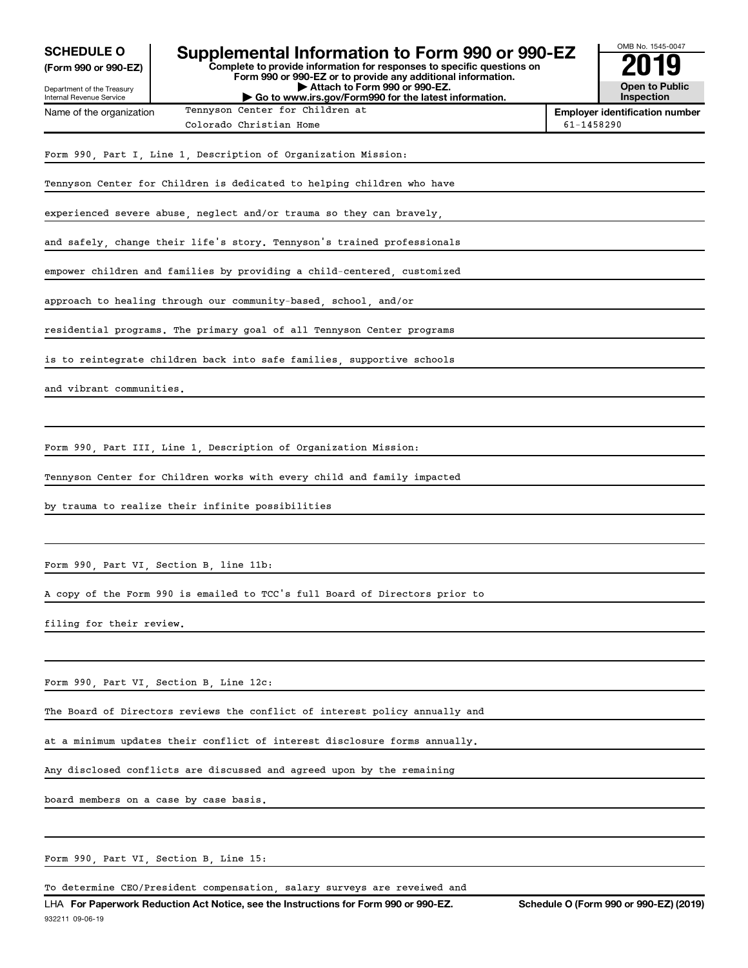| <b>SCHEDULE O</b><br>(Form 990 or 990-EZ)              | Supplemental Information to Form 990 or 990-EZ<br>Complete to provide information for responses to specific questions on                               | OMB No. 1545-0047                     |                                     |
|--------------------------------------------------------|--------------------------------------------------------------------------------------------------------------------------------------------------------|---------------------------------------|-------------------------------------|
| Department of the Treasury<br>Internal Revenue Service | Form 990 or 990-EZ or to provide any additional information.<br>Attach to Form 990 or 990-EZ.<br>Go to www.irs.gov/Form990 for the latest information. |                                       | <b>Open to Public</b><br>Inspection |
| Name of the organization                               |                                                                                                                                                        | <b>Employer identification number</b> |                                     |
|                                                        | Colorado Christian Home                                                                                                                                | 61-1458290                            |                                     |
|                                                        | Form 990, Part I, Line 1, Description of Organization Mission:                                                                                         |                                       |                                     |
|                                                        | Tennyson Center for Children is dedicated to helping children who have                                                                                 |                                       |                                     |
|                                                        | experienced severe abuse, neglect and/or trauma so they can bravely,                                                                                   |                                       |                                     |
|                                                        | and safely, change their life's story. Tennyson's trained professionals                                                                                |                                       |                                     |
|                                                        | empower children and families by providing a child-centered, customized                                                                                |                                       |                                     |
|                                                        | approach to healing through our community-based, school, and/or                                                                                        |                                       |                                     |
|                                                        | residential programs. The primary goal of all Tennyson Center programs                                                                                 |                                       |                                     |
|                                                        | is to reintegrate children back into safe families, supportive schools                                                                                 |                                       |                                     |
| and vibrant communities.                               |                                                                                                                                                        |                                       |                                     |
|                                                        |                                                                                                                                                        |                                       |                                     |
|                                                        | Form 990, Part III, Line 1, Description of Organization Mission:                                                                                       |                                       |                                     |
|                                                        | Tennyson Center for Children works with every child and family impacted                                                                                |                                       |                                     |
|                                                        | by trauma to realize their infinite possibilities                                                                                                      |                                       |                                     |
|                                                        |                                                                                                                                                        |                                       |                                     |
|                                                        | Form 990, Part VI, Section B, line 11b:                                                                                                                |                                       |                                     |
|                                                        | A copy of the Form 990 is emailed to TCC's full Board of Directors prior to                                                                            |                                       |                                     |
| filing for their review.                               |                                                                                                                                                        |                                       |                                     |
|                                                        |                                                                                                                                                        |                                       |                                     |

Form 990, Part VI, Section B, Line 12c:

The Board of Directors reviews the conflict of interest policy annually and

at a minimum updates their conflict of interest disclosure forms annually.

Any disclosed conflicts are discussed and agreed upon by the remaining

board members on a case by case basis.

Form 990, Part VI, Section B, Line 15:

To determine CEO/President compensation, salary surveys are reveiwed and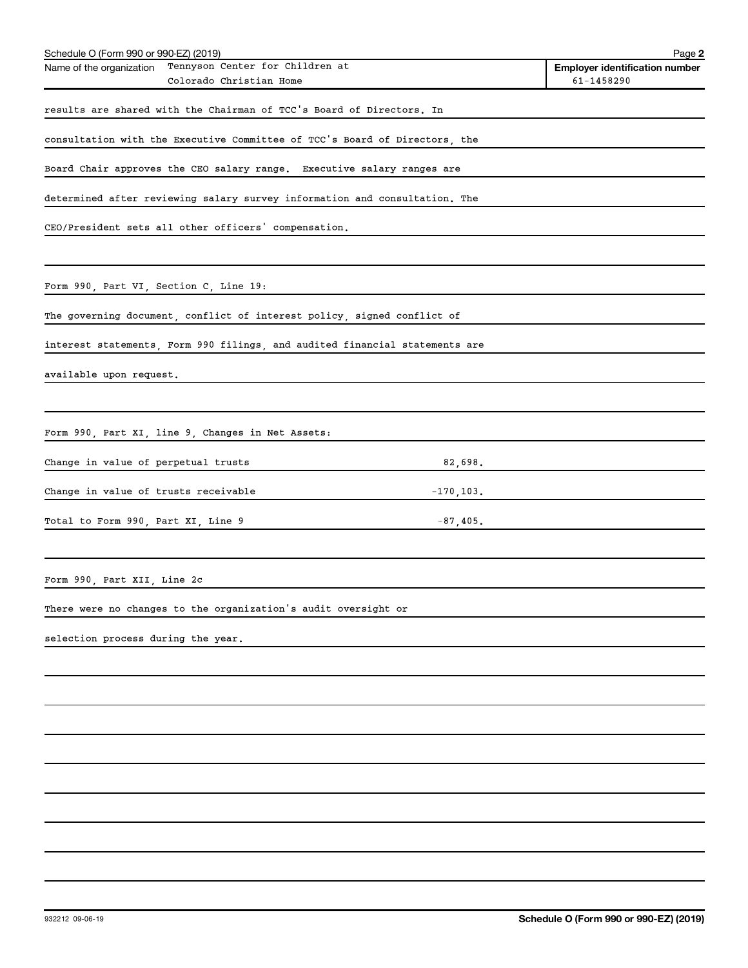| Schedule O (Form 990 or 990-EZ) (2019) |                                                                             |              | Page 2                                                  |
|----------------------------------------|-----------------------------------------------------------------------------|--------------|---------------------------------------------------------|
| Name of the organization               | Tennyson Center for Children at<br>Colorado Christian Home                  |              | <b>Employer identification number</b><br>$61 - 1458290$ |
|                                        | results are shared with the Chairman of TCC's Board of Directors. In        |              |                                                         |
|                                        |                                                                             |              |                                                         |
|                                        | consultation with the Executive Committee of TCC's Board of Directors, the  |              |                                                         |
|                                        | Board Chair approves the CEO salary range. Executive salary ranges are      |              |                                                         |
|                                        | determined after reviewing salary survey information and consultation. The  |              |                                                         |
|                                        | CEO/President sets all other officers' compensation.                        |              |                                                         |
|                                        |                                                                             |              |                                                         |
| Form 990, Part VI, Section C, Line 19: |                                                                             |              |                                                         |
|                                        | The governing document, conflict of interest policy, signed conflict of     |              |                                                         |
|                                        | interest statements, Form 990 filings, and audited financial statements are |              |                                                         |
| available upon request.                |                                                                             |              |                                                         |
|                                        |                                                                             |              |                                                         |
|                                        | Form 990, Part XI, line 9, Changes in Net Assets:                           |              |                                                         |
| Change in value of perpetual trusts    |                                                                             | 82,698.      |                                                         |
|                                        |                                                                             |              |                                                         |
| Change in value of trusts receivable   |                                                                             | $-170, 103.$ |                                                         |
| Total to Form 990, Part XI, Line 9     |                                                                             | $-87,405$ .  |                                                         |
|                                        |                                                                             |              |                                                         |
| Form 990, Part XII, Line 2c            |                                                                             |              |                                                         |
|                                        | There were no changes to the organization's audit oversight or              |              |                                                         |
| selection process during the year.     |                                                                             |              |                                                         |
|                                        |                                                                             |              |                                                         |
|                                        |                                                                             |              |                                                         |
|                                        |                                                                             |              |                                                         |
|                                        |                                                                             |              |                                                         |
|                                        |                                                                             |              |                                                         |
|                                        |                                                                             |              |                                                         |
|                                        |                                                                             |              |                                                         |
|                                        |                                                                             |              |                                                         |
|                                        |                                                                             |              |                                                         |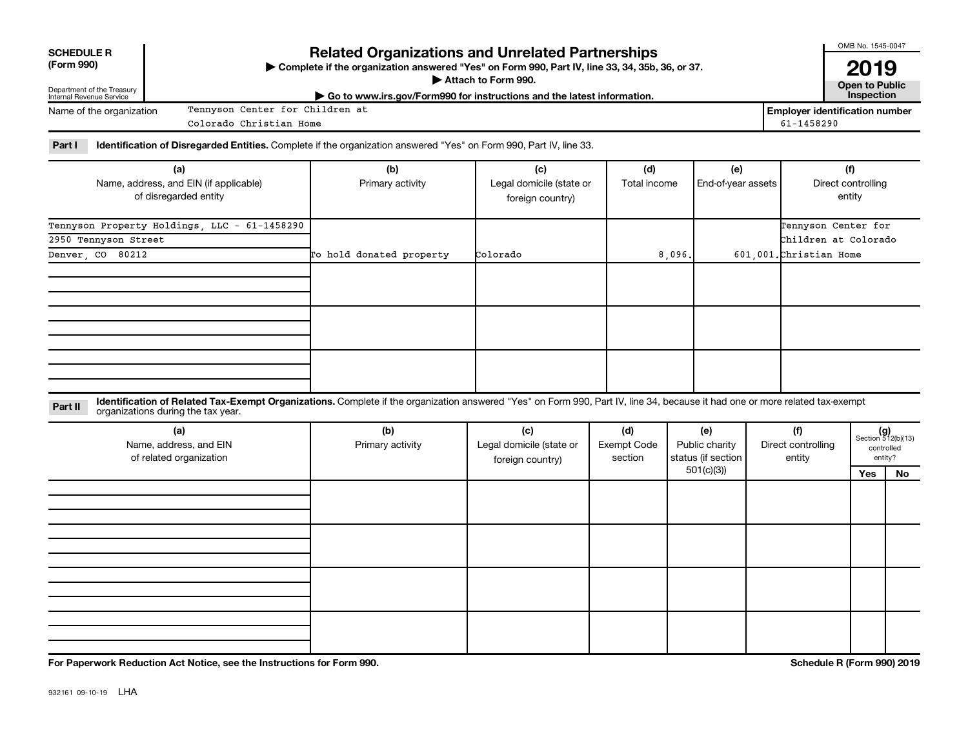| <b>SCHEDULE R</b> |  |
|-------------------|--|
| (Form 990)        |  |

Department of the Treasury Internal Revenue Service

Name of the organization

## **Related Organizations and Unrelated Partnerships**

**(Form 990) Complete if the organization answered "Yes" on Form 990, Part IV, line 33, 34, 35b, 36, or 37.** |

**Attach to Form 990. Contract to Form 990. Contract to Public** 

**2019**<br>Open to Public

OMB No. 1545-0047

| ► Go to www.irs.gov/Form990 for instructions and the latest information. | <b>Inspection</b>                  |
|--------------------------------------------------------------------------|------------------------------------|
| Tennyson<br>Center for Children at                                       | <b>Employer identification num</b> |

**Employer identification number** Colorado Christian Home 61-1458290

Part I ldentification of Disregarded Entities. Complete if the organization answered "Yes" on Form 990, Part IV, line 33.

| (a)                                          | (b)                      | (c)                      | (d)          | (e)                | (f)                     |  |  |
|----------------------------------------------|--------------------------|--------------------------|--------------|--------------------|-------------------------|--|--|
| Name, address, and EIN (if applicable)       | Primary activity         | Legal domicile (state or | Total income | End-of-year assets | Direct controlling      |  |  |
| of disregarded entity                        |                          | foreign country)         |              |                    | entity                  |  |  |
|                                              |                          |                          |              |                    |                         |  |  |
| Tennyson Property Holdings, LLC - 61-1458290 |                          |                          |              |                    | Tennyson Center for     |  |  |
| 2950 Tennyson Street                         |                          |                          |              |                    | Children at Colorado    |  |  |
| Denver, CO 80212                             | To hold donated property | Colorado                 | 8,096.       |                    | 601,001. Christian Home |  |  |
|                                              |                          |                          |              |                    |                         |  |  |
|                                              |                          |                          |              |                    |                         |  |  |
|                                              |                          |                          |              |                    |                         |  |  |
|                                              |                          |                          |              |                    |                         |  |  |
|                                              |                          |                          |              |                    |                         |  |  |
|                                              |                          |                          |              |                    |                         |  |  |
|                                              |                          |                          |              |                    |                         |  |  |
|                                              |                          |                          |              |                    |                         |  |  |
|                                              |                          |                          |              |                    |                         |  |  |

**Part II** Identification of Related Tax-Exempt Organizations. Complete if the organization answered "Yes" on Form 990, Part IV, line 34, because it had one or more related tax-exempt<br>Part II acconizations during the tax ye organizations during the tax year.

| (a)<br>Name, address, and EIN<br>of related organization | (b)<br>Primary activity | (c)<br>Legal domicile (state or<br>foreign country) | (d)<br>Exempt Code<br>section | (e)<br>Public charity<br>status (if section | (f)<br>Direct controlling<br>entity |     | $(g)$<br>Section 512(b)(13)<br>controlled<br>entity? |
|----------------------------------------------------------|-------------------------|-----------------------------------------------------|-------------------------------|---------------------------------------------|-------------------------------------|-----|------------------------------------------------------|
|                                                          |                         |                                                     |                               | 501(c)(3)                                   |                                     | Yes | No                                                   |
|                                                          |                         |                                                     |                               |                                             |                                     |     |                                                      |
|                                                          |                         |                                                     |                               |                                             |                                     |     |                                                      |
|                                                          |                         |                                                     |                               |                                             |                                     |     |                                                      |
|                                                          |                         |                                                     |                               |                                             |                                     |     |                                                      |
|                                                          |                         |                                                     |                               |                                             |                                     |     |                                                      |
|                                                          |                         |                                                     |                               |                                             |                                     |     |                                                      |
|                                                          |                         |                                                     |                               |                                             |                                     |     |                                                      |
|                                                          |                         |                                                     |                               |                                             |                                     |     |                                                      |
|                                                          |                         |                                                     |                               |                                             |                                     |     |                                                      |
|                                                          |                         |                                                     |                               |                                             |                                     |     |                                                      |
|                                                          |                         |                                                     |                               |                                             |                                     |     |                                                      |

**For Paperwork Reduction Act Notice, see the Instructions for Form 990. Schedule R (Form 990) 2019**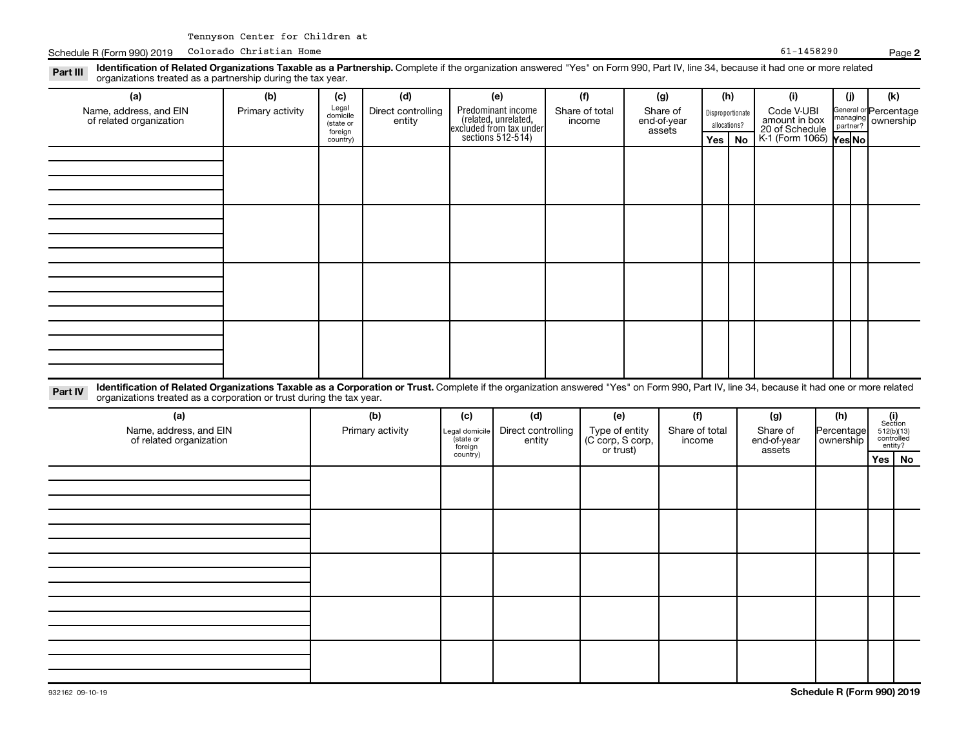Schedule R (Form 990) 2019 Colorado Christian Home **Page 1986** Page 1986 Page 1987 Page 1988290 Page 1988290

| (a)<br>Name, address, and EIN<br>of related organization                                                                                                                                                                                                                    | (b)<br>Primary activity | (c)<br>Legal<br>domicile<br>(state or<br>foreign | (d)<br>Direct controlling<br>entity |                                                    | (e)<br>Predominant income<br>(related, unrelated, |  | (f)<br>Share of total<br>income | (g)<br>Share of<br>end-of-year<br>assets |                       |  | (h)<br>Disproportionate<br>allocations? | (i)<br>Code V-UBI<br>amount in box<br>20 of Schedule |                         | (i)<br>managing<br>partner? | (k)<br>General or Percentage<br>ownership |     |                                                                                                                |
|-----------------------------------------------------------------------------------------------------------------------------------------------------------------------------------------------------------------------------------------------------------------------------|-------------------------|--------------------------------------------------|-------------------------------------|----------------------------------------------------|---------------------------------------------------|--|---------------------------------|------------------------------------------|-----------------------|--|-----------------------------------------|------------------------------------------------------|-------------------------|-----------------------------|-------------------------------------------|-----|----------------------------------------------------------------------------------------------------------------|
|                                                                                                                                                                                                                                                                             |                         | country)                                         |                                     |                                                    | excluded from tax under<br>sections 512-514)      |  |                                 |                                          |                       |  | Yes   No                                | K-1 (Form 1065) Yes No                               |                         |                             |                                           |     |                                                                                                                |
|                                                                                                                                                                                                                                                                             |                         |                                                  |                                     |                                                    |                                                   |  |                                 |                                          |                       |  |                                         |                                                      |                         |                             |                                           |     |                                                                                                                |
|                                                                                                                                                                                                                                                                             |                         |                                                  |                                     |                                                    |                                                   |  |                                 |                                          |                       |  |                                         |                                                      |                         |                             |                                           |     |                                                                                                                |
|                                                                                                                                                                                                                                                                             |                         |                                                  |                                     |                                                    |                                                   |  |                                 |                                          |                       |  |                                         |                                                      |                         |                             |                                           |     |                                                                                                                |
|                                                                                                                                                                                                                                                                             |                         |                                                  |                                     |                                                    |                                                   |  |                                 |                                          |                       |  |                                         |                                                      |                         |                             |                                           |     |                                                                                                                |
|                                                                                                                                                                                                                                                                             |                         |                                                  |                                     |                                                    |                                                   |  |                                 |                                          |                       |  |                                         |                                                      |                         |                             |                                           |     |                                                                                                                |
|                                                                                                                                                                                                                                                                             |                         |                                                  |                                     |                                                    |                                                   |  |                                 |                                          |                       |  |                                         |                                                      |                         |                             |                                           |     |                                                                                                                |
| Identification of Related Organizations Taxable as a Corporation or Trust. Complete if the organization answered "Yes" on Form 990, Part IV, line 34, because it had one or more related<br>Part IV<br>organizations treated as a corporation or trust during the tax year. |                         |                                                  |                                     |                                                    |                                                   |  |                                 |                                          |                       |  |                                         |                                                      |                         |                             |                                           |     |                                                                                                                |
| (a)<br>Name, address, and EIN                                                                                                                                                                                                                                               |                         | (b)                                              |                                     | (c)                                                | (d)                                               |  | Direct controlling              |                                          | (e)<br>Type of entity |  | (f)<br>Share of total                   |                                                      |                         | (g)                         |                                           | (h) | $\begin{array}{c} \textbf{(i)}\\ \text{Section}\\ 5\,12 \text{(b)} \text{(13)}\\ \text{controlled}\end{array}$ |
| of related organization                                                                                                                                                                                                                                                     |                         |                                                  | Primary activity                    | Legal domicile<br>(state or<br>foreign<br>country) | entity                                            |  | (C corp, S corp,<br>or trust)   |                                          | income                |  | Share of<br>end-of-year<br>assets       |                                                      | Percentage<br>ownership |                             | entity?                                   |     |                                                                                                                |
|                                                                                                                                                                                                                                                                             |                         |                                                  |                                     |                                                    |                                                   |  |                                 |                                          |                       |  |                                         |                                                      |                         |                             | No<br>Yes                                 |     |                                                                                                                |
|                                                                                                                                                                                                                                                                             |                         |                                                  |                                     |                                                    |                                                   |  |                                 |                                          |                       |  |                                         |                                                      |                         |                             |                                           |     |                                                                                                                |
|                                                                                                                                                                                                                                                                             |                         |                                                  |                                     |                                                    |                                                   |  |                                 |                                          |                       |  |                                         |                                                      |                         |                             |                                           |     |                                                                                                                |
|                                                                                                                                                                                                                                                                             |                         |                                                  |                                     |                                                    |                                                   |  |                                 |                                          |                       |  |                                         |                                                      |                         |                             |                                           |     |                                                                                                                |
|                                                                                                                                                                                                                                                                             |                         |                                                  |                                     |                                                    |                                                   |  |                                 |                                          |                       |  |                                         |                                                      |                         |                             |                                           |     |                                                                                                                |
|                                                                                                                                                                                                                                                                             |                         |                                                  |                                     |                                                    |                                                   |  |                                 |                                          |                       |  |                                         |                                                      |                         |                             |                                           |     |                                                                                                                |
|                                                                                                                                                                                                                                                                             |                         |                                                  |                                     |                                                    |                                                   |  |                                 |                                          |                       |  |                                         |                                                      |                         |                             |                                           |     |                                                                                                                |

**2**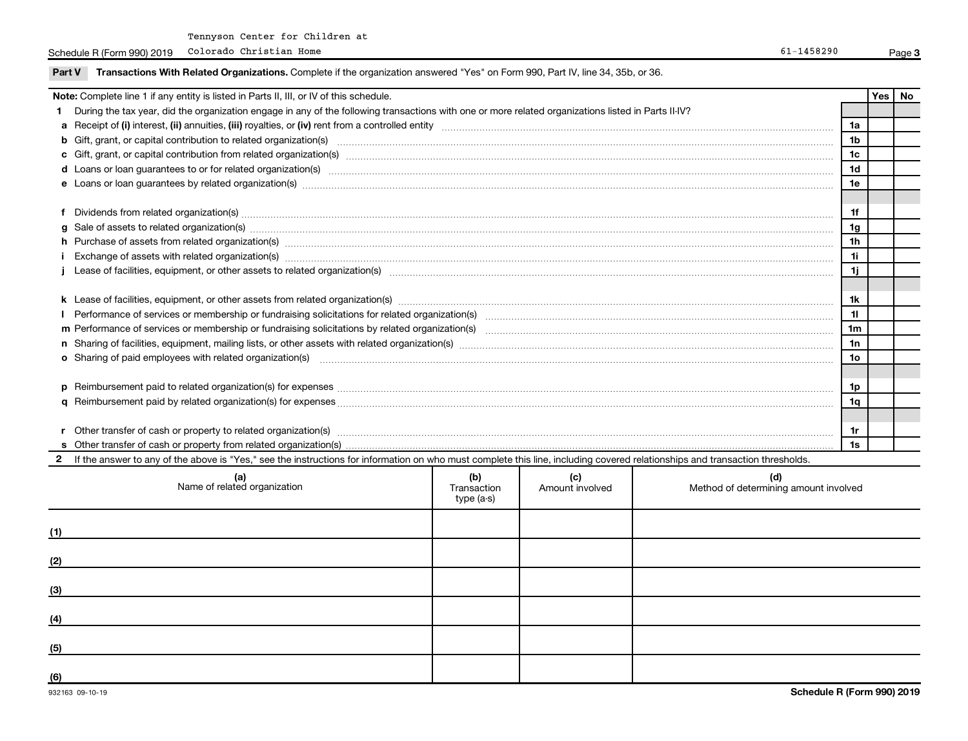Schedule R (Form 990) 2019 Colorado Christian Home **Page 1986** Page 1986 Page 1987 Page 1988290 Page 1988290

| Part V                                                                                                                                                                                                                         | Transactions With Related Organizations. Complete if the organization answered "Yes" on Form 990, Part IV, line 34, 35b, or 36.                                                                                                |                                  |                        |                                              |                      |     |    |  |
|--------------------------------------------------------------------------------------------------------------------------------------------------------------------------------------------------------------------------------|--------------------------------------------------------------------------------------------------------------------------------------------------------------------------------------------------------------------------------|----------------------------------|------------------------|----------------------------------------------|----------------------|-----|----|--|
|                                                                                                                                                                                                                                | Note: Complete line 1 if any entity is listed in Parts II, III, or IV of this schedule.                                                                                                                                        |                                  |                        |                                              |                      | Yes | No |  |
|                                                                                                                                                                                                                                | During the tax year, did the organization engage in any of the following transactions with one or more related organizations listed in Parts II-IV?                                                                            |                                  |                        |                                              |                      |     |    |  |
| 1a                                                                                                                                                                                                                             |                                                                                                                                                                                                                                |                                  |                        |                                              |                      |     |    |  |
| b Gift, grant, or capital contribution to related organization(s) manufaction contribution of the contribution to related organization(s) manufaction contribution to related organization(s) manufaction contribution contrib |                                                                                                                                                                                                                                |                                  |                        |                                              |                      |     |    |  |
|                                                                                                                                                                                                                                |                                                                                                                                                                                                                                |                                  |                        |                                              | 1 <sub>c</sub>       |     |    |  |
|                                                                                                                                                                                                                                | d Loans or loan guarantees to or for related organization(s) www.communically.com/www.communically.com/www.communically.com/www.communically.com/www.communically.com/www.communically.com/www.communically.com/www.communical |                                  |                        |                                              | 1 <sub>d</sub>       |     |    |  |
|                                                                                                                                                                                                                                |                                                                                                                                                                                                                                |                                  |                        |                                              | 1e                   |     |    |  |
|                                                                                                                                                                                                                                |                                                                                                                                                                                                                                |                                  |                        |                                              |                      |     |    |  |
|                                                                                                                                                                                                                                | Dividends from related organization(s) machinesis and contract and contract and contract and contract and contract and contract and contract and contract and contract and contract and contract and contract and contract and |                                  |                        |                                              | 1f                   |     |    |  |
|                                                                                                                                                                                                                                |                                                                                                                                                                                                                                |                                  |                        |                                              | 1 <sub>g</sub>       |     |    |  |
|                                                                                                                                                                                                                                | h Purchase of assets from related organization(s) manufactured content to the content of the content of the content of the content of the content of the content of the content of the content of the content of the content o |                                  |                        |                                              | 1 <sub>h</sub><br>11 |     |    |  |
|                                                                                                                                                                                                                                |                                                                                                                                                                                                                                |                                  |                        |                                              |                      |     |    |  |
|                                                                                                                                                                                                                                |                                                                                                                                                                                                                                |                                  |                        |                                              | 1j                   |     |    |  |
|                                                                                                                                                                                                                                |                                                                                                                                                                                                                                |                                  |                        |                                              |                      |     |    |  |
|                                                                                                                                                                                                                                |                                                                                                                                                                                                                                |                                  |                        |                                              | 1k                   |     |    |  |
|                                                                                                                                                                                                                                |                                                                                                                                                                                                                                |                                  |                        |                                              | 11                   |     |    |  |
|                                                                                                                                                                                                                                |                                                                                                                                                                                                                                |                                  |                        |                                              | 1 <sub>m</sub>       |     |    |  |
|                                                                                                                                                                                                                                |                                                                                                                                                                                                                                |                                  |                        |                                              | 1n                   |     |    |  |
|                                                                                                                                                                                                                                | o Sharing of paid employees with related organization(s) manufaction(s) and contain an examinary contained and an examination of the state organization (s) and an examination of the state organization (s) manufactured and  |                                  |                        |                                              | 10 <sub>o</sub>      |     |    |  |
|                                                                                                                                                                                                                                |                                                                                                                                                                                                                                |                                  |                        |                                              |                      |     |    |  |
|                                                                                                                                                                                                                                |                                                                                                                                                                                                                                |                                  |                        |                                              | 1p                   |     |    |  |
|                                                                                                                                                                                                                                |                                                                                                                                                                                                                                |                                  |                        |                                              | 1q                   |     |    |  |
|                                                                                                                                                                                                                                |                                                                                                                                                                                                                                |                                  |                        |                                              |                      |     |    |  |
|                                                                                                                                                                                                                                |                                                                                                                                                                                                                                |                                  |                        |                                              | 1r                   |     |    |  |
|                                                                                                                                                                                                                                |                                                                                                                                                                                                                                |                                  |                        |                                              | 1s                   |     |    |  |
|                                                                                                                                                                                                                                | If the answer to any of the above is "Yes," see the instructions for information on who must complete this line, including covered relationships and transaction thresholds.                                                   |                                  |                        |                                              |                      |     |    |  |
|                                                                                                                                                                                                                                | (a)<br>Name of related organization                                                                                                                                                                                            | (b)<br>Transaction<br>type (a-s) | (c)<br>Amount involved | (d)<br>Method of determining amount involved |                      |     |    |  |

**3**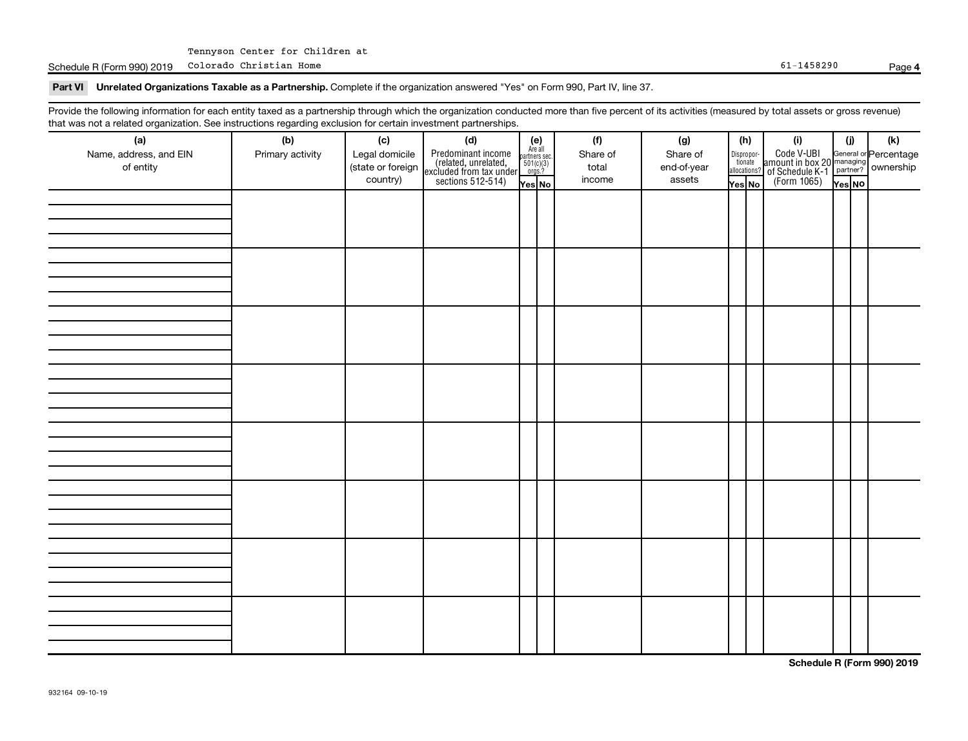Schedule R (Form 990) 2019 Colorado Christian Home **Page 1986** Page 1986 Page 1987 Page 1988290 Page 1988290

#### **4**

Part VI Unrelated Organizations Taxable as a Partnership. Complete if the organization answered "Yes" on Form 990, Part IV, line 37.

Provide the following information for each entity taxed as a partnership through which the organization conducted more than five percent of its activities (measured by total assets or gross revenue) that was not a related organization. See instructions regarding exclusion for certain investment partnerships.

| .<br>(a)               | (b)              | (c)               | .<br><br>(d)                                                                               |                                                          |  | (f)      | (g)         | (h)    |                       | (i)                                                                    | (i)     | $(\mathsf{k})$                                          |  |  |
|------------------------|------------------|-------------------|--------------------------------------------------------------------------------------------|----------------------------------------------------------|--|----------|-------------|--------|-----------------------|------------------------------------------------------------------------|---------|---------------------------------------------------------|--|--|
| Name, address, and EIN | Primary activity | Legal domicile    |                                                                                            | (e)<br>Are all<br>partners sec.<br>$501(c)(3)$<br>orgs.? |  | Share of | Share of    |        |                       |                                                                        |         |                                                         |  |  |
| of entity              |                  | (state or foreign |                                                                                            |                                                          |  | total    | end-of-year |        | Dispropor-<br>tionate |                                                                        |         | General or Percentage<br>managing<br>partner? Ownership |  |  |
|                        |                  | country)          | Predominant income<br>(related, unrelated,<br>excluded from tax under<br>sections 512-514) |                                                          |  | income   | assets      |        | allocations?          | Code V-UBI<br>  amount in box 20<br>! of Schedule K-1<br>  (Form 1065) |         |                                                         |  |  |
|                        |                  |                   |                                                                                            | Yes No                                                   |  |          |             | Yes No |                       |                                                                        | Yes  NO |                                                         |  |  |
|                        |                  |                   |                                                                                            |                                                          |  |          |             |        |                       |                                                                        |         |                                                         |  |  |
|                        |                  |                   |                                                                                            |                                                          |  |          |             |        |                       |                                                                        |         |                                                         |  |  |
|                        |                  |                   |                                                                                            |                                                          |  |          |             |        |                       |                                                                        |         |                                                         |  |  |
|                        |                  |                   |                                                                                            |                                                          |  |          |             |        |                       |                                                                        |         |                                                         |  |  |
|                        |                  |                   |                                                                                            |                                                          |  |          |             |        |                       |                                                                        |         |                                                         |  |  |
|                        |                  |                   |                                                                                            |                                                          |  |          |             |        |                       |                                                                        |         |                                                         |  |  |
|                        |                  |                   |                                                                                            |                                                          |  |          |             |        |                       |                                                                        |         |                                                         |  |  |
|                        |                  |                   |                                                                                            |                                                          |  |          |             |        |                       |                                                                        |         |                                                         |  |  |
|                        |                  |                   |                                                                                            |                                                          |  |          |             |        |                       |                                                                        |         |                                                         |  |  |
|                        |                  |                   |                                                                                            |                                                          |  |          |             |        |                       |                                                                        |         |                                                         |  |  |
|                        |                  |                   |                                                                                            |                                                          |  |          |             |        |                       |                                                                        |         |                                                         |  |  |
|                        |                  |                   |                                                                                            |                                                          |  |          |             |        |                       |                                                                        |         |                                                         |  |  |
|                        |                  |                   |                                                                                            |                                                          |  |          |             |        |                       |                                                                        |         |                                                         |  |  |
|                        |                  |                   |                                                                                            |                                                          |  |          |             |        |                       |                                                                        |         |                                                         |  |  |
|                        |                  |                   |                                                                                            |                                                          |  |          |             |        |                       |                                                                        |         |                                                         |  |  |
|                        |                  |                   |                                                                                            |                                                          |  |          |             |        |                       |                                                                        |         |                                                         |  |  |
|                        |                  |                   |                                                                                            |                                                          |  |          |             |        |                       |                                                                        |         |                                                         |  |  |
|                        |                  |                   |                                                                                            |                                                          |  |          |             |        |                       |                                                                        |         |                                                         |  |  |
|                        |                  |                   |                                                                                            |                                                          |  |          |             |        |                       |                                                                        |         |                                                         |  |  |
|                        |                  |                   |                                                                                            |                                                          |  |          |             |        |                       |                                                                        |         |                                                         |  |  |
|                        |                  |                   |                                                                                            |                                                          |  |          |             |        |                       |                                                                        |         |                                                         |  |  |
|                        |                  |                   |                                                                                            |                                                          |  |          |             |        |                       |                                                                        |         |                                                         |  |  |
|                        |                  |                   |                                                                                            |                                                          |  |          |             |        |                       |                                                                        |         |                                                         |  |  |
|                        |                  |                   |                                                                                            |                                                          |  |          |             |        |                       |                                                                        |         |                                                         |  |  |
|                        |                  |                   |                                                                                            |                                                          |  |          |             |        |                       |                                                                        |         |                                                         |  |  |
|                        |                  |                   |                                                                                            |                                                          |  |          |             |        |                       |                                                                        |         |                                                         |  |  |
|                        |                  |                   |                                                                                            |                                                          |  |          |             |        |                       |                                                                        |         |                                                         |  |  |
|                        |                  |                   |                                                                                            |                                                          |  |          |             |        |                       |                                                                        |         |                                                         |  |  |
|                        |                  |                   |                                                                                            |                                                          |  |          |             |        |                       |                                                                        |         |                                                         |  |  |
|                        |                  |                   |                                                                                            |                                                          |  |          |             |        |                       |                                                                        |         |                                                         |  |  |
|                        |                  |                   |                                                                                            |                                                          |  |          |             |        |                       |                                                                        |         |                                                         |  |  |
|                        |                  |                   |                                                                                            |                                                          |  |          |             |        |                       |                                                                        |         |                                                         |  |  |
|                        |                  |                   |                                                                                            |                                                          |  |          |             |        |                       |                                                                        |         |                                                         |  |  |
|                        |                  |                   |                                                                                            |                                                          |  |          |             |        |                       |                                                                        |         |                                                         |  |  |
|                        |                  |                   |                                                                                            |                                                          |  |          |             |        |                       |                                                                        |         |                                                         |  |  |
|                        |                  |                   |                                                                                            |                                                          |  |          |             |        |                       |                                                                        |         |                                                         |  |  |

**Schedule R (Form 990) 2019**